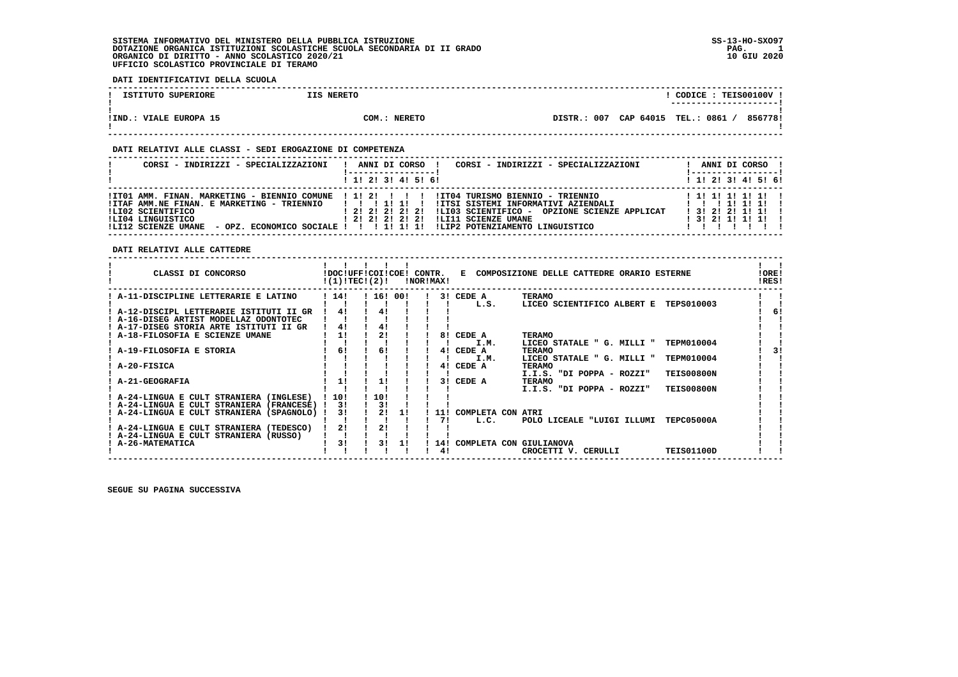# **DATI IDENTIFICATIVI DELLA SCUOLA**

| ISTITUTO SUPERIORE     | IIS NERETO   |         | CODICE: TEIS00100V!<br>----------------------- |         |
|------------------------|--------------|---------|------------------------------------------------|---------|
| IIND.: VIALE EUROPA 15 | COM.: NERETO | DISTR.: | 007 CAP 64015 TEL.: 0861                       | 856778! |

 **------------------------------------------------------------------------------------------------------------------------------------**

# **DATI RELATIVI ALLE CLASSI - SEDI EROGAZIONE DI COMPETENZA**

| CORSI - INDIRIZZI - SPECIALIZZAZIONI                                                                                                                                                                                   | CORSI - INDIRIZZI - SPECIALIZZAZIONI<br>ANNI DI CORSO !                                                                                                                                                                     | ANNI DI CORSO !                                                      |
|------------------------------------------------------------------------------------------------------------------------------------------------------------------------------------------------------------------------|-----------------------------------------------------------------------------------------------------------------------------------------------------------------------------------------------------------------------------|----------------------------------------------------------------------|
|                                                                                                                                                                                                                        | $1$ , 1! 2! 3! 4! 5! 6!                                                                                                                                                                                                     | $1$ , 1!, 2!, 3!, 4!, 5!, 6!                                         |
| !IT01 AMM. FINAN. MARKETING - BIENNIO COMUNE ! 1! 2! ! ! !<br>!ITAF AMM.NE FINAN. E MARKETING - TRIENNIO<br>ILI02 SCIENTIFICO<br>ILI04 LINGUISTICO<br>$-$ OPZ. ECONOMICO SOCIALE ! ! ! 1! 1! 1!<br>!LI12 SCIENZE UMANE | IIT04 TURISMO BIENNIO - TRIENNIO<br>IITSI SISTEMI INFORMATIVI AZIENDALI<br>1 2 1 2 1 2 1 2 1 2 1<br>!LI03 SCIENTIFICO - OPZIONE SCIENZE APPLICAT<br>! 2! 2! 2! 2! 2! !LI11 SCIENZE UMANE<br>!LIP2 POTENZIAMENTO LINGUISTICO | 1 1 1 1 1 1 1 1 1 1<br>1 3 1 2 1 2 1 1 1 1 1<br>$1$ 3! 2! 1! 1! 1! ! |

 **DATI RELATIVI ALLE CATTEDRE**

| CLASSI DI CONCORSO                        |      | !DOC!UFF!COI!COE!<br>!(1)!TEC!(2)! |           | CONTR.<br>!NOR!MAX! |     | к.                | COMPOSIZIONE DELLE CATTEDRE ORARIO ESTERNE      | !ORE!<br>!RES! |  |
|-------------------------------------------|------|------------------------------------|-----------|---------------------|-----|-------------------|-------------------------------------------------|----------------|--|
| A-11-DISCIPLINE LETTERARIE E LATINO       | 114! |                                    | ! 16! 00! |                     |     | 3! CEDE A         | <b>TERAMO</b>                                   |                |  |
|                                           |      |                                    |           |                     |     | L.S.              | LICEO SCIENTIFICO ALBERT E<br><b>TEPS010003</b> |                |  |
| ! A-12-DISCIPL LETTERARIE ISTITUTI II GR  | 4!   | 4!                                 |           |                     |     |                   |                                                 | 61             |  |
| ! A-16-DISEG ARTIST MODELLAZ ODONTOTEC    |      |                                    |           |                     |     |                   |                                                 |                |  |
| ! A-17-DISEG STORIA ARTE ISTITUTI II GR   | 41   | 41                                 |           |                     |     |                   |                                                 |                |  |
| A-18-FILOSOFIA E SCIENZE UMANE            | 11   |                                    |           |                     | 81  | CEDE A            | <b>TERAMO</b>                                   |                |  |
|                                           |      |                                    |           |                     |     | I.M.              | <b>TEPM010004</b><br>LICEO STATALE " G. MILLI " |                |  |
| A-19-FILOSOFIA E STORIA                   | 6!   | 6!                                 |           |                     | 41  | CEDE A            | <b>TERAMO</b>                                   | 31             |  |
|                                           |      |                                    |           |                     |     | I.M.              | <b>TEPM010004</b><br>LICEO STATALE " G. MILLI " |                |  |
| A-20-FISICA                               |      |                                    |           |                     | 41  | CEDE A            | <b>TERAMO</b>                                   |                |  |
|                                           |      |                                    |           |                     |     |                   | <b>TEIS00800N</b><br>I.I.S. "DI POPPA - ROZZI"  |                |  |
| <b>A-21-GEOGRAFIA</b>                     | 1!   | 1!                                 |           |                     | 3 I | CEDE A            | TERAMO                                          |                |  |
|                                           |      |                                    |           |                     |     |                   | I.I.S. "DI POPPA - ROZZI"<br><b>TEIS00800N</b>  |                |  |
| ! A-24-LINGUA E CULT STRANIERA (INGLESE)  | 10!  | 10!                                |           |                     |     |                   |                                                 |                |  |
| ! A-24-LINGUA E CULT STRANIERA (FRANCESE) | 31   | 31                                 |           |                     |     |                   |                                                 |                |  |
| ! A-24-LINGUA E CULT STRANIERA (SPAGNOLO) | 31   |                                    | 11        |                     |     | COMPLETA CON ATRI |                                                 |                |  |
|                                           |      |                                    |           |                     | 71  | L.C.              | <b>TEPC05000A</b><br>POLO LICEALE "LUIGI ILLUMI |                |  |
| A-24-LINGUA E CULT STRANIERA (TEDESCO)    | 21   | 2!                                 |           |                     |     |                   |                                                 |                |  |
| A-24-LINGUA E CULT STRANIERA (RUSSO)      |      |                                    |           |                     |     |                   |                                                 |                |  |
| <b>A-26-MATEMATICA</b>                    | 31   | 31                                 |           |                     | 14! | COMPLETA CON      | <b>GIULIANOVA</b>                               |                |  |
|                                           |      |                                    |           |                     | 41  |                   | <b>TEIS01100D</b><br>CROCETTI V. CERULLI        |                |  |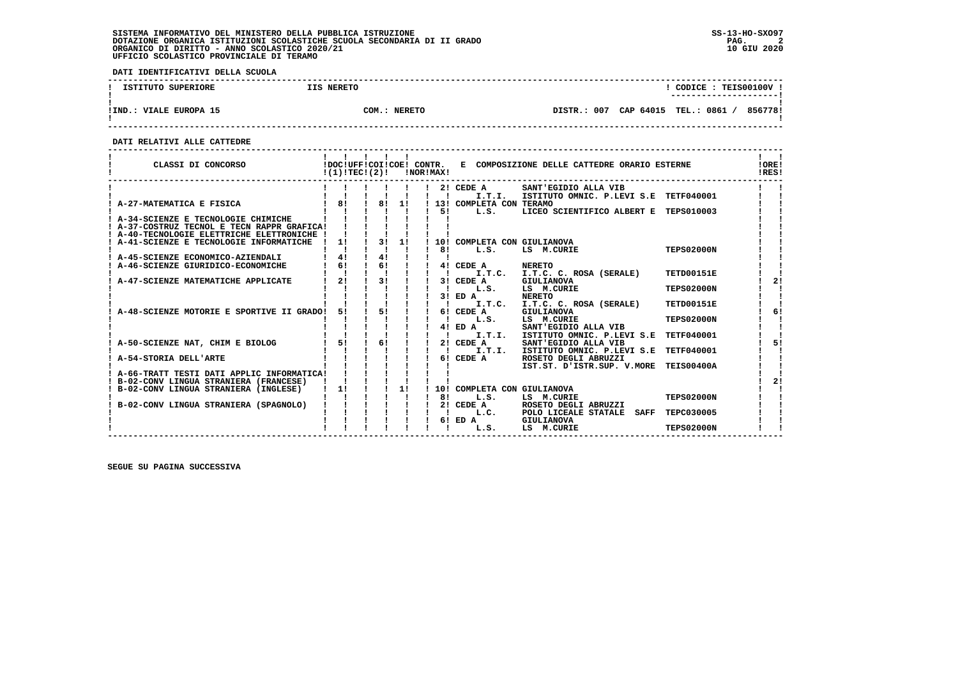**DATI IDENTIFICATIVI DELLA SCUOLA**

| ISTITUTO SUPERIORE     | IIS NERETO   | CODICE: TEIS00100V !<br>---------------------- |
|------------------------|--------------|------------------------------------------------|
| !IND.: VIALE EUROPA 15 | COM.: NERETO | DISTR.: 007 CAP 64015 TEL.: 0861 /<br>856778!  |

 **------------------------------------------------------------------------------------------------------------------------------------**

 **DATI RELATIVI ALLE CATTEDRE**

| CLASSI DI CONCORSO                          |     | !(1)!TEC!(2)!                |    | !DOC!UFF!COI!COE! CONTR.<br>!NOR!MAX! |                             | E COMPOSIZIONE DELLE CATTEDRE ORARIO ESTERNE |                   | !ORE!<br>IRES! |
|---------------------------------------------|-----|------------------------------|----|---------------------------------------|-----------------------------|----------------------------------------------|-------------------|----------------|
|                                             |     |                              |    |                                       | 2! CEDE A                   | SANT'EGIDIO ALLA VIB                         |                   |                |
|                                             |     |                              |    |                                       | I.T.I.                      | ISTITUTO OMNIC. P.LEVI S.E TETF040001        |                   |                |
| A-27-MATEMATICA E FISICA                    | 181 | 1 81 11                      |    |                                       | ! 13! COMPLETA CON TERAMO   |                                              |                   |                |
|                                             |     |                              |    | 51                                    | L.S.                        | LICEO SCIENTIFICO ALBERT E TEPS010003        |                   |                |
| ! A-34-SCIENZE E TECNOLOGIE CHIMICHE        |     |                              |    |                                       |                             |                                              |                   |                |
| ! A-37-COSTRUZ TECNOL E TECN RAPPR GRAFICA! |     |                              |    |                                       |                             |                                              |                   |                |
| ! A-40-TECNOLOGIE ELETTRICHE ELETTRONICHE ! |     |                              |    |                                       |                             |                                              |                   |                |
| A-41-SCIENZE E TECNOLOGIE INFORMATICHE      | 1!  | 3!                           | 1! |                                       | 10! COMPLETA CON GIULIANOVA |                                              |                   |                |
| ! A-45-SCIENZE ECONOMICO-AZIENDALI          | 41  | 4!                           |    | 81                                    | L.S.                        | LS M.CURIE                                   | <b>TEPS02000N</b> |                |
| A-46-SCIENZE GIURIDICO-ECONOMICHE           | 61  | 6!                           |    |                                       | 4! CEDE A                   | <b>NERETO</b>                                |                   |                |
|                                             |     |                              |    |                                       | I.T.C.                      | I.T.C. C. ROSA (SERALE)                      | TETD00151E        |                |
| A-47-SCIENZE MATEMATICHE APPLICATE          | 21  | 31                           |    |                                       | 3! CEDE A                   | GIULIANOVA                                   |                   | 2!             |
|                                             |     |                              |    |                                       | L.S.                        | LS M.CURIE                                   | <b>TEPS02000N</b> |                |
|                                             |     |                              |    |                                       | $3!$ ED $A$                 | <b>NERETO</b>                                |                   |                |
|                                             |     |                              |    |                                       | I.T.C.                      | I.T.C. C. ROSA (SERALE)                      | TETD00151E        |                |
| A-48-SCIENZE MOTORIE E SPORTIVE II GRADO!   | 51  | 51                           |    |                                       | 6! CEDE A                   | GIULIANOVA                                   |                   | 6!             |
|                                             |     |                              |    |                                       | L.S.                        | LS M.CURIE                                   | <b>TEPS02000N</b> |                |
|                                             |     |                              |    |                                       | 4! ED A                     | SANT'EGIDIO ALLA VIB                         |                   |                |
|                                             |     |                              |    |                                       | I.T.I.                      | ISTITUTO OMNIC. P.LEVI S.E                   | <b>TETF040001</b> |                |
| A-50-SCIENZE NAT, CHIM E BIOLOG             | 51  | 61                           |    |                                       | 2! CEDE A                   | SANT'EGIDIO ALLA VIB                         |                   | 51             |
|                                             |     |                              |    |                                       | I.T.I.                      | ISTITUTO OMNIC. P.LEVI S.E                   | <b>TETF040001</b> |                |
| A-54-STORIA DELL'ARTE                       |     |                              |    |                                       | 6! CEDE A                   | ROSETO DEGLI ABRUZZI                         |                   |                |
|                                             |     |                              |    |                                       |                             | IST.ST. D'ISTR.SUP. V.MORE                   | <b>TEIS00400A</b> |                |
| ! A-66-TRATT TESTI DATI APPLIC INFORMATICA! |     |                              |    |                                       |                             |                                              |                   |                |
| ! B-02-CONV LINGUA STRANIERA (FRANCESE)     |     |                              |    |                                       |                             |                                              |                   | 2!             |
| B-02-CONV LINGUA STRANIERA (INGLESE)        | 1!  | $\mathbf{I}$<br>$\mathbf{I}$ | 1! |                                       | 10! COMPLETA CON GIULIANOVA |                                              |                   |                |
|                                             |     |                              |    | 81                                    | L.S.                        | LS M.CURIE                                   | <b>TEPS02000N</b> |                |
| B-02-CONV LINGUA STRANIERA (SPAGNOLO)       |     |                              |    |                                       | 2! CEDE A                   | ROSETO DEGLI ABRUZZI                         |                   |                |
|                                             |     |                              |    |                                       | L.C.                        | POLO LICEALE STATALE<br><b>SAFF</b>          | <b>TEPC030005</b> |                |
|                                             |     |                              |    |                                       | 6! ED A<br>L.S.             | GIULIANOVA<br>LS M.CURIE                     | <b>TEPS02000N</b> |                |
|                                             |     |                              |    |                                       |                             |                                              |                   |                |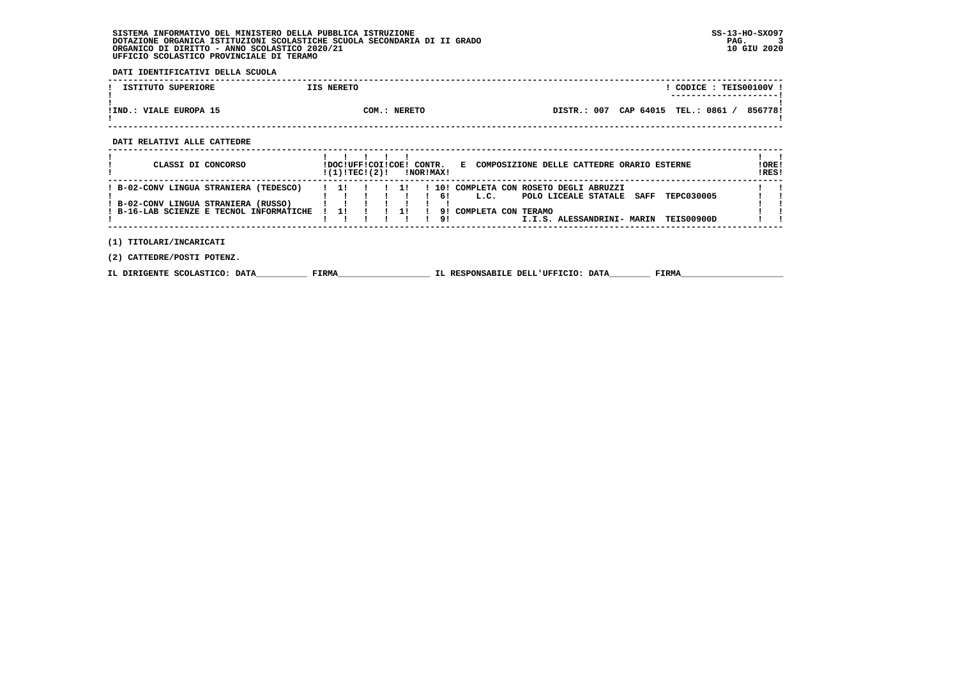**DATI IDENTIFICATIVI DELLA SCUOLA**

| ISTITUTO SUPERIORE       | IIS NERETO                |                |           | CODICE :    | <b>TEIS00100V</b> |
|--------------------------|---------------------------|----------------|-----------|-------------|-------------------|
|                          |                           |                |           |             |                   |
|                          |                           |                |           |             |                   |
| VIALE EUROPA 15<br>'IND. | <b>NERETO</b><br>$COM.$ : | 007<br>DISTR.: | CAP 64015 | 0861<br>TEL | 856778!           |
|                          |                           |                |           |             |                   |

 **------------------------------------------------------------------------------------------------------------------------------------**

 **DATI RELATIVI ALLE CATTEDRE**

| CLASSI DI CONCORSO                                                                                                         |     | !DOC!UFF!COI!COE! CONTR.<br>!(1)!TECI(2)! |    | !NOR!MAX! |                       | E COMPOSIZIONE DELLE CATTEDRE ORARIO ESTERNE                                                                                                                      | ! ORE!<br>!RES! |
|----------------------------------------------------------------------------------------------------------------------------|-----|-------------------------------------------|----|-----------|-----------------------|-------------------------------------------------------------------------------------------------------------------------------------------------------------------|-----------------|
| ! B-02-CONV LINGUA STRANIERA (TEDESCO)<br>! B-02-CONV LINGUA STRANIERA (RUSSO)<br>! B-16-LAB SCIENZE E TECNOL INFORMATICHE | -11 |                                           | 11 |           | 101<br>61<br>91<br>91 | COMPLETA CON ROSETO DEGLI ABRUZZI<br>TEPC030005<br>L.C.<br><b>SAFF</b><br>POLO LICEALE STATALE<br>COMPLETA CON TERAMO<br>TEIS00900D<br>I.I.S. ALESSANDRINI- MARIN |                 |
| (1) TITOLARI/INCARICATI<br>(2) CATTEDRE/POSTI POTENZ.                                                                      |     |                                           |    |           |                       |                                                                                                                                                                   |                 |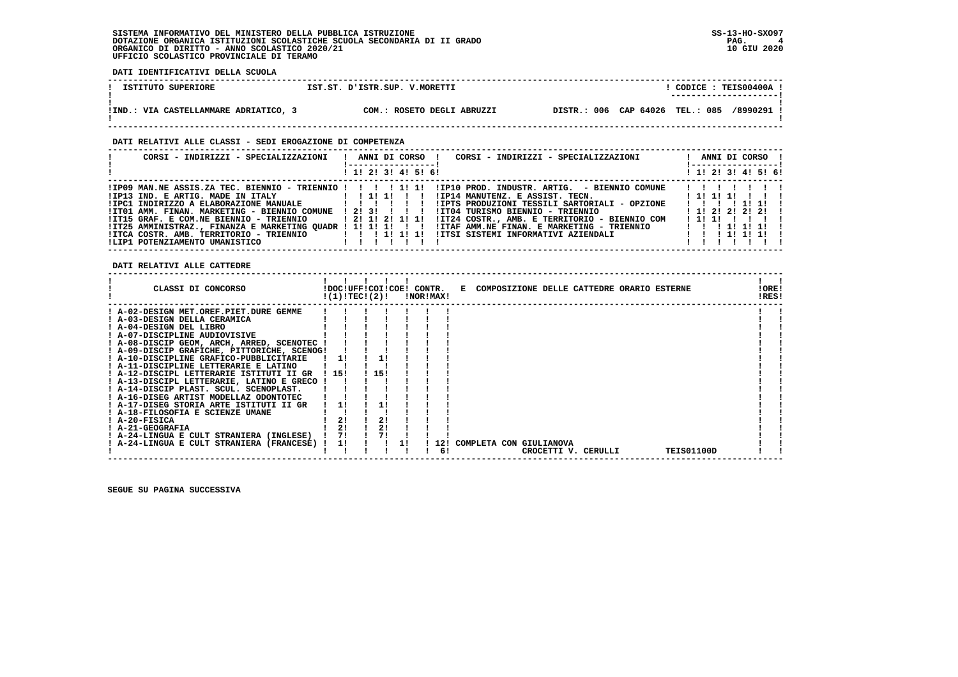**DATI IDENTIFICATIVI DELLA SCUOLA ------------------------------------------------------------------------------------------------------------------------------------**! CODICE: TEIS00400A ! **1 ISTITUTO SUPERIORE 1ST.ST. D'ISTR.SUP. V.MORETTI ! ---------------------!**- 1  **! ! !IND.: VIA CASTELLAMMARE ADRIATICO, 3 COM.: ROSETO DEGLI ABRUZZI DISTR.: 006 CAP 64026 TEL.: 085 /8990291 !** $\mathbf{I}$  **! !**

 **------------------------------------------------------------------------------------------------------------------------------------**

 **DATI RELATIVI ALLE CLASSI - SEDI EROGAZIONE DI COMPETENZA**

| CORSI - INDIRIZZI - SPECIALIZZAZIONI                       | ! ANNI DI CORSO !<br>CORSI - INDIRIZZI - SPECIALIZZAZIONI<br>! 1! 2! 3! 4! 5! 6!                        | ANNI DI CORSO !<br>! -----------------!<br>$1 \; 1 \; 2 \; 3 \; 1 \; 4 \; 5 \; 6 \; 6$ |
|------------------------------------------------------------|---------------------------------------------------------------------------------------------------------|----------------------------------------------------------------------------------------|
|                                                            |                                                                                                         |                                                                                        |
|                                                            |                                                                                                         | 1111111                                                                                |
| $IIP13$ IND. E ARTIG. MADE IN ITALY $I: I:I:I$ : $I: I$    |                                                                                                         |                                                                                        |
| !IPC1 INDIRIZZO A ELABORAZIONE MANUALE   ! ! ! ! ! !       | !IPTS PRODUZIONI TESSILI SARTORIALI - OPZIONE                                                           | 11111111                                                                               |
| !IT01 AMM. FINAN. MARKETING - BIENNIO COMUNE ! 2! 3! ! ! ! | !IT04 TURISMO BIENNIO - TRIENNIO                                                                        | 1 1 2 2 2 2 2 2 1                                                                      |
| !IT15 GRAF. E COM.NE BIENNIO - TRIENNIO                    | !IT24 COSTR., AMB. E TERRITORIO - BIENNIO COM<br>1 2 1 1 2 1 1 1 1                                      | 111111111                                                                              |
|                                                            | IIT25 AMMINISTRAZ., FINANZA E MARKETING QUADR ! 1! 1! 1! ! ! !ITAF AMM.NE FINAN. E MARKETING - TRIENNIO |                                                                                        |
| $IITCA COSTR. AMB. TERRITORIO - TRIENNIO$ $I I I II 1 I I$ |                                                                                                         |                                                                                        |
|                                                            |                                                                                                         |                                                                                        |

 **DATI RELATIVI ALLE CATTEDRE**

| CLASSI DI CONCORSO                          |      |           | !DOC!UFF!COI!COE! CONTR.<br>!(1)!TEC!(2)! | !NOR!MAX! |     |  | E COMPOSIZIONE DELLE CATTEDRE ORARIO ESTERNE |  |                   | !ORE!<br>!RES! |  |
|---------------------------------------------|------|-----------|-------------------------------------------|-----------|-----|--|----------------------------------------------|--|-------------------|----------------|--|
| ! A-02-DESIGN MET.OREF.PIET.DURE GEMME      |      |           |                                           |           |     |  |                                              |  |                   |                |  |
| ! A-03-DESIGN DELLA CERAMICA                |      |           |                                           |           |     |  |                                              |  |                   |                |  |
| ! A-04-DESIGN DEL LIBRO                     |      |           |                                           |           |     |  |                                              |  |                   |                |  |
| ! A-07-DISCIPLINE AUDIOVISIVE               |      |           |                                           |           |     |  |                                              |  |                   |                |  |
| ! A-08-DISCIP GEOM, ARCH, ARRED, SCENOTEC ! |      |           |                                           |           |     |  |                                              |  |                   |                |  |
| ! A-09-DISCIP GRAFICHE, PITTORICHE, SCENOG! |      |           |                                           |           |     |  |                                              |  |                   |                |  |
| ! A-10-DISCIPLINE GRAFICO-PUBBLICITARIE     |      | <b>11</b> |                                           |           |     |  |                                              |  |                   |                |  |
| ! A-11-DISCIPLINE LETTERARIE E LATINO       |      |           |                                           |           |     |  |                                              |  |                   |                |  |
| ! A-12-DISCIPL LETTERARIE ISTITUTI II GR    | 1151 |           | 15!                                       |           |     |  |                                              |  |                   |                |  |
| ! A-13-DISCIPL LETTERARIE, LATINO E GRECO   |      |           |                                           |           |     |  |                                              |  |                   |                |  |
| ! A-14-DISCIP PLAST. SCUL. SCENOPLAST.      |      |           |                                           |           |     |  |                                              |  |                   |                |  |
| ! A-16-DISEG ARTIST MODELLAZ ODONTOTEC      |      |           |                                           |           |     |  |                                              |  |                   |                |  |
| ! A-17-DISEG STORIA ARTE ISTITUTI II GR     |      |           |                                           |           |     |  |                                              |  |                   |                |  |
| ! A-18-FILOSOFIA E SCIENZE UMANE            |      |           |                                           |           |     |  |                                              |  |                   |                |  |
| ! A-20-FISICA                               |      | 21        | 21                                        |           |     |  |                                              |  |                   |                |  |
| ! A-21-GEOGRAFIA                            |      |           | 2!                                        |           |     |  |                                              |  |                   |                |  |
| ! A-24-LINGUA E CULT STRANIERA (INGLESE)    |      | 71        | 71                                        |           |     |  |                                              |  |                   |                |  |
| ! A-24-LINGUA E CULT STRANIERA (FRANCESE)   |      | 11        |                                           |           | 12! |  | COMPLETA CON GIULIANOVA                      |  |                   |                |  |
|                                             |      |           |                                           |           | 61  |  | CROCETTI V. CERULLI                          |  | <b>TEIS01100D</b> |                |  |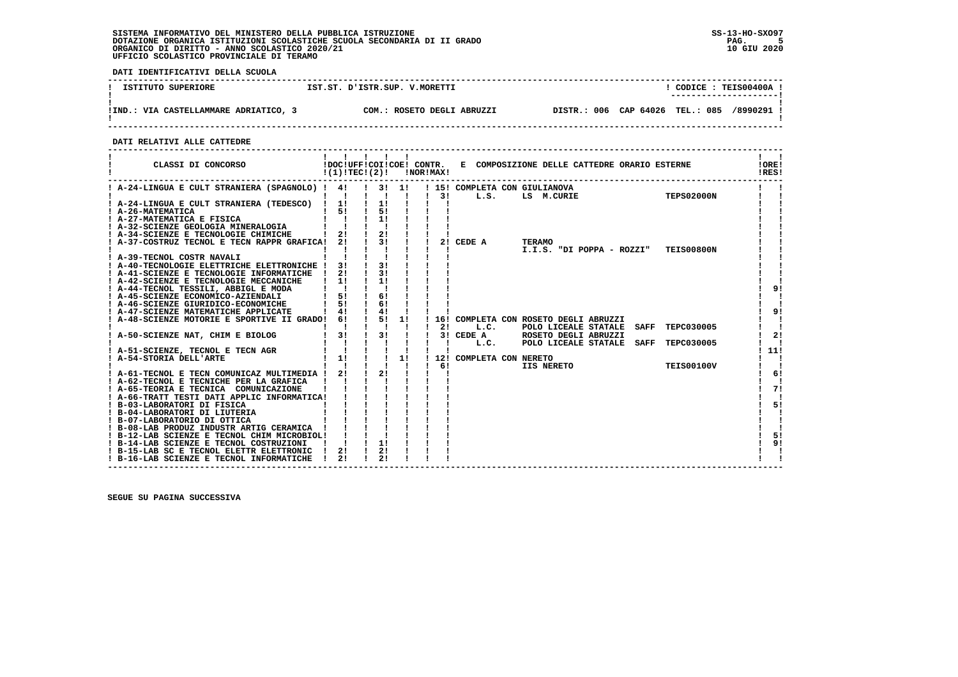**DATI IDENTIFICATIVI DELLA SCUOLA**

| ISTITUTO SUPERIORE             | IST.ST. D'ISTR.SUP. V.MORETTI | <b>TEIS00400A</b><br>CODICE :<br>---------------------- |
|--------------------------------|-------------------------------|---------------------------------------------------------|
| VIA CASTELLAMMARE ADRIATICO, 3 | ROSETO DEGLI ABRUZZI          | DISTR.: 006 CAP 64026 TEL.: 085                         |
| IIND.                          | $\sim$ $\sim$                 | /8990291                                                |

 **------------------------------------------------------------------------------------------------------------------------------------**

 **DATI RELATIVI ALLE CATTEDRE**

| ! A-24-LINGUA E CULT STRANIERA (SPAGNOLO) ! 4! ! 3! 1!<br>! 15! COMPLETA CON GIULIANOVA<br><b>TEPS02000N</b><br>$\mathbf{I}$<br>$1 \quad 31$<br>LS M.CURIE<br>L.S.<br>$\frac{1}{2}$<br>! A-24-LINGUA E CULT STRANIERA (TEDESCO) ! 1!<br>$1 \quad 51$<br>$\frac{1}{5!}$<br>! A-26-MATEMATICA<br>$1 \quad 1 \quad 1$<br>11<br>A-27-MATEMATICA E FISICA<br>A-32-SCIENZE GEOLOGIA MINERALOGIA<br>$2!$ $1$<br>2!<br>! A-34-SCIENZE E TECNOLOGIE CHIMICHE<br>$\frac{1}{3!}$<br>! A-37-COSTRUZ TECNOL E TECN RAPPR GRAFICA! 2!<br>2! CEDE A<br><b>TERAMO</b><br>I.I.S. "DI POPPA - ROZZI" TEIS00800N<br>A-39-TECNOL COSTR NAVALI<br>3!<br>! A-40-TECNOLOGIE ELETTRICHE ELETTRONICHE !<br>31<br>$\frac{1}{3}$<br>21<br>! A-41-SCIENZE E TECNOLOGIE INFORMATICHE !<br>11<br>! A-42-SCIENZE E TECNOLOGIE MECCANICHE<br>$\frac{1}{2}$<br>! A-44-TECNOL TESSILI, ABBIGL E MODA<br>$\mathbf{I}$ $\mathbf{I}$<br>91<br>51<br>6!<br>! A-45-SCIENZE ECONOMICO-AZIENDALI<br>61<br>51<br>! A-46-SCIENZE GIURIDICO-ECONOMICHE<br>$\frac{1}{4}$<br>41<br>! A-47-SCIENZE MATEMATICHE APPLICATE<br>1 51 11<br>! A-48-SCIENZE MOTORIE E SPORTIVE II GRADO! 6!<br>16! COMPLETA CON ROSETO DEGLI ABRUZZI<br>$\sim 1$ $\sim 1$ $\sim 1$<br>$1 \quad 21$<br>L.C.<br>POLO LICEALE STATALE SAFF<br><b>TEPC030005</b><br>$\frac{1}{3!}$ $\frac{1}{1}$<br>$1 \quad 31$<br>3! CEDE A<br>ROSETO DEGLI ABRUZZI<br>! A-50-SCIENZE NAT, CHIM E BIOLOG<br>POLO LICEALE STATALE SAFF<br><b>TEPC030005</b><br>L.C.<br>! A-51-SCIENZE, TECNOL E TECN AGR<br>$\begin{array}{cccc} 1 & 1 & 1 & 1 \\ 1 & 1 & 1 & 1 \end{array}$<br>1!<br>! A-54-STORIA DELL'ARTE<br>! 12! COMPLETA CON NERETO<br>IIS NERETO<br>$1 \quad 61$<br><b>TEIS00100V</b><br>2!<br>! A-61-TECNOL E TECN COMUNICAZ MULTIMEDIA ! 2! !<br>! A-62-TECNOL E TECNICHE PER LA GRAFICA<br>! A-65-TEORIA E TECNICA COMUNICAZIONE<br>! A-66-TRATT TESTI DATI APPLIC INFORMATICA!<br>! B-03-LABORATORI DI FISICA<br>! B-04-LABORATORI DI LIUTERIA<br>! B-07-LABORATORIO DI OTTICA<br>! B-08-LAB PRODUZ INDUSTR ARTIG CERAMICA<br>5!<br>! B-12-LAB SCIENZE E TECNOL CHIM MICROBIOL!<br>1!<br>! B-14-LAB SCIENZE E TECNOL COSTRUZIONI | CLASSI DI CONCORSO                       | $!(1)!TEC!(2)!$ $INORIMAX!$ |    |  |  |  | !DOC!UFF!COI!COE! CONTR. E COMPOSIZIONE DELLE CATTEDRE ORARIO ESTERNE |  |  | !ORE!<br>!RES! |
|------------------------------------------------------------------------------------------------------------------------------------------------------------------------------------------------------------------------------------------------------------------------------------------------------------------------------------------------------------------------------------------------------------------------------------------------------------------------------------------------------------------------------------------------------------------------------------------------------------------------------------------------------------------------------------------------------------------------------------------------------------------------------------------------------------------------------------------------------------------------------------------------------------------------------------------------------------------------------------------------------------------------------------------------------------------------------------------------------------------------------------------------------------------------------------------------------------------------------------------------------------------------------------------------------------------------------------------------------------------------------------------------------------------------------------------------------------------------------------------------------------------------------------------------------------------------------------------------------------------------------------------------------------------------------------------------------------------------------------------------------------------------------------------------------------------------------------------------------------------------------------------------------------------------------------------------------------------------------------------------------------------------------------------------------------------------------------------------------------------------------------------------------|------------------------------------------|-----------------------------|----|--|--|--|-----------------------------------------------------------------------|--|--|----------------|
| 91<br>-1<br>$\mathbf{I}$<br>2!<br>111<br>$\mathbf{I}$<br>$\mathbf{I}$<br>6!<br>1<br>71<br>5!<br>9!                                                                                                                                                                                                                                                                                                                                                                                                                                                                                                                                                                                                                                                                                                                                                                                                                                                                                                                                                                                                                                                                                                                                                                                                                                                                                                                                                                                                                                                                                                                                                                                                                                                                                                                                                                                                                                                                                                                                                                                                                                                   |                                          |                             |    |  |  |  |                                                                       |  |  |                |
|                                                                                                                                                                                                                                                                                                                                                                                                                                                                                                                                                                                                                                                                                                                                                                                                                                                                                                                                                                                                                                                                                                                                                                                                                                                                                                                                                                                                                                                                                                                                                                                                                                                                                                                                                                                                                                                                                                                                                                                                                                                                                                                                                      |                                          |                             |    |  |  |  |                                                                       |  |  |                |
|                                                                                                                                                                                                                                                                                                                                                                                                                                                                                                                                                                                                                                                                                                                                                                                                                                                                                                                                                                                                                                                                                                                                                                                                                                                                                                                                                                                                                                                                                                                                                                                                                                                                                                                                                                                                                                                                                                                                                                                                                                                                                                                                                      |                                          |                             |    |  |  |  |                                                                       |  |  |                |
|                                                                                                                                                                                                                                                                                                                                                                                                                                                                                                                                                                                                                                                                                                                                                                                                                                                                                                                                                                                                                                                                                                                                                                                                                                                                                                                                                                                                                                                                                                                                                                                                                                                                                                                                                                                                                                                                                                                                                                                                                                                                                                                                                      |                                          |                             |    |  |  |  |                                                                       |  |  |                |
|                                                                                                                                                                                                                                                                                                                                                                                                                                                                                                                                                                                                                                                                                                                                                                                                                                                                                                                                                                                                                                                                                                                                                                                                                                                                                                                                                                                                                                                                                                                                                                                                                                                                                                                                                                                                                                                                                                                                                                                                                                                                                                                                                      |                                          |                             |    |  |  |  |                                                                       |  |  |                |
|                                                                                                                                                                                                                                                                                                                                                                                                                                                                                                                                                                                                                                                                                                                                                                                                                                                                                                                                                                                                                                                                                                                                                                                                                                                                                                                                                                                                                                                                                                                                                                                                                                                                                                                                                                                                                                                                                                                                                                                                                                                                                                                                                      |                                          |                             |    |  |  |  |                                                                       |  |  |                |
|                                                                                                                                                                                                                                                                                                                                                                                                                                                                                                                                                                                                                                                                                                                                                                                                                                                                                                                                                                                                                                                                                                                                                                                                                                                                                                                                                                                                                                                                                                                                                                                                                                                                                                                                                                                                                                                                                                                                                                                                                                                                                                                                                      |                                          |                             |    |  |  |  |                                                                       |  |  |                |
|                                                                                                                                                                                                                                                                                                                                                                                                                                                                                                                                                                                                                                                                                                                                                                                                                                                                                                                                                                                                                                                                                                                                                                                                                                                                                                                                                                                                                                                                                                                                                                                                                                                                                                                                                                                                                                                                                                                                                                                                                                                                                                                                                      |                                          |                             |    |  |  |  |                                                                       |  |  |                |
|                                                                                                                                                                                                                                                                                                                                                                                                                                                                                                                                                                                                                                                                                                                                                                                                                                                                                                                                                                                                                                                                                                                                                                                                                                                                                                                                                                                                                                                                                                                                                                                                                                                                                                                                                                                                                                                                                                                                                                                                                                                                                                                                                      |                                          |                             |    |  |  |  |                                                                       |  |  |                |
|                                                                                                                                                                                                                                                                                                                                                                                                                                                                                                                                                                                                                                                                                                                                                                                                                                                                                                                                                                                                                                                                                                                                                                                                                                                                                                                                                                                                                                                                                                                                                                                                                                                                                                                                                                                                                                                                                                                                                                                                                                                                                                                                                      |                                          |                             |    |  |  |  |                                                                       |  |  |                |
|                                                                                                                                                                                                                                                                                                                                                                                                                                                                                                                                                                                                                                                                                                                                                                                                                                                                                                                                                                                                                                                                                                                                                                                                                                                                                                                                                                                                                                                                                                                                                                                                                                                                                                                                                                                                                                                                                                                                                                                                                                                                                                                                                      |                                          |                             |    |  |  |  |                                                                       |  |  |                |
|                                                                                                                                                                                                                                                                                                                                                                                                                                                                                                                                                                                                                                                                                                                                                                                                                                                                                                                                                                                                                                                                                                                                                                                                                                                                                                                                                                                                                                                                                                                                                                                                                                                                                                                                                                                                                                                                                                                                                                                                                                                                                                                                                      |                                          |                             |    |  |  |  |                                                                       |  |  |                |
|                                                                                                                                                                                                                                                                                                                                                                                                                                                                                                                                                                                                                                                                                                                                                                                                                                                                                                                                                                                                                                                                                                                                                                                                                                                                                                                                                                                                                                                                                                                                                                                                                                                                                                                                                                                                                                                                                                                                                                                                                                                                                                                                                      |                                          |                             |    |  |  |  |                                                                       |  |  |                |
|                                                                                                                                                                                                                                                                                                                                                                                                                                                                                                                                                                                                                                                                                                                                                                                                                                                                                                                                                                                                                                                                                                                                                                                                                                                                                                                                                                                                                                                                                                                                                                                                                                                                                                                                                                                                                                                                                                                                                                                                                                                                                                                                                      |                                          |                             |    |  |  |  |                                                                       |  |  |                |
|                                                                                                                                                                                                                                                                                                                                                                                                                                                                                                                                                                                                                                                                                                                                                                                                                                                                                                                                                                                                                                                                                                                                                                                                                                                                                                                                                                                                                                                                                                                                                                                                                                                                                                                                                                                                                                                                                                                                                                                                                                                                                                                                                      |                                          |                             |    |  |  |  |                                                                       |  |  |                |
|                                                                                                                                                                                                                                                                                                                                                                                                                                                                                                                                                                                                                                                                                                                                                                                                                                                                                                                                                                                                                                                                                                                                                                                                                                                                                                                                                                                                                                                                                                                                                                                                                                                                                                                                                                                                                                                                                                                                                                                                                                                                                                                                                      |                                          |                             |    |  |  |  |                                                                       |  |  |                |
|                                                                                                                                                                                                                                                                                                                                                                                                                                                                                                                                                                                                                                                                                                                                                                                                                                                                                                                                                                                                                                                                                                                                                                                                                                                                                                                                                                                                                                                                                                                                                                                                                                                                                                                                                                                                                                                                                                                                                                                                                                                                                                                                                      |                                          |                             |    |  |  |  |                                                                       |  |  |                |
|                                                                                                                                                                                                                                                                                                                                                                                                                                                                                                                                                                                                                                                                                                                                                                                                                                                                                                                                                                                                                                                                                                                                                                                                                                                                                                                                                                                                                                                                                                                                                                                                                                                                                                                                                                                                                                                                                                                                                                                                                                                                                                                                                      |                                          |                             |    |  |  |  |                                                                       |  |  |                |
|                                                                                                                                                                                                                                                                                                                                                                                                                                                                                                                                                                                                                                                                                                                                                                                                                                                                                                                                                                                                                                                                                                                                                                                                                                                                                                                                                                                                                                                                                                                                                                                                                                                                                                                                                                                                                                                                                                                                                                                                                                                                                                                                                      |                                          |                             |    |  |  |  |                                                                       |  |  |                |
|                                                                                                                                                                                                                                                                                                                                                                                                                                                                                                                                                                                                                                                                                                                                                                                                                                                                                                                                                                                                                                                                                                                                                                                                                                                                                                                                                                                                                                                                                                                                                                                                                                                                                                                                                                                                                                                                                                                                                                                                                                                                                                                                                      |                                          |                             |    |  |  |  |                                                                       |  |  |                |
|                                                                                                                                                                                                                                                                                                                                                                                                                                                                                                                                                                                                                                                                                                                                                                                                                                                                                                                                                                                                                                                                                                                                                                                                                                                                                                                                                                                                                                                                                                                                                                                                                                                                                                                                                                                                                                                                                                                                                                                                                                                                                                                                                      |                                          |                             |    |  |  |  |                                                                       |  |  |                |
|                                                                                                                                                                                                                                                                                                                                                                                                                                                                                                                                                                                                                                                                                                                                                                                                                                                                                                                                                                                                                                                                                                                                                                                                                                                                                                                                                                                                                                                                                                                                                                                                                                                                                                                                                                                                                                                                                                                                                                                                                                                                                                                                                      |                                          |                             |    |  |  |  |                                                                       |  |  |                |
|                                                                                                                                                                                                                                                                                                                                                                                                                                                                                                                                                                                                                                                                                                                                                                                                                                                                                                                                                                                                                                                                                                                                                                                                                                                                                                                                                                                                                                                                                                                                                                                                                                                                                                                                                                                                                                                                                                                                                                                                                                                                                                                                                      |                                          |                             |    |  |  |  |                                                                       |  |  |                |
|                                                                                                                                                                                                                                                                                                                                                                                                                                                                                                                                                                                                                                                                                                                                                                                                                                                                                                                                                                                                                                                                                                                                                                                                                                                                                                                                                                                                                                                                                                                                                                                                                                                                                                                                                                                                                                                                                                                                                                                                                                                                                                                                                      |                                          |                             |    |  |  |  |                                                                       |  |  |                |
|                                                                                                                                                                                                                                                                                                                                                                                                                                                                                                                                                                                                                                                                                                                                                                                                                                                                                                                                                                                                                                                                                                                                                                                                                                                                                                                                                                                                                                                                                                                                                                                                                                                                                                                                                                                                                                                                                                                                                                                                                                                                                                                                                      |                                          |                             |    |  |  |  |                                                                       |  |  |                |
|                                                                                                                                                                                                                                                                                                                                                                                                                                                                                                                                                                                                                                                                                                                                                                                                                                                                                                                                                                                                                                                                                                                                                                                                                                                                                                                                                                                                                                                                                                                                                                                                                                                                                                                                                                                                                                                                                                                                                                                                                                                                                                                                                      |                                          |                             |    |  |  |  |                                                                       |  |  |                |
|                                                                                                                                                                                                                                                                                                                                                                                                                                                                                                                                                                                                                                                                                                                                                                                                                                                                                                                                                                                                                                                                                                                                                                                                                                                                                                                                                                                                                                                                                                                                                                                                                                                                                                                                                                                                                                                                                                                                                                                                                                                                                                                                                      |                                          |                             |    |  |  |  |                                                                       |  |  |                |
|                                                                                                                                                                                                                                                                                                                                                                                                                                                                                                                                                                                                                                                                                                                                                                                                                                                                                                                                                                                                                                                                                                                                                                                                                                                                                                                                                                                                                                                                                                                                                                                                                                                                                                                                                                                                                                                                                                                                                                                                                                                                                                                                                      |                                          |                             |    |  |  |  |                                                                       |  |  |                |
|                                                                                                                                                                                                                                                                                                                                                                                                                                                                                                                                                                                                                                                                                                                                                                                                                                                                                                                                                                                                                                                                                                                                                                                                                                                                                                                                                                                                                                                                                                                                                                                                                                                                                                                                                                                                                                                                                                                                                                                                                                                                                                                                                      |                                          |                             |    |  |  |  |                                                                       |  |  |                |
|                                                                                                                                                                                                                                                                                                                                                                                                                                                                                                                                                                                                                                                                                                                                                                                                                                                                                                                                                                                                                                                                                                                                                                                                                                                                                                                                                                                                                                                                                                                                                                                                                                                                                                                                                                                                                                                                                                                                                                                                                                                                                                                                                      |                                          |                             |    |  |  |  |                                                                       |  |  |                |
|                                                                                                                                                                                                                                                                                                                                                                                                                                                                                                                                                                                                                                                                                                                                                                                                                                                                                                                                                                                                                                                                                                                                                                                                                                                                                                                                                                                                                                                                                                                                                                                                                                                                                                                                                                                                                                                                                                                                                                                                                                                                                                                                                      |                                          |                             |    |  |  |  |                                                                       |  |  |                |
|                                                                                                                                                                                                                                                                                                                                                                                                                                                                                                                                                                                                                                                                                                                                                                                                                                                                                                                                                                                                                                                                                                                                                                                                                                                                                                                                                                                                                                                                                                                                                                                                                                                                                                                                                                                                                                                                                                                                                                                                                                                                                                                                                      | ! B-15-LAB SC E TECNOL ELETTR ELETTRONIC | 21                          | 21 |  |  |  |                                                                       |  |  |                |
| 21<br>21<br>! B-16-LAB SCIENZE E TECNOL INFORMATICHE                                                                                                                                                                                                                                                                                                                                                                                                                                                                                                                                                                                                                                                                                                                                                                                                                                                                                                                                                                                                                                                                                                                                                                                                                                                                                                                                                                                                                                                                                                                                                                                                                                                                                                                                                                                                                                                                                                                                                                                                                                                                                                 |                                          |                             |    |  |  |  |                                                                       |  |  |                |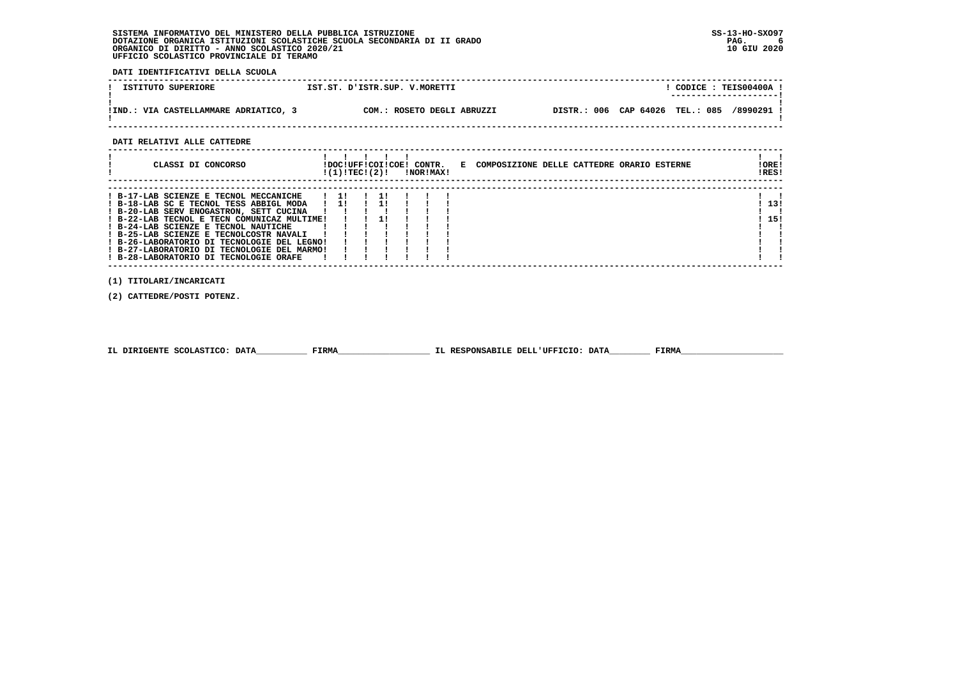**DATI IDENTIFICATIVI DELLA SCUOLA**

| ISTITUTO SUPERIORE                    | IST.ST. D'ISTR.SUP. V.MORETTI | CODICE: TEIS00400A<br>---------------------- |
|---------------------------------------|-------------------------------|----------------------------------------------|
| IIND.: VIA CASTELLAMMARE ADRIATICO, 3 | COM.: ROSETO DEGLI ABRUZZI    | DISTR.: 006 CAP 64026 TEL.: 085<br>/8990291  |

 **------------------------------------------------------------------------------------------------------------------------------------**

 **DATI RELATIVI ALLE CATTEDRE**

| CLASSI DI CONCORSO                                                                                                                                                                                                                                                                                                                                                                                     | !DOC!UFF!COI!COE! CONTR.<br>!(1)!TEC!(2)! |  | !NOR!MAX! | E COMPOSIZIONE DELLE CATTEDRE ORARIO ESTERNE | ! ORE!<br>IRES! |
|--------------------------------------------------------------------------------------------------------------------------------------------------------------------------------------------------------------------------------------------------------------------------------------------------------------------------------------------------------------------------------------------------------|-------------------------------------------|--|-----------|----------------------------------------------|-----------------|
| ! B-17-LAB SCIENZE E TECNOL MECCANICHE<br>! B-18-LAB SC E TECNOL TESS ABBIGL MODA<br>! B-20-LAB SERV ENOGASTRON, SETT CUCINA<br>! B-22-LAB TECNOL E TECN COMUNICAZ MULTIME!<br>! B-24-LAB SCIENZE E TECNOL NAUTICHE<br>! B-25-LAB SCIENZE E TECNOLCOSTR NAVALI<br>! B-26-LABORATORIO DI TECNOLOGIE DEL LEGNO!<br>! B-27-LABORATORIO DI TECNOLOGIE DEL MARMO!<br>! B-28-LABORATORIO DI TECNOLOGIE ORAFE | $1 \quad 11$<br>$1 \quad 11$              |  |           |                                              | 13!<br>15!      |

 **(1) TITOLARI/INCARICATI**

 **(2) CATTEDRE/POSTI POTENZ.**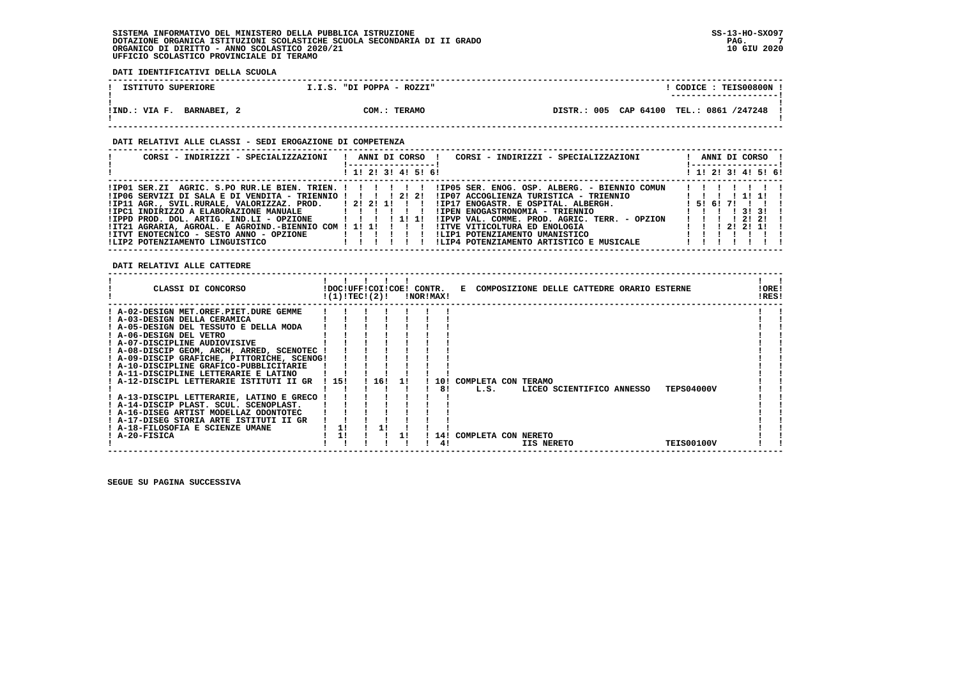**DATI IDENTIFICATIVI DELLA SCUOLA**

| ISTITUTO SUPERIORE        | I.I.S. "DI POPPA - ROZZI" | CODICE: TEIS00800N !                     |
|---------------------------|---------------------------|------------------------------------------|
| !IND.: VIA F. BARNABEI, 2 | COM.: TERAMO              | DISTR.: 005 CAP 64100 TEL.: 0861 /247248 |

# **DATI RELATIVI ALLE CLASSI - SEDI EROGAZIONE DI COMPETENZA**

| CORSI - INDIRIZZI - SPECIALIZZAZIONI                                                                 | ANNI DI CORSO !     |  | CORSI - INDIRIZZI - SPECIALIZZAZIONI          |  |          | ANNI DI CORSO !     |
|------------------------------------------------------------------------------------------------------|---------------------|--|-----------------------------------------------|--|----------|---------------------|
|                                                                                                      | ! 1! 2! 3! 4! 5! 6! |  |                                               |  |          | ! 1! 2! 3! 4! 5! 6! |
| IP01 SER.ZI AGRIC. S.PO RUR.LE BIEN. TRIEN. !!!!!!!!!!!!D05 SER. ENOG. OSP. ALBERG. - BIENNIO COMUN! |                     |  |                                               |  |          |                     |
| !IP06 SERVIZI DI SALA E DI VENDITA - TRIENNIO ! ! ! ! 2! 2!                                          |                     |  | !IP07 ACCOGLIENZA TURISTICA - TRIENNIO        |  |          | 11111111            |
| $IIP11$ AGR., SVIL.RURALE, VALORIZZAZ. PROD. $1211111$                                               |                     |  | !IP17 ENOGASTR. E OSPITAL. ALBERGH.           |  | 15161711 |                     |
| !IPC1 INDIRIZZO A ELABORAZIONE MANUALE           !!!!                                                |                     |  | !IPEN ENOGASTRONOMIA - TRIENNIO               |  |          | 1 1 1 1 3 1 3 1 1   |
| !IPPD PROD, DOL, ARTIG, IND.LI - OPZIONE                                                             |                     |  | !IPVP VAL. COMME. PROD. AGRIC. TERR. - OPZION |  |          | 1 1 1 1 2 1 2 1 1   |
| !IT21 AGRARIA, AGROAL. E AGROIND.-BIENNIO COM ! 1! 1! ! ! !                                          |                     |  | IITVE VITICOLTURA ED ENOLOGIA                 |  |          | 1 1 1 2 1 2 1 1 1   |
| !ITVT ENOTECNICO - SESTO ANNO - OPZIONE                                                              | 11111               |  | !LIP1 POTENZIAMENTO UMANISTICO                |  |          |                     |
| !LIP2 POTENZIAMENTO LINGUISTICO                                                                      |                     |  | !LIP4 POTENZIAMENTO ARTISTICO E MUSICALE      |  |          |                     |

 **DATI RELATIVI ALLE CATTEDRE**

| CLASSI DI CONCORSO                          |       | !DOC!UFF!COI!COE! CONTR.<br>!(1)!TECI(2)! |     | INORIMAXI |                         |            | E COMPOSIZIONE DELLE CATTEDRE ORARIO ESTERNE |                   | !ORE!<br>!RES! |
|---------------------------------------------|-------|-------------------------------------------|-----|-----------|-------------------------|------------|----------------------------------------------|-------------------|----------------|
| ! A-02-DESIGN MET.OREF.PIET.DURE GEMME      |       |                                           |     |           |                         |            |                                              |                   |                |
| ! A-03-DESIGN DELLA CERAMICA                |       |                                           |     |           |                         |            |                                              |                   |                |
| ! A-05-DESIGN DEL TESSUTO E DELLA MODA      |       |                                           |     |           |                         |            |                                              |                   |                |
| ! A-06-DESIGN DEL VETRO                     |       |                                           |     |           |                         |            |                                              |                   |                |
| ! A-07-DISCIPLINE AUDIOVISIVE               |       |                                           |     |           |                         |            |                                              |                   |                |
| ! A-08-DISCIP GEOM, ARCH, ARRED, SCENOTEC   |       |                                           |     |           |                         |            |                                              |                   |                |
| ! A-09-DISCIP GRAFICHE, PITTORICHE, SCENOG! |       |                                           |     |           |                         |            |                                              |                   |                |
| ! A-10-DISCIPLINE GRAFICO-PUBBLICITARIE     |       |                                           |     |           |                         |            |                                              |                   |                |
| ! A-11-DISCIPLINE LETTERARIE E LATINO       |       |                                           |     |           |                         |            |                                              |                   |                |
| ! A-12-DISCIPL LETTERARIE ISTITUTI II GR    | 1.151 | 16!                                       | -11 | 101       | COMPLETA CON TERAMO     |            |                                              |                   |                |
|                                             |       |                                           |     | 81        | L.S.                    |            | LICEO SCIENTIFICO ANNESSO                    | <b>TEPS04000V</b> |                |
| ! A-13-DISCIPL LETTERARIE, LATINO E GRECO   |       |                                           |     |           |                         |            |                                              |                   |                |
| ! A-14-DISCIP PLAST. SCUL. SCENOPLAST.      |       |                                           |     |           |                         |            |                                              |                   |                |
| ! A-16-DISEG ARTIST MODELLAZ ODONTOTEC      |       |                                           |     |           |                         |            |                                              |                   |                |
| ! A-17-DISEG STORIA ARTE ISTITUTI II GR     |       |                                           |     |           |                         |            |                                              |                   |                |
| ! A-18-FILOSOFIA E SCIENZE UMANE            | 11    |                                           |     |           |                         |            |                                              |                   |                |
| ! A-20-FISICA                               | 1!    |                                           | 11  |           | 14! COMPLETA CON NERETO |            |                                              |                   |                |
|                                             |       |                                           |     | 41        |                         | IIS NERETO |                                              | <b>TEIS00100V</b> |                |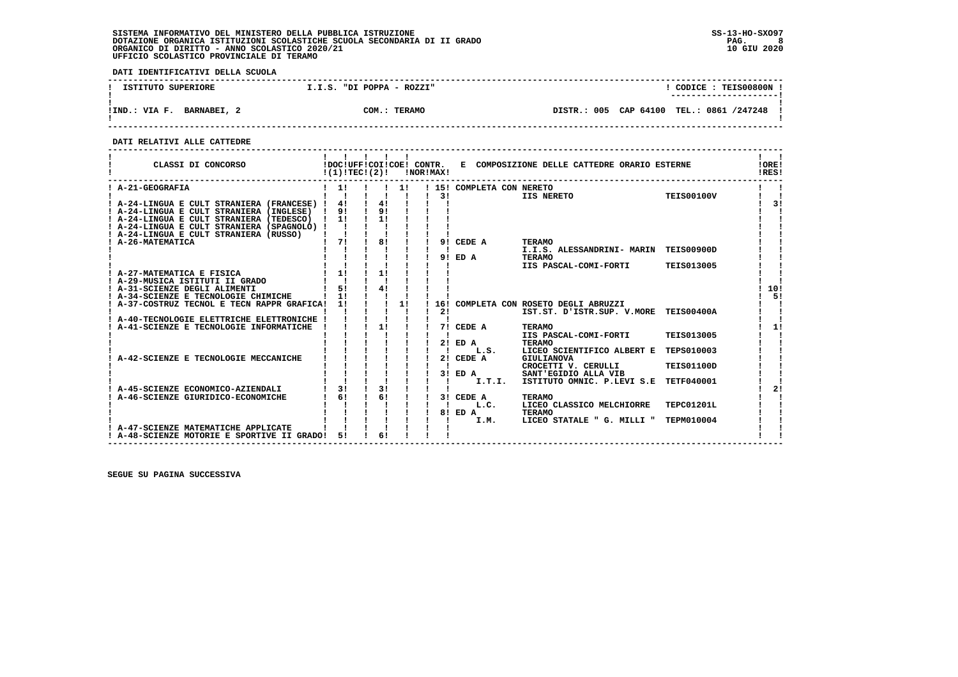**DATI IDENTIFICATIVI DELLA SCUOLA**

| ISTITUTO SUPERIORE           | I.I.S. "DI POPPA - ROZZI" | CODICE: TEIS00800N !                        |
|------------------------------|---------------------------|---------------------------------------------|
|                              |                           | ----------------------                      |
| BARNABEI, 2<br>!IND.: VIA F. | COM.: TERAMO              | CAP 64100 TEL.: 0861 /247248<br>DISTR.: 005 |

 **------------------------------------------------------------------------------------------------------------------------------------**

 **DATI RELATIVI ALLE CATTEDRE**

| CLASSI DI CONCORSO                          | !DOC!UFF!COI!COE! CONTR.<br>!(1)!TECI(2)! |    |    | !NOR!MAX! |                           | E COMPOSIZIONE DELLE CATTEDRE ORARIO ESTERNE |                   | !ORE!<br>!RES! |
|---------------------------------------------|-------------------------------------------|----|----|-----------|---------------------------|----------------------------------------------|-------------------|----------------|
| ! A-21-GEOGRAFIA                            | 1!                                        |    | 11 | 31        | ! 15! COMPLETA CON NERETO | IIS NERETO                                   | <b>TEIS00100V</b> |                |
| A-24-LINGUA E CULT STRANIERA (FRANCESE) !   | 4!                                        | 4! |    |           |                           |                                              |                   | 31             |
| ! A-24-LINGUA E CULT STRANIERA (INGLESE)    | 91                                        | 91 |    |           |                           |                                              |                   |                |
| ! A-24-LINGUA E CULT STRANIERA (TEDESCO)    | $\frac{1}{1}$                             | 11 |    |           |                           |                                              |                   |                |
| ! A-24-LINGUA E CULT STRANIERA (SPAGNOLO) ! |                                           |    |    |           |                           |                                              |                   |                |
| ! A-24-LINGUA E CULT STRANIERA (RUSSO)      |                                           |    |    |           |                           |                                              |                   |                |
| ! A-26-MATEMATICA                           | 71                                        | 81 |    |           | 9! CEDE A                 | <b>TERAMO</b>                                |                   |                |
|                                             |                                           |    |    |           |                           | I.I.S. ALESSANDRINI- MARIN TEIS00900D        |                   |                |
|                                             |                                           |    |    |           | 9! ED A                   | <b>TERAMO</b>                                |                   |                |
|                                             |                                           |    |    |           |                           | IIS PASCAL-COMI-FORTI                        | <b>TEIS013005</b> |                |
| A-27-MATEMATICA E FISICA                    | 11                                        | 11 |    |           |                           |                                              |                   |                |
| ! A-29-MUSICA ISTITUTI II GRADO             |                                           |    |    |           |                           |                                              |                   |                |
| ! A-31-SCIENZE DEGLI ALIMENTI               | 51<br>11                                  | 41 |    |           |                           |                                              |                   | 10!            |
| ! A-34-SCIENZE E TECNOLOGIE CHIMICHE        |                                           |    |    |           |                           |                                              |                   | 51             |
| ! A-37-COSTRUZ TECNOL E TECN RAPPR GRAFICA! | 11                                        |    | 1! | 21        |                           | 16! COMPLETA CON ROSETO DEGLI ABRUZZI        |                   |                |
| A-40-TECNOLOGIE ELETTRICHE ELETTRONICHE !   |                                           |    |    |           |                           | IST.ST. D'ISTR.SUP. V.MORE TEIS00400A        |                   |                |
| A-41-SCIENZE E TECNOLOGIE INFORMATICHE      |                                           | 11 |    |           | 7! CEDE A                 | <b>TERAMO</b>                                |                   | 1!             |
|                                             |                                           |    |    |           |                           | IIS PASCAL-COMI-FORTI                        | <b>TEIS013005</b> |                |
|                                             |                                           |    |    |           | $2!$ ED A                 | <b>TERAMO</b>                                |                   |                |
|                                             |                                           |    |    |           | L.S.                      | LICEO SCIENTIFICO ALBERT E                   | <b>TEPS010003</b> |                |
| A-42-SCIENZE E TECNOLOGIE MECCANICHE        |                                           |    |    | 2!        | CEDE A                    | GIULIANOVA                                   |                   |                |
|                                             |                                           |    |    |           |                           | CROCETTI V. CERULLI                          | <b>TEIS01100D</b> |                |
|                                             |                                           |    |    |           | $3!$ ED A                 | SANT'EGIDIO ALLA VIB                         |                   |                |
|                                             |                                           |    |    |           | I.T.I.                    | ISTITUTO OMNIC. P.LEVI S.E                   | <b>TETF040001</b> |                |
| A-45-SCIENZE ECONOMICO-AZIENDALI            | 3!                                        | 3! |    |           |                           |                                              |                   | 21             |
| A-46-SCIENZE GIURIDICO-ECONOMICHE           | 61                                        | 6! |    |           | 3! CEDE A                 | <b>TERAMO</b>                                |                   |                |
|                                             |                                           |    |    |           | L.C.                      | LICEO CLASSICO MELCHIORRE                    | TEPC01201L        |                |
|                                             |                                           |    |    |           | 8! ED A                   | <b>TERAMO</b>                                |                   |                |
|                                             |                                           |    |    |           | I.M.                      | LICEO STATALE " G. MILLI "                   | TEPM010004        |                |
| A-47-SCIENZE MATEMATICHE APPLICATE          | 51                                        | 6! |    |           |                           |                                              |                   |                |
| ! A-48-SCIENZE MOTORIE E SPORTIVE II GRADO! |                                           |    |    |           |                           |                                              |                   |                |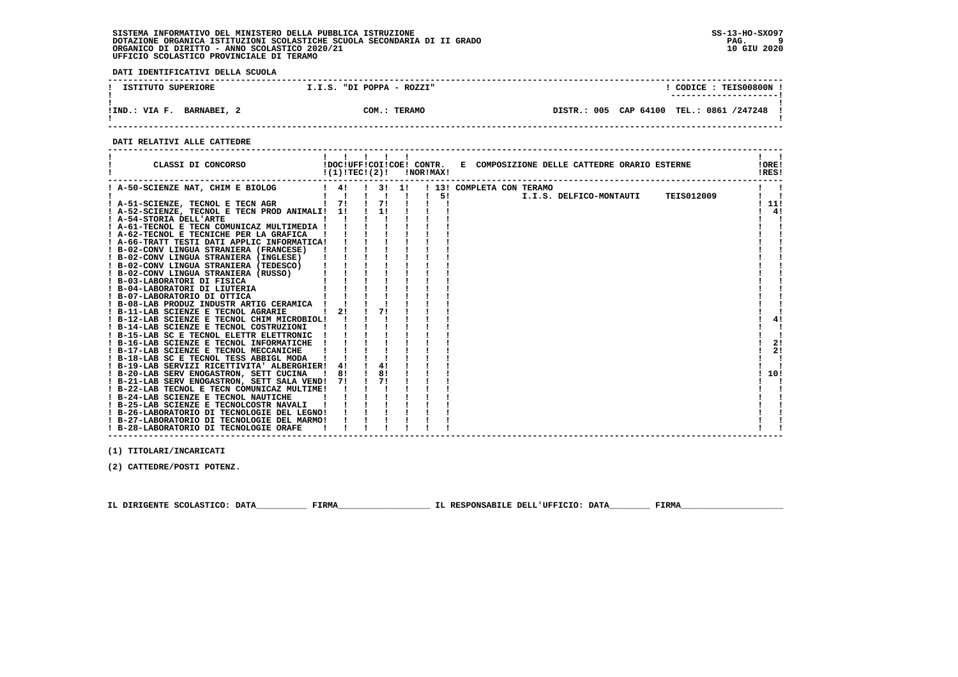**DATI IDENTIFICATIVI DELLA SCUOLA**

| ISTITUTO SUPERIORE           | I.I.S. "DI POPPA - ROZZI" | CODICE: TEIS00800N                          |
|------------------------------|---------------------------|---------------------------------------------|
|                              |                           | -----------------------                     |
| !IND.: VIA F.<br>BARNABEI, 2 | COM.: TERAMO              | DISTR.: 005 CAP 64100<br>TEL.: 0861 /247248 |

 **------------------------------------------------------------------------------------------------------------------------------------**

#### **DATI RELATIVI ALLE CATTEDRE**

| CLASSI DI CONCORSO                                                             | !(1)!TECI(2)! |               |                       | !NOR!MAX!    | !DOC!UFF!COI!COE! CONTR. E COMPOSIZIONE DELLE CATTEDRE ORARIO ESTERNE                | !ORE!<br>!RES! |
|--------------------------------------------------------------------------------|---------------|---------------|-----------------------|--------------|--------------------------------------------------------------------------------------|----------------|
| ! A-50-SCIENZE NAT, CHIM E BIOLOG                                              | $\frac{1}{4}$ |               | $1 \quad 3! \quad 1!$ |              | ! 13! COMPLETA CON TERAMO                                                            |                |
|                                                                                |               |               | $\blacksquare$        | $\mathbf{I}$ | <b>TEIS012009</b><br>$5!$ and $\sim$ $\sim$ $\sim$ $\sim$<br>I.I.S. DELFICO-MONTAUTI |                |
| 1 71 1 71<br>! A-51-SCIENZE, TECNOL E TECN AGR                                 |               |               |                       |              |                                                                                      | 11!            |
| ! A-52-SCIENZE, TECNOL E TECN PROD ANIMALI! 1!                                 |               | $\frac{1}{1}$ |                       |              |                                                                                      | 4!             |
| ! A-54-STORIA DELL'ARTE                                                        |               |               |                       |              |                                                                                      |                |
| ! A-61-TECNOL E TECN COMUNICAZ MULTIMEDIA !                                    |               |               |                       |              |                                                                                      |                |
| ! A-62-TECNOL E TECNICHE PER LA GRAFICA                                        |               |               |                       |              |                                                                                      |                |
| ! A-66-TRATT TESTI DATI APPLIC INFORMATICA!                                    |               |               |                       |              |                                                                                      |                |
| ! B-02-CONV LINGUA STRANIERA (FRANCESE)                                        |               |               |                       |              |                                                                                      |                |
| ! B-02-CONV LINGUA STRANIERA (INGLESE)                                         |               |               |                       |              |                                                                                      |                |
| ! B-02-CONV LINGUA STRANIERA (TEDESCO)<br>! B-02-CONV LINGUA STRANIERA (RUSSO) |               |               |                       |              |                                                                                      |                |
| ! B-03-LABORATORI DI FISICA                                                    |               |               |                       |              |                                                                                      |                |
| ! B-04-LABORATORI DI LIUTERIA                                                  |               |               |                       |              |                                                                                      |                |
| ! B-07-LABORATORIO DI OTTICA                                                   |               |               |                       |              |                                                                                      |                |
| ! B-08-LAB PRODUZ INDUSTR ARTIG CERAMICA                                       |               |               |                       |              |                                                                                      |                |
| ! B-11-LAB SCIENZE E TECNOL AGRARIE                                            | 2!            | 7!            |                       |              |                                                                                      |                |
| ! B-12-LAB SCIENZE E TECNOL CHIM MICROBIOL!                                    |               |               |                       |              |                                                                                      | 4!             |
| ! B-14-LAB SCIENZE E TECNOL COSTRUZIONI                                        |               |               |                       |              |                                                                                      |                |
| ! B-15-LAB SC E TECNOL ELETTR ELETTRONIC                                       |               |               |                       |              |                                                                                      |                |
| ! B-16-LAB SCIENZE E TECNOL INFORMATICHE                                       |               |               |                       |              |                                                                                      | 2!             |
| ! B-17-LAB SCIENZE E TECNOL MECCANICHE                                         |               |               |                       |              |                                                                                      | 2!             |
| ! B-18-LAB SC E TECNOL TESS ABBIGL MODA                                        |               |               |                       |              |                                                                                      |                |
| ! B-19-LAB SERVIZI RICETTIVITA' ALBERGHIER!                                    | 4!            | 4!            |                       |              |                                                                                      |                |
| ! B-20-LAB SERV ENOGASTRON, SETT CUCINA                                        | <b>181</b>    |               | 8!                    |              |                                                                                      | 10!            |
| ! B-21-LAB SERV ENOGASTRON, SETT SALA VEND!                                    | 71            |               |                       |              |                                                                                      |                |
| ! B-22-LAB TECNOL E TECN COMUNICAZ MULTIME!                                    |               |               |                       |              |                                                                                      |                |
| ! B-24-LAB SCIENZE E TECNOL NAUTICHE                                           |               |               |                       |              |                                                                                      |                |
| ! B-25-LAB SCIENZE E TECNOLCOSTR NAVALI                                        |               |               |                       |              |                                                                                      |                |
| ! B-26-LABORATORIO DI TECNOLOGIE DEL LEGNO!                                    |               |               |                       |              |                                                                                      |                |
| ! B-27-LABORATORIO DI TECNOLOGIE DEL MARMO!                                    |               |               |                       |              |                                                                                      |                |
| ! B-28-LABORATORIO DI TECNOLOGIE ORAFE                                         |               |               |                       |              |                                                                                      |                |

 **------------------------------------------------------------------------------------------------------------------------------------**

 **(1) TITOLARI/INCARICATI**

 **(2) CATTEDRE/POSTI POTENZ.**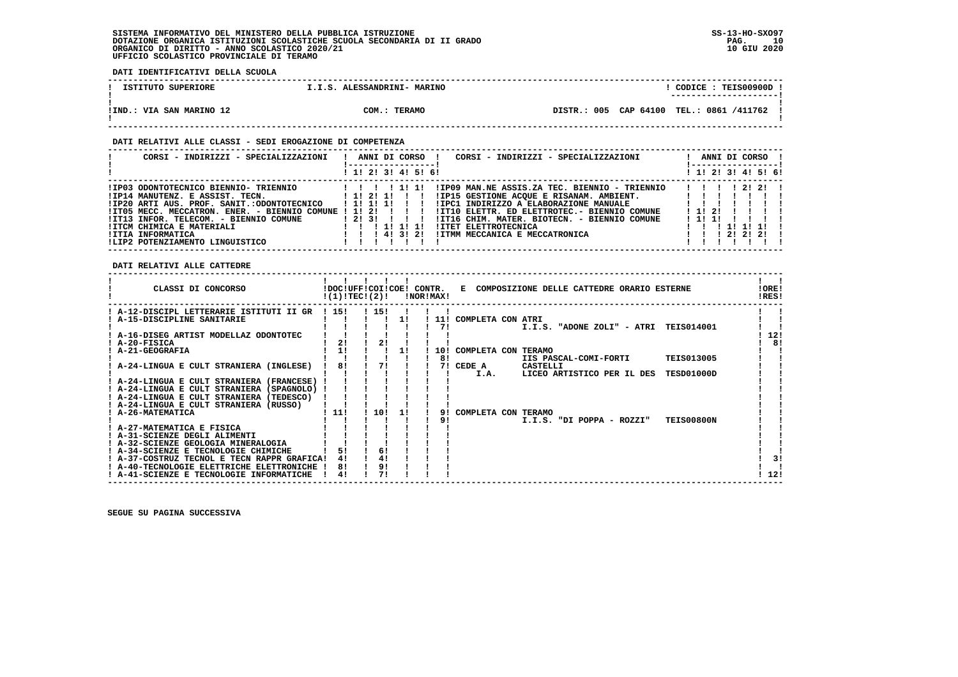**DATI IDENTIFICATIVI DELLA SCUOLA**

| ISTITUTO SUPERIORE       | I.I.S. ALESSANDRINI- MARINO | CODICE: TEIS00900D<br>---------------------- |
|--------------------------|-----------------------------|----------------------------------------------|
| !IND.: VIA SAN MARINO 12 | COM.: TERAMO                | DISTR.: 005 CAP 64100 TEL.: 0861 /411762     |

## **DATI RELATIVI ALLE CLASSI - SEDI EROGAZIONE DI COMPETENZA**

| CORSI - INDIRIZZI - SPECIALIZZAZIONI                                                                                                                                                                                                                                                                                            | ANNI DI CORSO !<br>CORSI - INDIRIZZI - SPECIALIZZAZIONI<br>! 1! 2! 3! 4! 5! 6!                                                                                                                                                                                                                                                                                     | ANNI DI CORSO !<br>! 1! 2! 3! 4! 5! 6!                                                                          |
|---------------------------------------------------------------------------------------------------------------------------------------------------------------------------------------------------------------------------------------------------------------------------------------------------------------------------------|--------------------------------------------------------------------------------------------------------------------------------------------------------------------------------------------------------------------------------------------------------------------------------------------------------------------------------------------------------------------|-----------------------------------------------------------------------------------------------------------------|
| !IP03 ODONTOTECNICO BIENNIO- TRIENNIO<br>$!IPI4$ MANUTENZ. E ASSIST. TECN. $11211$ $1131$<br>!IP20 ARTI AUS. PROF. SANIT.:ODONTOTECNICO<br>!IT05 MECC. MECCATRON. ENER. - BIENNIO COMUNE ! 1! 2!<br>!IT13 INFOR. TELECOM. - BIENNIO COMUNE<br>!ITCM CHIMICA E MATERIALI<br>!ITIA INFORMATICA<br>ILIP2 POTENZIAMENTO LINGUISTICO | !IP09 MAN.NE ASSIS.ZA TEC. BIENNIO - TRIENNIO<br>!IP15 GESTIONE ACOUE E RISANAM. AMBIENT. [ !! !<br>IIPC1 INDIRIZZO A ELABORAZIONE MANUALE<br>1 11 11 11<br>!IT10 ELETTR. ED ELETTROTEC.- BIENNIO COMUNE<br>12131 11<br>!IT16 CHIM. MATER. BIOTECN. - BIENNIO COMUNE<br>1 1 1 1 1 1<br>!ITET ELETTROTECNICA<br>1 1 1 4 1 3 1 2 1<br>IITMM MECCANICA E MECCATRONICA | 1 1 1 1 2 1 2 1<br>$1 \; 11 \; 21$<br>1111<br>1 1 1 1 1 1 1 1<br>$1 \quad 1 \quad 1 \quad 21 \quad 21 \quad 21$ |

 **DATI RELATIVI ALLE CATTEDRE**

| CLASSI DI CONCORSO                                  |       | !DOC!UFF!COI!COE! CONTR.<br>!(1)!TEC!(2)! | !NOR!MAX! |            | E COMPOSIZIONE DELLE CATTEDRE ORARIO ESTERNE     | !ORE!<br>!RES! |
|-----------------------------------------------------|-------|-------------------------------------------|-----------|------------|--------------------------------------------------|----------------|
| ! A-12-DISCIPL LETTERARIE ISTITUTI II GR            | ! 15! | ! 15!                                     |           |            |                                                  |                |
| A-15-DISCIPLINE SANITARIE                           |       |                                           |           | <b>111</b> | COMPLETA CON ATRI                                |                |
|                                                     |       |                                           |           | 71         | <b>TEIS014001</b><br>I.I.S. "ADONE ZOLI" - ATRI  |                |
| ! A-16-DISEG ARTIST MODELLAZ ODONTOTEC              |       |                                           |           |            |                                                  | 12!            |
| ! A-20-FISICA                                       | 21    | 21                                        |           |            |                                                  | 8!             |
| ! A-21-GEOGRAFIA                                    | 1!    |                                           |           | 10!        | COMPLETA CON TERAMO                              |                |
|                                                     |       |                                           |           | 81         | IIS PASCAL-COMI-FORTI<br><b>TEIS013005</b>       |                |
| ! A-24-LINGUA E CULT STRANIERA (INGLESE)            | 81    | 71                                        |           | 71         | CEDE A<br>CASTELLI                               |                |
|                                                     |       |                                           |           |            | LICEO ARTISTICO PER IL DES<br>TESD01000D<br>I.A. |                |
| ! A-24-LINGUA E CULT STRANIERA (FRANCESE)           |       |                                           |           |            |                                                  |                |
| ! A-24-LINGUA E CULT STRANIERA (SPAGNOLO)           |       |                                           |           |            |                                                  |                |
| ! A-24-LINGUA E CULT STRANIERA (TEDESCO)            |       |                                           |           |            |                                                  |                |
| A-24-LINGUA E CULT STRANIERA (RUSSO)                |       |                                           |           |            |                                                  |                |
| ! A-26-MATEMATICA                                   | ! 11! | 10!                                       |           |            | COMPLETA CON TERAMO                              |                |
|                                                     |       |                                           |           | 91         | <b>TEIS00800N</b><br>I.I.S. "DI POPPA - ROZZI"   |                |
| ! A-27-MATEMATICA E FISICA                          |       |                                           |           |            |                                                  |                |
| ! A-31-SCIENZE DEGLI ALIMENTI                       |       |                                           |           |            |                                                  |                |
| A-32-SCIENZE GEOLOGIA MINERALOGIA                   |       |                                           |           |            |                                                  |                |
| ! A-34-SCIENZE E TECNOLOGIE CHIMICHE                | 51    | 6!                                        |           |            |                                                  |                |
| ! A-37-COSTRUZ TECNOL E TECN RAPPR GRAFICA!         | 4!    | 41                                        |           |            |                                                  | 3!             |
| ! A-40-TECNOLOGIE ELETTRICHE<br><b>ELETTRONICHE</b> | 81    | 9!                                        |           |            |                                                  |                |
| ! A-41-SCIENZE E TECNOLOGIE INFORMATICHE            | 4!    |                                           |           |            |                                                  | 12!            |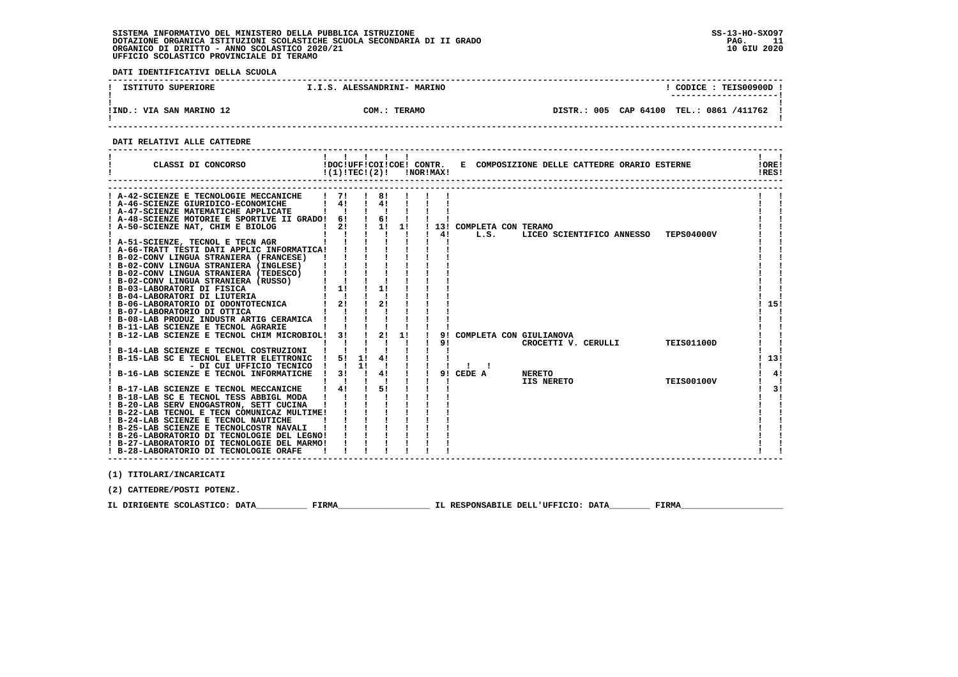**DATI IDENTIFICATIVI DELLA SCUOLA**

| ISTITUTO SUPERIORE       | I.I.S. ALESSANDRINI- MARINO | CODICE: TEIS00900D<br>---------------------- |
|--------------------------|-----------------------------|----------------------------------------------|
| !IND.: VIA SAN MARINO 12 | COM.: TERAMO                | DISTR.: 005 CAP 64100 TEL.: 0861 /411762     |

 **DATI RELATIVI ALLE CATTEDRE**

| CLASSI DI CONCORSO<br>-1                                                                                                                                                                                                                                                                                                                                                                                                                                                                                                                                                                                                                                                                            | $\mathbf{1}$ $\mathbf{1}$ $\mathbf{1}$ $\mathbf{1}$ $\mathbf{1}$<br>!(1)!TECI(2)!                                                        |    |                                                                                                                                                       |                | !NOR!MAX! |              |                                   | !DOC!UFF!COI!COE! CONTR. E COMPOSIZIONE DELLE CATTEDRE ORARIO ESTERNE |                   | $\mathbf{I}$ $\mathbf{I}$<br>!ORE!<br>IRES! |
|-----------------------------------------------------------------------------------------------------------------------------------------------------------------------------------------------------------------------------------------------------------------------------------------------------------------------------------------------------------------------------------------------------------------------------------------------------------------------------------------------------------------------------------------------------------------------------------------------------------------------------------------------------------------------------------------------------|------------------------------------------------------------------------------------------------------------------------------------------|----|-------------------------------------------------------------------------------------------------------------------------------------------------------|----------------|-----------|--------------|-----------------------------------|-----------------------------------------------------------------------|-------------------|---------------------------------------------|
| ! A-42-SCIENZE E TECNOLOGIE MECCANICHE<br>! A-46-SCIENZE GIURIDICO-ECONOMICHE<br>! A-47-SCIENZE MATEMATICHE APPLICATE<br>! A-48-SCIENZE MOTORIE E SPORTIVE II GRADO! 6!<br>! A-50-SCIENZE NAT, CHIM E BIOLOG<br>! A-51-SCIENZE, TECNOL E TECN AGR<br>! A-66-TRATT TESTI DATI APPLIC INFORMATICA!<br>! B-02-CONV LINGUA STRANIERA (FRANCESE)<br>! B-02-CONV LINGUA STRANIERA (INGLESE)<br>! B-02-CONV LINGUA STRANIERA (TEDESCO)<br>! B-02-CONV LINGUA STRANIERA (RUSSO)<br>! B-03-LABORATORI DI FISICA<br>! B-04-LABORATORI DI LIUTERIA<br>! B-06-LABORATORIO DI ODONTOTECNICA<br>! B-07-LABORATORIO DI OTTICA<br>! B-08-LAB PRODUZ INDUSTR ARTIG CERAMICA !<br>! B-11-LAB SCIENZE E TECNOL AGRARIE | $1 \quad 71$<br>$\frac{1}{4}$<br>$\blacksquare$<br>$\mathbf{I}$<br>21<br>-1<br>$1 \quad 1!$<br>$\mathbf{I}$ $\mathbf{I}$<br>$1 \quad 21$ |    | $\frac{1}{1}$ 8! $\frac{1}{1}$<br>$\frac{1}{2}$ 41<br>$\blacksquare$<br>$\frac{1}{6}$<br>$1 \quad 1! \quad 1!$<br>$\mathbf{I}$<br>$\frac{1}{2}$<br>21 | $\blacksquare$ |           | $1 \quad 41$ | ! 13! COMPLETA CON TERAMO<br>L.S. | LICEO SCIENTIFICO ANNESSO TEPS04000V                                  |                   | 15!                                         |
| ! B-12-LAB SCIENZE E TECNOL CHIM MICROBIOL! 3!                                                                                                                                                                                                                                                                                                                                                                                                                                                                                                                                                                                                                                                      |                                                                                                                                          |    | $\frac{1}{2}$<br>$\mathbf{I}$ $\mathbf{I}$                                                                                                            | 11             |           | 91           |                                   | 9! COMPLETA CON GIULIANOVA<br>CROCETTI V. CERULLI                     | <b>TEIS01100D</b> |                                             |
| ! B-14-LAB SCIENZE E TECNOL COSTRUZIONI ! !<br>! B-15-LAB SC E TECNOL ELETTR ELETTRONIC ! 5! 1! 4!<br>- DI CUI UFFICIO TECNICO !!<br>! B-16-LAB SCIENZE E TECNOL INFORMATICHE                                                                                                                                                                                                                                                                                                                                                                                                                                                                                                                       | $\frac{1}{31}$<br>$\mathbf{1}$ $\mathbf{1}$                                                                                              | 11 | $\blacksquare$<br>$\frac{1}{4}$                                                                                                                       |                |           |              | $\frac{1}{2}$<br>9! CEDE A        | <b>NERETO</b><br>IIS NERETO                                           | TEIS00100V        | 113!<br>4!<br>- 1                           |
| ! B-17-LAB SCIENZE E TECNOL MECCANICHE<br>! B-18-LAB SC E TECNOL TESS ABBIGL MODA<br>! B-20-LAB SERV ENOGASTRON, SETT CUCINA<br>! B-22-LAB TECNOL E TECN COMUNICAZ MULTIME!<br>! B-24-LAB SCIENZE E TECNOL NAUTICHE<br>! B-25-LAB SCIENZE E TECNOLCOSTR NAVALI<br>! B-26-LABORATORIO DI TECNOLOGIE DEL LEGNO!<br>! B-27-LABORATORIO DI TECNOLOGIE DEL MARMO!<br>! B-28-LABORATORIO DI TECNOLOGIE ORAFE                                                                                                                                                                                                                                                                                              | $1 \quad 41$<br>$\mathbf{1}$ $\mathbf{1}$ $\mathbf{1}$<br>$\blacksquare$                                                                 |    | $\frac{1}{5}$                                                                                                                                         |                |           |              |                                   |                                                                       |                   | 3!                                          |
| (1) TITOLARI/INCARICATI<br>(2) CATTEDRE/POSTI POTENZ.                                                                                                                                                                                                                                                                                                                                                                                                                                                                                                                                                                                                                                               |                                                                                                                                          |    |                                                                                                                                                       |                |           |              |                                   |                                                                       |                   |                                             |
| IL DIRIGENTE SCOLASTICO: DATA                                                                                                                                                                                                                                                                                                                                                                                                                                                                                                                                                                                                                                                                       | FIRMA                                                                                                                                    |    |                                                                                                                                                       |                |           |              |                                   | IL RESPONSABILE DELL'UFFICIO: DATA                                    | FIRMA             |                                             |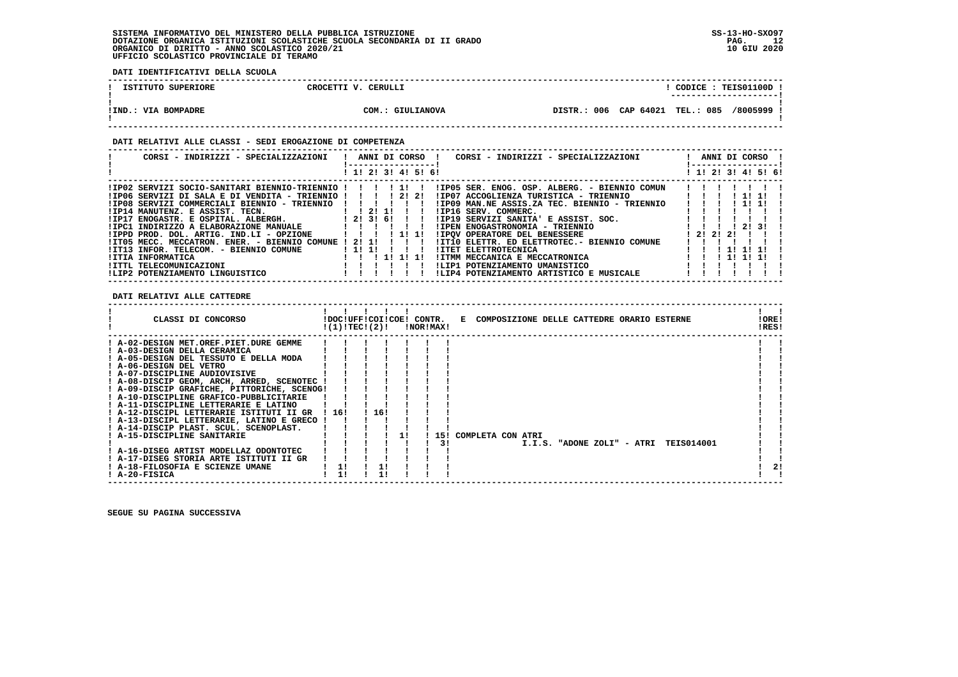**DATI IDENTIFICATIVI DELLA SCUOLA**

| ISTITUTO SUPERIORE  | CROCETTI V. CERULLI | CODICE: TEIS01100D                                |
|---------------------|---------------------|---------------------------------------------------|
| !IND.: VIA BOMPADRE | COM.: GIULIANOVA    | /8005999<br>085<br>006 CAP 64021 TEL.:<br>DISTR.: |

# **DATI RELATIVI ALLE CLASSI - SEDI EROGAZIONE DI COMPETENZA**

| CORSI - INDIRIZZI - SPECIALIZZAZIONI            | ANNI DI CORSO<br>CORSI - INDIRIZZI - SPECIALIZZAZIONI      | ANNI DI CORSO !     |
|-------------------------------------------------|------------------------------------------------------------|---------------------|
|                                                 | 1! 2! 3! 4! 5! 6!                                          | ! 1! 2! 3! 4! 5! 6! |
| !IP02 SERVIZI SOCIO-SANITARI BIENNIO-TRIENNIO ! | !IP05 SER, ENOG, OSP, ALBERG, - BIENNIO COMUN<br>$1$ 1 1 1 |                     |
| !IP06 SERVIZI DI SALA E DI VENDITA - TRIENNIO ! | 21 21<br>!IP07 ACCOGLIENZA TURISTICA - TRIENNIO            |                     |
| !IP08 SERVIZI COMMERCIALI BIENNIO - TRIENNIO    | !IP09 MAN.NE ASSIS.ZA TEC. BIENNIO - TRIENNIO              |                     |
| !IP14 MANUTENZ. E ASSIST. TECN.                 | $1 \quad 1 \quad 21 \quad 11$<br>!IP16 SERV. COMMERC.      |                     |
| !IP17 ENOGASTR. E OSPITAL. ALBERGH.             | 1 2 1 3 1 6 1<br>!IP19 SERVIZI SANITA' E ASSIST. SOC.      |                     |
| !IPC1 INDIRIZZO A ELABORAZIONE MANUALE          | !IPEN ENOGASTRONOMIA - TRIENNIO                            | 2131                |
| !IPPD PROD, DOL, ARTIG, IND.LI - OPZIONE        | <b>!IPOV OPERATORE DEL BENESSERE</b><br>11 11              | ! 2! 2! 2!          |
| !IT05 MECC. MECCATRON. ENER. - BIENNIO COMUNE   | !IT10 ELETTR. ED ELETTROTEC.- BIENNIO COMUNE<br>21 11      |                     |
| !IT13 INFOR. TELECOM. - BIENNIO COMUNE          | ! 1! 1!<br>!ITET ELETTROTECNICA                            |                     |
| !ITIA INFORMATICA                               | 11111<br>!ITMM MECCANICA E MECCATRONICA                    |                     |
| !ITTL TELECOMUNICAZIONI                         | !LIP1 POTENZIAMENTO UMANISTICO                             |                     |
| !LIP2 POTENZIAMENTO LINGUISTICO                 | !LIP4 POTENZIAMENTO ARTISTICO E MUSICALE                   |                     |

# **DATI RELATIVI ALLE CATTEDRE**

| CLASSI DI CONCORSO<br>!DOC!UFF!COI!COE! CONTR. E COMPOSIZIONE DELLE CATTEDRE ORARIO ESTERNE<br>$!(1)!TEC!(2)!$ $INORIMAX!$ | !ORE!<br>!RES!    |
|----------------------------------------------------------------------------------------------------------------------------|-------------------|
| ! A-02-DESIGN MET.OREF.PIET.DURE GEMME                                                                                     |                   |
| ! A-03-DESIGN DELLA CERAMICA                                                                                               |                   |
| ! A-05-DESIGN DEL TESSUTO E DELLA MODA                                                                                     |                   |
| ! A-06-DESIGN DEL VETRO                                                                                                    |                   |
| ! A-07-DISCIPLINE AUDIOVISIVE                                                                                              |                   |
| ! A-08-DISCIP GEOM, ARCH, ARRED, SCENOTEC                                                                                  |                   |
| ! A-09-DISCIP GRAFICHE, PITTORICHE, SCENOG!                                                                                |                   |
| ! A-10-DISCIPLINE GRAFICO-PUBBLICITARIE                                                                                    |                   |
| ! A-11-DISCIPLINE LETTERARIE E LATINO                                                                                      |                   |
| 16!<br>! A-12-DISCIPL LETTERARIE ISTITUTI II GR<br>! 16!                                                                   |                   |
| ! A-13-DISCIPL LETTERARIE, LATINO E GRECO                                                                                  |                   |
| ! A-14-DISCIP PLAST. SCUL. SCENOPLAST.                                                                                     |                   |
| ! A-15-DISCIPLINE SANITARIE<br>15! COMPLETA CON ATRI<br>11                                                                 |                   |
| 31<br>I.I.S. "ADONE ZOLI" - ATRI                                                                                           | <b>TEIS014001</b> |
| ! A-16-DISEG ARTIST MODELLAZ ODONTOTEC                                                                                     |                   |
| ! A-17-DISEG STORIA ARTE ISTITUTI II GR                                                                                    |                   |
| 11<br>! A-18-FILOSOFIA E SCIENZE UMANE                                                                                     | 21                |
| ! A-20-FISICA                                                                                                              |                   |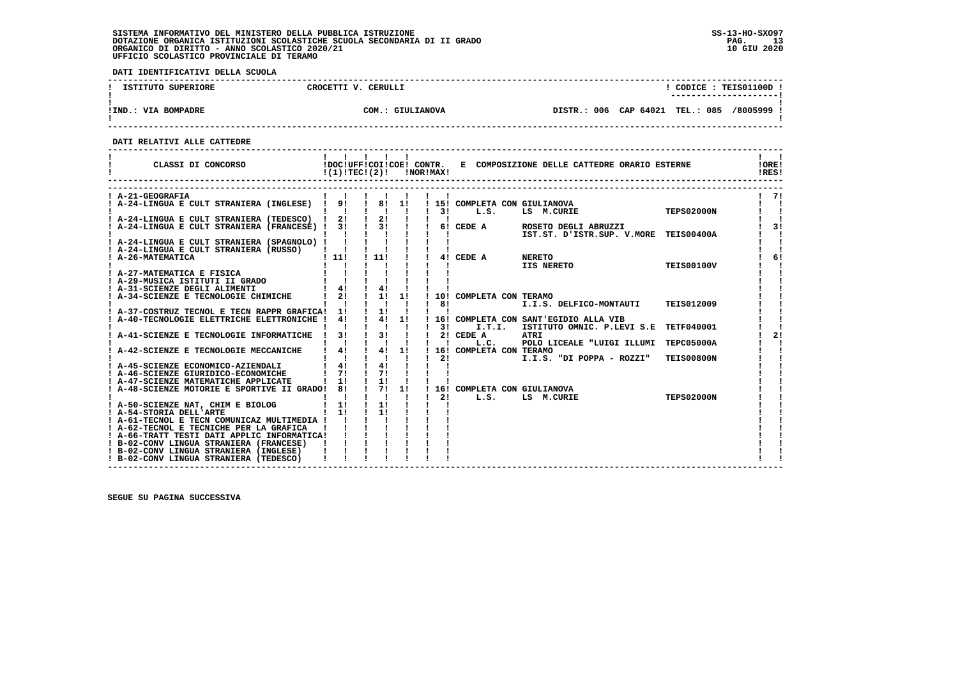**DATI IDENTIFICATIVI DELLA SCUOLA**

| ISTITUTO SUPERIORE    | CERULLI<br>CROCETTI V.                 | <b>TEIS01100D</b><br>CODICE:<br>----------------------   |
|-----------------------|----------------------------------------|----------------------------------------------------------|
| IIND.<br>VIA BOMPADRE | COM.<br><b>GIULIANOVA</b><br>$\bullet$ | CAP 64021<br>DISTR.: 006<br><b>TEL.: 085</b><br>/8005999 |

 **------------------------------------------------------------------------------------------------------------------------------------**

 **DATI RELATIVI ALLE CATTEDRE**

| CLASSI DI CONCORSO                                                                                                                                                                                          |               |                                                                |                          | $!(1)!TEC!(2)!$ $INORIMAX!$ |                                               | !DOC!UFF!COI!COE! CONTR. E COMPOSIZIONE DELLE CATTEDRE ORARIO ESTERNE |                   | !ORE!<br>IRES! |
|-------------------------------------------------------------------------------------------------------------------------------------------------------------------------------------------------------------|---------------|----------------------------------------------------------------|--------------------------|-----------------------------|-----------------------------------------------|-----------------------------------------------------------------------|-------------------|----------------|
| ! A-21-GEOGRAFIA                                                                                                                                                                                            |               |                                                                |                          |                             |                                               |                                                                       |                   | 71             |
| A-24-LINGUA E CULT STRANIERA (INGLESE) ! 9!                                                                                                                                                                 |               | $1 \t81 \t11$                                                  |                          |                             | ! 15! COMPLETA CON GIULIANOVA                 |                                                                       |                   |                |
|                                                                                                                                                                                                             |               |                                                                |                          |                             | $1 \quad 3! \quad L.S.$                       | LS M.CURIE                                                            | <b>TEPS02000N</b> |                |
| 1 A-24-LINGUA E CULT STRANIERA (TEDESCO) 1 21 1 21 1                                                                                                                                                        |               |                                                                |                          | $\mathbf{I}$ $\mathbf{I}$   |                                               |                                                                       |                   |                |
| A-24-LINGUA E CULT STRANIERA (FRANCESE) 1 31 1 31 1 61 CEDE A ROSETO DEGLI ABRUZZI                                                                                                                          |               |                                                                |                          |                             |                                               |                                                                       |                   | 31             |
|                                                                                                                                                                                                             |               | $1 \quad 1 \quad 1 \quad 1 \quad 1$                            |                          |                             |                                               | IST.ST. D'ISTR.SUP. V.MORE TEIS00400A                                 |                   |                |
| ! A-24-LINGUA E CULT STRANIERA (SPAGNOLO) !                                                                                                                                                                 |               |                                                                |                          |                             |                                               |                                                                       |                   |                |
| ! A-24-LINGUA E CULT STRANIERA (RUSSO)  <br>! A-26-MATEMATICA                                                                                                                                               | 1111          | $\frac{1}{1}$                                                  |                          |                             | ! 4! CEDE A NERETO                            |                                                                       |                   | 6!             |
|                                                                                                                                                                                                             |               |                                                                |                          |                             |                                               | NERETO<br>IIS NERETO                                                  | <b>TEIS00100V</b> |                |
| ! A-27-MATEMATICA E FISICA                                                                                                                                                                                  |               |                                                                |                          |                             |                                               |                                                                       |                   |                |
|                                                                                                                                                                                                             |               |                                                                |                          |                             |                                               |                                                                       |                   |                |
| A-29-MUSICA ISTITUTI II GRADO               !<br>A-31-SCIENZE DEGLI ALIMENTI                    !   4!<br>! A-31-SCIENZE DEGLI ALIMENTI                                                                     |               | $\frac{1}{4}$                                                  |                          |                             |                                               |                                                                       |                   |                |
| A-34-SCIENZE E TECNOLOGIE CHIMICHE                                                                                                                                                                          | $1 \quad 21$  | $\frac{1}{2}$ 1 1 1                                            |                          |                             | ! 10! COMPLETA CON TERAMO                     |                                                                       |                   |                |
|                                                                                                                                                                                                             |               | $\mathbf{1}$ $\mathbf{1}$ $\mathbf{1}$                         |                          | $1 \quad 81$                |                                               | I.I.S. DELFICO-MONTAUTI                                               | <b>TEIS012009</b> |                |
| ! A-37-COSTRUZ TECNOL E TECN RAPPR GRAFICA! 1!                                                                                                                                                              |               | $\frac{1}{2}$ 11 1                                             |                          |                             |                                               |                                                                       |                   |                |
| A-40-TECNOLOGIE ELETTRICHE ELETTRONICHE !                                                                                                                                                                   | 4!            | $1 \t 4! \t 1!$                                                |                          |                             |                                               | ! 16! COMPLETA CON SANT'EGIDIO ALLA VIB                               |                   |                |
| A-41-SCIENZE E TECNOLOGIE INFORMATICHE ! 3!                                                                                                                                                                 |               | $\mathbf{1}$ $\mathbf{1}$ $\mathbf{1}$<br>$1 \quad 3! \quad 1$ |                          |                             | $1 \quad 31 \quad 1.$ T.T. I.<br>$12!$ CEDE A | ISTITUTO OMNIC. P.LEVI S.E TETF040001<br><b>ATRI</b>                  |                   | 21             |
|                                                                                                                                                                                                             |               |                                                                |                          | $\mathbf{I}$ $\mathbf{I}$   | L.C.                                          | POLO LICEALE "LUIGI ILLUMI TEPC05000A                                 |                   |                |
| ! A-42-SCIENZE E TECNOLOGIE MECCANICHE                                                                                                                                                                      | $1 \quad 41$  | $\frac{1}{1}$ $\frac{1}{4}$ $\frac{1}{1}$                      |                          |                             | ! 16! COMPLETA CON TERAMO                     |                                                                       |                   |                |
|                                                                                                                                                                                                             |               | $\mathbf{I}$ $\mathbf{I}$                                      |                          | 2!                          |                                               | I.I.S. "DI POPPA - ROZZI"                                             | <b>TEIS00800N</b> |                |
| A-45-SCIENZE ECONOMICO-AZIENDALI                                                                                                                                                                            | $\frac{1}{4}$ | $\frac{1}{4}$                                                  |                          |                             |                                               |                                                                       |                   |                |
| A-46-SCIENZE GIURIDICO-ECONOMICHE                                                                                                                                                                           | 71            | $\frac{1}{2}$                                                  |                          |                             |                                               |                                                                       |                   |                |
| ! A-47-SCIENZE MATEMATICHE APPLICATE                                                                                                                                                                        | $1 \quad 11$  | $\frac{1}{2}$                                                  |                          |                             |                                               |                                                                       |                   |                |
| ! A-48-SCIENZE MOTORIE E SPORTIVE II GRADO! 8!                                                                                                                                                              |               | $1 \t 7! \t 1!$                                                |                          |                             | ! 16! COMPLETA CON GIULIANOVA                 |                                                                       |                   |                |
|                                                                                                                                                                                                             |               | $\blacksquare$                                                 | <b>Contract Contract</b> | $\mathbf{I}$                | 2! L.S.                                       | LS M.CURIE                                                            | <b>TEPS02000N</b> |                |
| ! A-50-SCIENZE NAT, CHIM E BIOLOG                                                                                                                                                                           | $1 \quad 11$  | $\frac{1}{1}$                                                  |                          |                             |                                               |                                                                       |                   |                |
| ! A-54-STORIA DELL'ARTE                                                                                                                                                                                     | $1 \quad 11$  | $\sqrt{1}$                                                     |                          |                             |                                               |                                                                       |                   |                |
| ! A-61-TECNOL E TECN COMUNICAZ MULTIMEDIA !                                                                                                                                                                 |               |                                                                |                          |                             |                                               |                                                                       |                   |                |
| : A-62-TECNOL E TECNICHE PER LA GRAFICA : : : : :<br>! A-66-TRATT TESTI DATI APPLIC INFORMATICA! ! ! !<br>! B-02-CONV LINGUA STRANIERA (FRANCESE) ! ! ! !<br>! B-02-CONV LINGUA STRANIERA (INGLESE) ! ! ! ! |               |                                                                |                          |                             |                                               |                                                                       |                   |                |
|                                                                                                                                                                                                             |               |                                                                |                          |                             |                                               |                                                                       |                   |                |
| ! B-02-CONV LINGUA STRANIERA (INGLESE)                                                                                                                                                                      |               |                                                                |                          |                             |                                               |                                                                       |                   |                |
| ! B-02-CONV LINGUA STRANIERA (TEDESCO)                                                                                                                                                                      |               |                                                                |                          |                             |                                               |                                                                       |                   |                |

 **------------------------------------------------------------------------------------------------------------------------------------**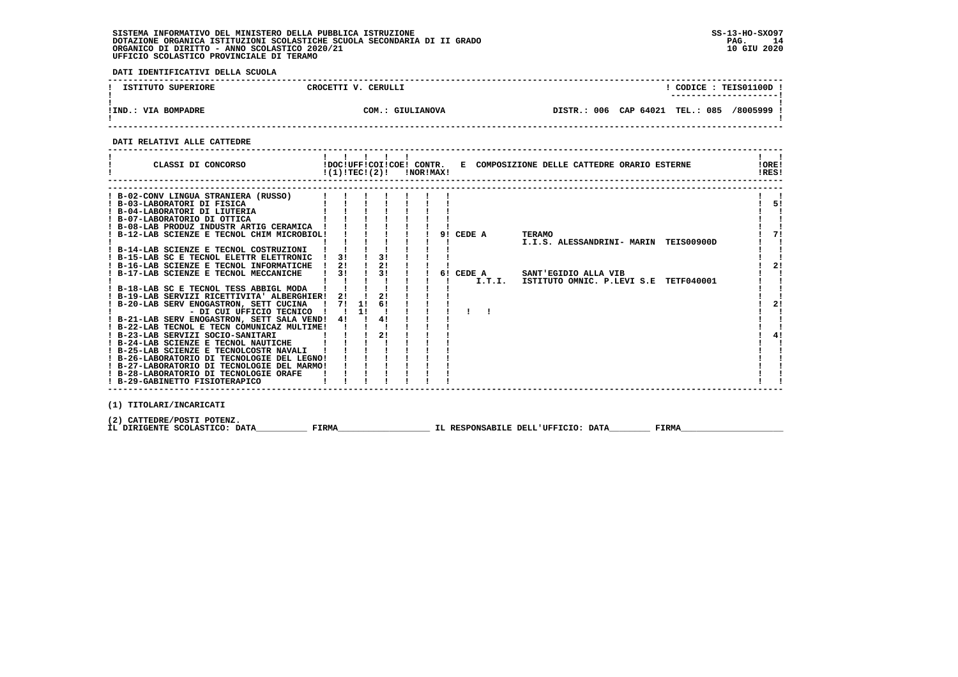**DATI IDENTIFICATIVI DELLA SCUOLA**

| ISTITUTO SUPERIORE  | CROCETTI V. CERULLI | CODICE: TEIS01100D !<br>---------------------- |
|---------------------|---------------------|------------------------------------------------|
| !IND.: VIA BOMPADRE | COM.: GIULIANOVA    | DISTR.: 006 CAP 64021 TEL.: 085 /8005999 !     |

 **------------------------------------------------------------------------------------------------------------------------------------**

# **DATI RELATIVI ALLE CATTEDRE**

|                                                                                                                                                                                                                                                                                                                                                                                                                                                                                                                                                                                                                                                                                                                                                                                                                                                                                                                                                                                                                  |                               | 11111<br>$!(1)!TEC!(2)!$ $INORIMAX!$                                                                                                                                                                      |  |                  | CLASSI DI CONCORSO             IDOC!UFF!COI!COE! CONTR.   E COMPOSIZIONE DELLE CATTEDRE ORARIO ESTERNE                  | !ORE!<br>!RES!               |
|------------------------------------------------------------------------------------------------------------------------------------------------------------------------------------------------------------------------------------------------------------------------------------------------------------------------------------------------------------------------------------------------------------------------------------------------------------------------------------------------------------------------------------------------------------------------------------------------------------------------------------------------------------------------------------------------------------------------------------------------------------------------------------------------------------------------------------------------------------------------------------------------------------------------------------------------------------------------------------------------------------------|-------------------------------|-----------------------------------------------------------------------------------------------------------------------------------------------------------------------------------------------------------|--|------------------|-------------------------------------------------------------------------------------------------------------------------|------------------------------|
| ! B-02-CONV LINGUA STRANIERA (RUSSO)<br>! B-03-LABORATORI DI FISICA<br>! B-04-LABORATORI DI LIUTERIA<br>! B-07-LABORATORIO DI OTTICA<br>! B-08-LAB PRODUZ INDUSTR ARTIG CERAMICA !<br>! B-12-LAB SCIENZE E TECNOL CHIM MICROBIOL!<br>! B-14-LAB SCIENZE E TECNOL COSTRUZIONI<br>! B-15-LAB SC E TECNOL ELETTR ELETTRONIC<br>! B-16-LAB SCIENZE E TECNOL INFORMATICHE<br>! B-17-LAB SCIENZE E TECNOL MECCANICHE<br>! B-18-LAB SC E TECNOL TESS ABBIGL MODA<br>! B-19-LAB SERVIZI RICETTIVITA' ALBERGHIER! 2! ! 2! !<br>! B-20-LAB SERV ENOGASTRON, SETT CUCINA !<br>- DI CUI UFFICIO TECNICO ! ! 1! !<br>! B-21-LAB SERV ENOGASTRON, SETT SALA VEND! 4! ! 4! !<br>! B-22-LAB TECNOL E TECN COMUNICAZ MULTIME!<br>! B-23-LAB SERVIZI SOCIO-SANITARI<br>! B-24-LAB SCIENZE E TECNOL NAUTICHE<br>! B-25-LAB SCIENZE E TECNOLCOSTR NAVALI !<br>! B-26-LABORATORIO DI TECNOLOGIE DEL LEGNO!<br>! B-27-LABORATORIO DI TECNOLOGIE DEL MARMO!<br>! B-28-LABORATORIO DI TECNOLOGIE ORAFE<br>! B-29-GABINETTO FISIOTERAPICO | $1 \quad 31 \quad 1 \quad 31$ | $\frac{1}{2}$<br>$\begin{array}{cccccccc}\n\text{HE} & 1 & 21 & 1 & 21 & 1 \\  & 1 & 31 & 1 & 31 & 1\n\end{array}$<br>7! 1! 6! !<br>$\mathbf{1}$ $\mathbf{1}$ $\mathbf{1}$<br>$\frac{1}{2}$ $\frac{1}{2}$ |  | 9! CEDE A TERAMO | I.I.S. ALESSANDRINI- MARIN TEIS00900D<br>6! CEDE A SANT'EGIDIO ALLA VIB<br>I.T.I. ISTITUTO OMNIC. P.LEVI S.E TETF040001 | ! 5!<br>71<br>2!<br>2!<br>4! |
| (1) TITOLARI/INCARICATI<br>(2) CATTEDRE/POSTI POTENZ.                                                                                                                                                                                                                                                                                                                                                                                                                                                                                                                                                                                                                                                                                                                                                                                                                                                                                                                                                            |                               |                                                                                                                                                                                                           |  |                  |                                                                                                                         |                              |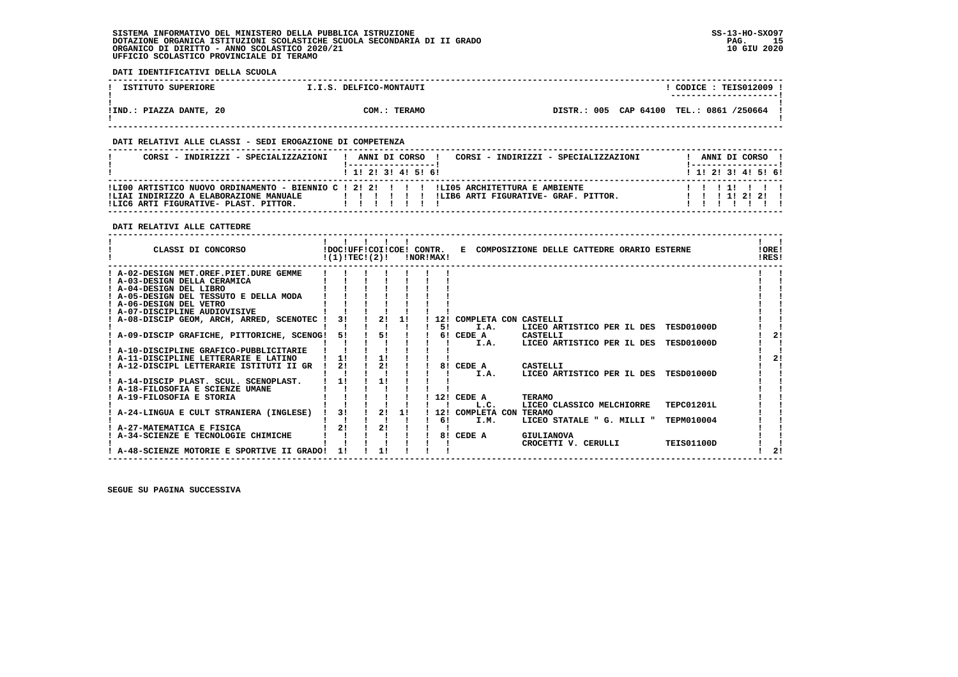**DATI IDENTIFICATIVI DELLA SCUOLA**

| ISTITUTO SUPERIORE      | I.I.S. DELFICO-MONTAUTI | $CODE: TEE3012009$ !                       |  |
|-------------------------|-------------------------|--------------------------------------------|--|
| !IND.: PIAZZA DANTE, 20 | COM.: TERAMO            | DISTR.: 005 CAP 64100 TEL.: 0861 /250664 ! |  |

# **DATI RELATIVI ALLE CLASSI - SEDI EROGAZIONE DI COMPETENZA**

| CORSI - INDIRIZZI - SPECIALIZZAZIONI                                                                                                                                         |  |  | ANNI DI CORSO<br>! 1! 2! 3! 4! 5! 6! | CORSI - INDIRIZZI - SPECIALIZZAZIONI | ! 1! 2! 3! 4! 5! 6! | ANNI DI CORSO ! |  |  |
|------------------------------------------------------------------------------------------------------------------------------------------------------------------------------|--|--|--------------------------------------|--------------------------------------|---------------------|-----------------|--|--|
| ILI00 ARTISTICO NUOVO ORDINAMENTO - BIENNIO C ! 2! 2! ! ! ! !LI05 ARCHITETTURA E AMBIENTE<br>!LIAI INDIRIZZO A ELABORAZIONE MANUALE<br>ILIC6 ARTI FIGURATIVE- PLAST. PITTOR. |  |  |                                      | !LIB6 ARTI FIGURATIVE- GRAF, PITTOR, |                     | 1 1 1 2 1 2 1   |  |  |

# **DATI RELATIVI ALLE CATTEDRE**

| CLASSI DI CONCORSO                          | !DOC!UFF!COI!COE! CONTR.<br>!(1)!TEC!(2)! |    |    | INORIMAXI |                     | !ORE!<br>E COMPOSIZIONE DELLE CATTEDRE ORARIO ESTERNE<br>IRES! |    |
|---------------------------------------------|-------------------------------------------|----|----|-----------|---------------------|----------------------------------------------------------------|----|
| A-02-DESIGN MET.OREF.PIET.DURE GEMME        |                                           |    |    |           |                     |                                                                |    |
| ! A-03-DESIGN DELLA CERAMICA                |                                           |    |    |           |                     |                                                                |    |
| ! A-04-DESIGN DEL LIBRO                     |                                           |    |    |           |                     |                                                                |    |
| ! A-05-DESIGN DEL TESSUTO E DELLA MODA      |                                           |    |    |           |                     |                                                                |    |
| ! A-06-DESIGN DEL VETRO                     |                                           |    |    |           |                     |                                                                |    |
| ! A-07-DISCIPLINE AUDIOVISIVE               |                                           |    |    |           |                     |                                                                |    |
| A-08-DISCIP GEOM, ARCH, ARRED, SCENOTEC     | 31                                        | 2! | 11 | 12!       |                     | COMPLETA CON CASTELLI                                          |    |
|                                             |                                           |    |    | 51        | I.A.                | TESD01000D<br>LICEO ARTISTICO PER IL DES                       |    |
| ! A-09-DISCIP GRAFICHE, PITTORICHE, SCENOG! | 51                                        | 51 |    | 61        | CEDE A              | CASTELLI                                                       | 21 |
|                                             |                                           |    |    |           | I.A.                | TESD01000D<br>LICEO ARTISTICO PER IL DES                       |    |
| A-10-DISCIPLINE GRAFICO-PUBBLICITARIE       |                                           |    |    |           |                     |                                                                |    |
| ! A-11-DISCIPLINE LETTERARIE E LATINO       | 11                                        | 1! |    |           |                     |                                                                | 21 |
| ! A-12-DISCIPL LETTERARIE ISTITUTI II GR    | 21                                        | 21 |    | 81        | CEDE A              | CASTELLI                                                       |    |
|                                             |                                           |    |    |           | I.A.                | LICEO ARTISTICO PER IL DES<br>TESD01000D                       |    |
| A-14-DISCIP PLAST. SCUL. SCENOPLAST.        | 1!                                        | 11 |    |           |                     |                                                                |    |
| ! A-18-FILOSOFIA E SCIENZE UMANE            |                                           |    |    |           |                     |                                                                |    |
| A-19-FILOSOFIA E STORIA                     |                                           |    |    |           | 12! CEDE A          | TERAMO                                                         |    |
|                                             |                                           |    |    |           | L.C.                | TEPC01201L<br>LICEO CLASSICO MELCHIORRE                        |    |
| ! A-24-LINGUA E CULT STRANIERA (INGLESE)    | 3 <sub>1</sub>                            | 2! | 11 | 121       | COMPLETA CON TERAMO |                                                                |    |
|                                             |                                           |    |    | 61        | I.M.                | LICEO STATALE " G. MILLI "<br>TEPM010004                       |    |
| ! A-27-MATEMATICA E FISICA                  | 21                                        | 21 |    |           |                     |                                                                |    |
| A-34-SCIENZE E TECNOLOGIE CHIMICHE          |                                           |    |    | 81        | CEDE A              | GIULIANOVA                                                     |    |
| ! A-48-SCIENZE MOTORIE E SPORTIVE II GRADO! | 11                                        | 1! |    |           |                     | <b>TEIS01100D</b><br>CROCETTI V. CERULLI                       | 21 |
|                                             |                                           |    |    |           |                     |                                                                |    |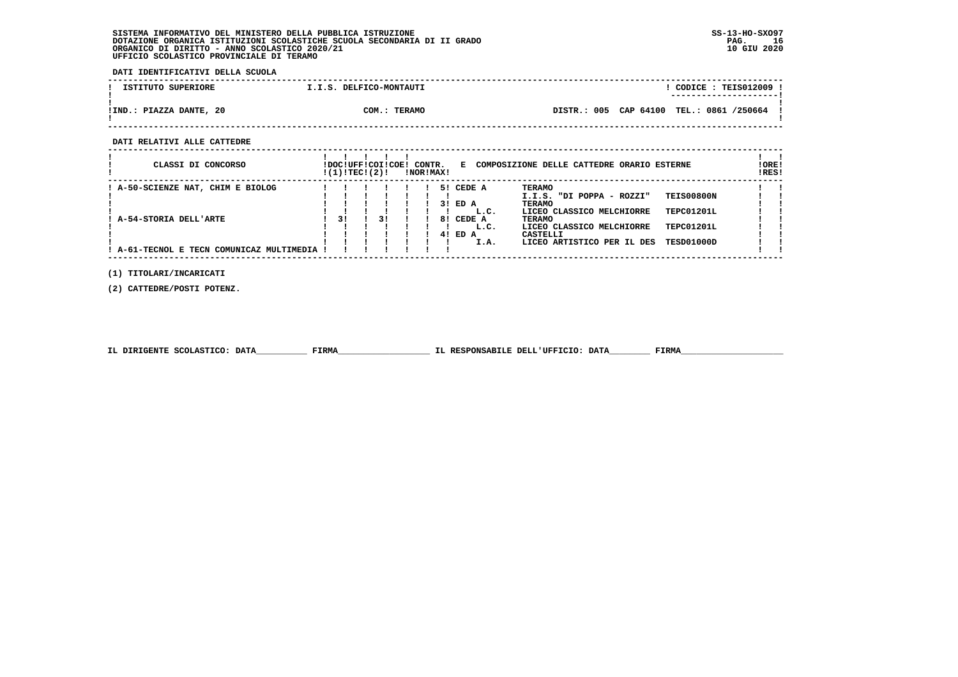**DATI IDENTIFICATIVI DELLA SCUOLA**

| ISTITUTO SUPERIORE      | I.I.S. DELFICO-MONTAUTI | $\overline{COLICE}$ : TEIS012009 !       |  |
|-------------------------|-------------------------|------------------------------------------|--|
|                         |                         | ----------------------                   |  |
|                         |                         |                                          |  |
| !IND.: PIAZZA DANTE, 20 | COM.: TERAMO            | DISTR.: 005 CAP 64100 TEL.: 0861 /250664 |  |
|                         |                         |                                          |  |

 **------------------------------------------------------------------------------------------------------------------------------------**

 **DATI RELATIVI ALLE CATTEDRE**

| CLASSI DI CONCORSO                      | !DOC!UFF!COI!COE!<br>!(1)!TEC!(2)! |    | CONTR.<br>!NOR!MAX! |    | Е.        | COMPOSIZIONE DELLE CATTEDRE ORARIO ESTERNE |                   | ! ORE!<br>!RES! |
|-----------------------------------------|------------------------------------|----|---------------------|----|-----------|--------------------------------------------|-------------------|-----------------|
| : A-50-SCIENZE NAT, CHIM E BIOLOG       |                                    |    |                     |    | 5! CEDE A | TERAMO                                     |                   |                 |
|                                         |                                    |    |                     |    |           | I.I.S. "DI POPPA - ROZZI"                  | <b>TEIS00800N</b> |                 |
|                                         |                                    |    |                     |    | 3! ED A   | TERAMO                                     |                   |                 |
|                                         |                                    |    |                     |    | L.C.      | LICEO CLASSICO MELCHIORRE                  | TEPC01201L        |                 |
| A-54-STORIA DELL'ARTE                   | 31                                 | 31 |                     |    | 8! CEDE A | <b>TERAMO</b>                              |                   |                 |
|                                         |                                    |    |                     |    | L.C.      | LICEO CLASSICO MELCHIORRE                  | TEPC01201L        |                 |
|                                         |                                    |    |                     | 41 | ED A      | <b>CASTELLI</b>                            |                   |                 |
|                                         |                                    |    |                     |    | I.A.      | LICEO ARTISTICO PER IL DES                 | TESD01000D        |                 |
| A-61-TECNOL E TECN COMUNICAZ MULTIMEDIA |                                    |    |                     |    |           |                                            |                   |                 |

 **(1) TITOLARI/INCARICATI**

 **(2) CATTEDRE/POSTI POTENZ.**

| IL DIRIGENTE SCOLASTICO: DATA | <b>FIRMA</b> | IL RESPONSABILE DELL'UFFICIO: DATA | FIRM |
|-------------------------------|--------------|------------------------------------|------|
|                               |              |                                    |      |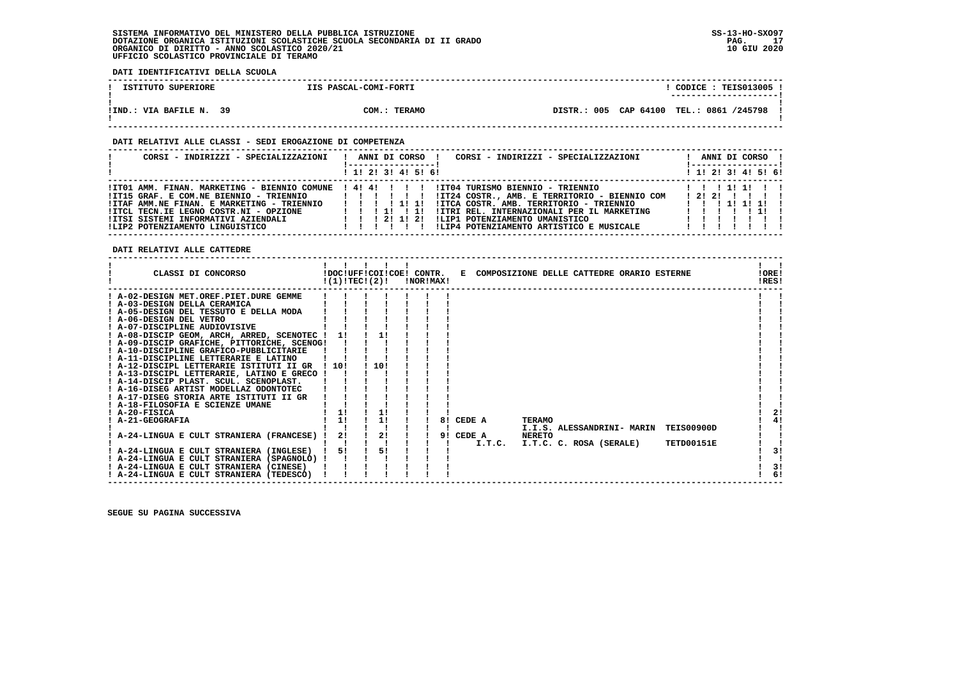**DATI IDENTIFICATIVI DELLA SCUOLA**

| ISTITUTO SUPERIORE      | IIS PASCAL-COMI-FORTI | $\texttt{COLICE}: \texttt{TEIS013005}.$  |  |
|-------------------------|-----------------------|------------------------------------------|--|
|                         |                       | ---------------------                    |  |
|                         |                       |                                          |  |
| IIND.: VIA BAFILE N. 39 | COM.: TERAMO          | DISTR.: 005 CAP 64100 TEL.: 0861 /245798 |  |
|                         |                       |                                          |  |

 **------------------------------------------------------------------------------------------------------------------------------------**

## **DATI RELATIVI ALLE CLASSI - SEDI EROGAZIONE DI COMPETENZA**

| CORSI - INDIRIZZI - SPECIALIZZAZIONI                                                                                                                                                                                                                                      | ANNI DI CORSO !<br>CORSI - INDIRIZZI - SPECIALIZZAZIONI                                                                                                                                                                                                                                                               | ANNI DI CORSO !<br>!------------------                    |
|---------------------------------------------------------------------------------------------------------------------------------------------------------------------------------------------------------------------------------------------------------------------------|-----------------------------------------------------------------------------------------------------------------------------------------------------------------------------------------------------------------------------------------------------------------------------------------------------------------------|-----------------------------------------------------------|
|                                                                                                                                                                                                                                                                           | $1$ , 1! 2! 3! 4! 5! 6!                                                                                                                                                                                                                                                                                               | $1$ 1! 2! 3! 4! 5! 6!                                     |
| !IT01 AMM. FINAN. MARKETING - BIENNIO COMUNE ! 4! 4! ! ! ! !<br>!IT15 GRAF. E COM.NE BIENNIO - TRIENNIO<br>!ITAF AMM.NE FINAN. E MARKETING - TRIENNIO<br>!ITCL TECN.IE LEGNO COSTR.NI - OPZIONE<br>IITSI SISTEMI INFORMATIVI AZIENDALI<br>!LIP2 POTENZIAMENTO LINGUISTICO | IIT04 TURISMO BIENNIO - TRIENNIO<br>!IT24 COSTR., AMB. E TERRITORIO - BIENNIO COM<br>111111<br>!ITCA COSTR. AMB. TERRITORIO - TRIENNIO<br>1111111<br>!ITRI REL. INTERNAZIONALI PER IL MARKETING<br>1 1 1 1<br>ILIP1 POTENZIAMENTO UMANISTICO<br>1 1 1 2 1 1 2 1<br>!LIP4 POTENZIAMENTO ARTISTICO E MUSICALE<br>111111 | 1 1 1 1 1 1 1 1<br>1 2 1 2 1 1 1 1 1<br>1 1 1 1 1 1 1 1 1 |

 **DATI RELATIVI ALLE CATTEDRE**

| CLASSI DI CONCORSO                          |       | !(1)!TEC!(2)! |      | !NOR!MAX! |    |           |        |               | !DOC!UFF!COI!COE! CONTR. E COMPOSIZIONE DELLE CATTEDRE ORARIO ESTERNE |                   | !ORE!<br>!RES! |    |
|---------------------------------------------|-------|---------------|------|-----------|----|-----------|--------|---------------|-----------------------------------------------------------------------|-------------------|----------------|----|
| ! A-02-DESIGN MET.OREF.PIET.DURE GEMME      |       |               |      |           |    |           |        |               |                                                                       |                   |                |    |
| ! A-03-DESIGN DELLA CERAMICA                |       |               |      |           |    |           |        |               |                                                                       |                   |                |    |
| ! A-05-DESIGN DEL TESSUTO E DELLA MODA      |       |               |      |           |    |           |        |               |                                                                       |                   |                |    |
| ! A-06-DESIGN DEL VETRO                     |       |               |      |           |    |           |        |               |                                                                       |                   |                |    |
| ! A-07-DISCIPLINE AUDIOVISIVE               |       |               |      |           |    |           |        |               |                                                                       |                   |                |    |
| ! A-08-DISCIP GEOM, ARCH, ARRED, SCENOTEC ! | 11    |               |      |           |    |           |        |               |                                                                       |                   |                |    |
| ! A-09-DISCIP GRAFICHE, PITTORICHE, SCENOG! |       |               |      |           |    |           |        |               |                                                                       |                   |                |    |
| ! A-10-DISCIPLINE GRAFICO-PUBBLICITARIE     |       |               |      |           |    |           |        |               |                                                                       |                   |                |    |
| ! A-11-DISCIPLINE LETTERARIE E LATINO       |       |               |      |           |    |           |        |               |                                                                       |                   |                |    |
| ! A-12-DISCIPL LETTERARIE ISTITUTI II GR    | ! 10! |               | 110! |           |    |           |        |               |                                                                       |                   |                |    |
| ! A-13-DISCIPL LETTERARIE, LATINO E GRECO ! |       |               |      |           |    |           |        |               |                                                                       |                   |                |    |
| ! A-14-DISCIP PLAST. SCUL. SCENOPLAST.      |       |               |      |           |    |           |        |               |                                                                       |                   |                |    |
| ! A-16-DISEG ARTIST MODELLAZ ODONTOTEC      |       |               |      |           |    |           |        |               |                                                                       |                   |                |    |
| ! A-17-DISEG STORIA ARTE ISTITUTI II GR     |       |               |      |           |    |           |        |               |                                                                       |                   |                |    |
| ! A-18-FILOSOFIA E SCIENZE UMANE            |       |               |      |           |    |           |        |               |                                                                       |                   |                |    |
| ! A-20-FISICA                               |       |               |      |           |    |           |        |               |                                                                       |                   |                | 21 |
| ! A-21-GEOGRAFIA                            | 1!    |               | 11   |           | 81 |           | CEDE A | <b>TERAMO</b> |                                                                       |                   |                | 4! |
|                                             |       |               |      |           |    |           |        |               | I.I.S. ALESSANDRINI- MARIN                                            | <b>TEIS00900D</b> |                |    |
| ! A-24-LINGUA E CULT STRANIERA (FRANCESE)   | 2!    |               | 2!   |           |    | 9! CEDE A |        | <b>NERETO</b> |                                                                       |                   |                |    |
|                                             |       |               |      |           |    |           | I.T.C. |               | I.T.C. C. ROSA (SERALE)                                               | TETD00151E        |                |    |
| ! A-24-LINGUA E CULT STRANIERA (INGLESE)    | 51    |               | 51   |           |    |           |        |               |                                                                       |                   |                | 31 |
| ! A-24-LINGUA E CULT STRANIERA (SPAGNOLO) ! |       |               |      |           |    |           |        |               |                                                                       |                   |                |    |
| ! A-24-LINGUA E CULT STRANIERA (CINESE)     |       |               |      |           |    |           |        |               |                                                                       |                   |                | 3! |
| ! A-24-LINGUA E CULT STRANIERA (TEDESCO)    |       |               |      |           |    |           |        |               |                                                                       |                   |                | 6! |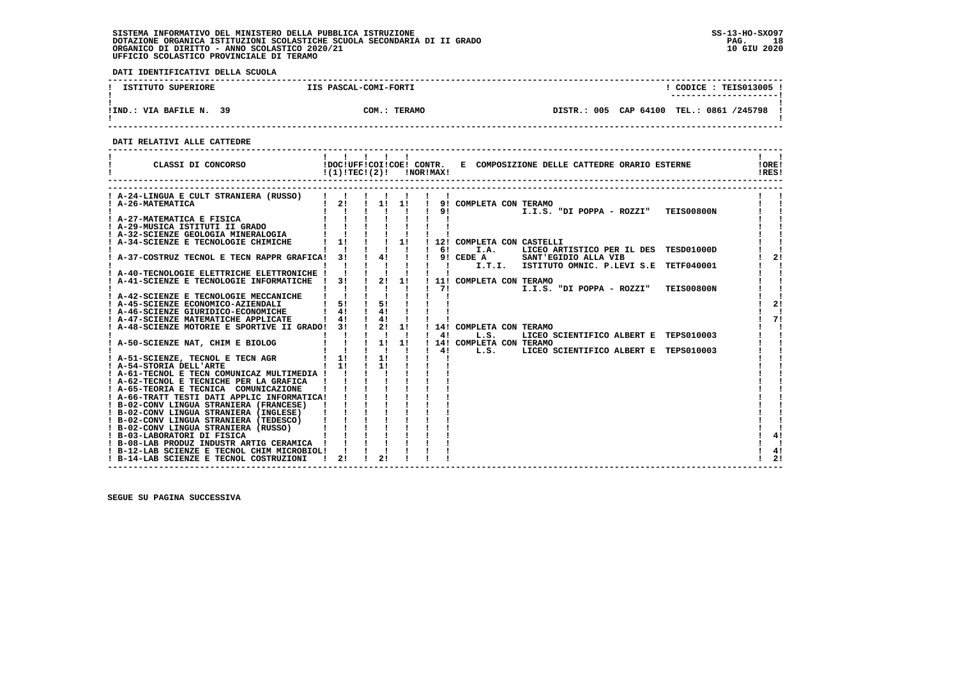**DATI IDENTIFICATIVI DELLA SCUOLA**

| ISTITUTO SUPERIORE      | IIS PASCAL-COMI-FORTI |              |                                            |  | CODICE: TEIS013005 !<br>----------------------- |  |
|-------------------------|-----------------------|--------------|--------------------------------------------|--|-------------------------------------------------|--|
| IIND.: VIA BAFILE N. 39 |                       | COM.: TERAMO | DISTR.: 005 CAP 64100 TEL.: 0861 /245798 ! |  |                                                 |  |

 **------------------------------------------------------------------------------------------------------------------------------------**

 **DATI RELATIVI ALLE CATTEDRE**

| CLASSI DI CONCORSO                                                                        | !(1)!TEC!(2)!                                                                          |                                                         |              |     | !NOR!MAX! |                           | !DOC!UFF!COI!COE! CONTR. E COMPOSIZIONE DELLE CATTEDRE ORARIO ESTERNE | !ORE!<br>!RES! |    |
|-------------------------------------------------------------------------------------------|----------------------------------------------------------------------------------------|---------------------------------------------------------|--------------|-----|-----------|---------------------------|-----------------------------------------------------------------------|----------------|----|
| ! A-24-LINGUA E CULT STRANIERA (RUSSO)                                                    |                                                                                        |                                                         |              |     |           |                           |                                                                       |                |    |
| ! A-26-MATEMATICA                                                                         |                                                                                        |                                                         |              |     |           |                           | 2! ! 1! 1! ! 9! COMPLETA CON TERAMO                                   |                |    |
|                                                                                           |                                                                                        |                                                         | $\mathbf{L}$ |     |           | 91                        | I.I.S. "DI POPPA - ROZZI" TEIS00800N                                  |                |    |
| ! A-27-MATEMATICA E FISICA                                                                |                                                                                        |                                                         |              |     |           |                           |                                                                       |                |    |
| ! A-29-MUSICA ISTITUTI II GRADO                                                           |                                                                                        |                                                         |              |     |           |                           |                                                                       |                |    |
| ! A-32-SCIENZE GEOLOGIA MINERALOGIA                                                       |                                                                                        |                                                         |              |     |           |                           |                                                                       |                |    |
| A-34-SCIENZE E TECNOLOGIE CHIMICHE                                                        | $1 \quad 1! \quad 1 \quad 1 \quad 1!$                                                  |                                                         |              |     |           |                           | ! 12! COMPLETA CON CASTELLI                                           |                |    |
|                                                                                           |                                                                                        |                                                         |              |     |           | $1 \quad 61$              | I.A.<br>LICEO ARTISTICO PER IL DES TESD01000D                         |                |    |
| ! A-37-COSTRUZ TECNOL E TECN RAPPR GRAFICA! 3!                                            |                                                                                        |                                                         |              | 4!! |           |                           | ! 9! CEDE A SANT'EGIDIO ALLA VIB                                      |                | 21 |
|                                                                                           |                                                                                        |                                                         |              |     |           | $\mathbf{1}$ $\mathbf{1}$ | I.T.I. ISTITUTO OMNIC. P.LEVI S.E TETF040001                          |                |    |
| A-40-TECNOLOGIE ELETTRICHE ELETTRONICHE !                                                 |                                                                                        | $\frac{1}{2}$ $\frac{1}{2}$ $\frac{1}{2}$ $\frac{1}{2}$ |              |     |           |                           |                                                                       |                |    |
| A-41-SCIENZE E TECNOLOGIE INFORMATICHE                                                    | $1$ 31 $1$ 21 11                                                                       |                                                         |              |     |           | 71                        | ! 11! COMPLETA CON TERAMO                                             |                |    |
| ! A-42-SCIENZE E TECNOLOGIE MECCANICHE                                                    |                                                                                        |                                                         |              |     |           |                           | I.I.S. "DI POPPA - ROZZI" TEIS00800N                                  |                |    |
| ! A-45-SCIENZE ECONOMICO-AZIENDALI                                                        | $1 \quad 51$                                                                           |                                                         | 5!           |     |           |                           |                                                                       |                | 2! |
| ! A-46-SCIENZE GIURIDICO-ECONOMICHE                                                       | 41                                                                                     |                                                         | 41           |     |           |                           |                                                                       |                |    |
| ! A-47-SCIENZE MATEMATICHE APPLICATE                                                      | $1 \quad 41$                                                                           | $\frac{1}{4}$                                           |              |     |           |                           |                                                                       |                | 71 |
| A-48-SCIENZE MOTORIE E SPORTIVE II GRADO! 3!                                              |                                                                                        | $1 \quad 2! \quad 1!$                                   |              |     |           |                           | ! 14! COMPLETA CON TERAMO                                             |                |    |
|                                                                                           |                                                                                        | $\mathbf{1}=\mathbf{1}=\mathbf{1}=\mathbf{1}$           |              |     |           | 4!                        | L.S.<br>LICEO SCIENTIFICO ALBERT E TEPS010003                         |                |    |
| ! A-50-SCIENZE NAT, CHIM E BIOLOG                                                         |                                                                                        |                                                         |              |     |           |                           | ! 14! COMPLETA CON TERAMO                                             |                |    |
|                                                                                           | $\begin{array}{cccccccccc} 1 & 1 & 1 & 1 & 1 & 1 \\ 1 & 1 & 1 & 1 & 1 & 1 \end{array}$ |                                                         |              |     |           | 4!                        | L.S.<br>LICEO SCIENTIFICO ALBERT E TEPS010003                         |                |    |
| ! A-51-SCIENZE, TECNOL E TECN AGR                                                         | $1 \t11 \t11$                                                                          |                                                         |              |     |           |                           |                                                                       |                |    |
| ! A-54-STORIA DELL'ARTE                                                                   | $1 \quad 11$                                                                           |                                                         | 11           |     |           |                           |                                                                       |                |    |
| ! A-61-TECNOL E TECN COMUNICAZ MULTIMEDIA !                                               |                                                                                        |                                                         |              |     |           |                           |                                                                       |                |    |
| ! A-62-TECNOL E TECNICHE PER LA GRAFICA                                                   |                                                                                        |                                                         |              |     |           |                           |                                                                       |                |    |
| ! A-65-TEORIA E TECNICA COMUNICAZIONE                                                     |                                                                                        |                                                         |              |     |           |                           |                                                                       |                |    |
| ! A-66-TRATT TESTI DATI APPLIC INFORMATICA!                                               |                                                                                        |                                                         |              |     |           |                           |                                                                       |                |    |
| ! B-02-CONV LINGUA STRANIERA (FRANCESE)                                                   |                                                                                        |                                                         |              |     |           |                           |                                                                       |                |    |
| ! B-02-CONV LINGUA STRANIERA (INGLESE)                                                    |                                                                                        |                                                         |              |     |           |                           |                                                                       |                |    |
| ! B-02-CONV LINGUA STRANIERA (TEDESCO)                                                    |                                                                                        |                                                         |              |     |           |                           |                                                                       |                |    |
| ! B-02-CONV LINGUA STRANIERA (RUSSO)                                                      |                                                                                        |                                                         |              |     |           |                           |                                                                       |                |    |
| ! B-03-LABORATORI DI FISICA                                                               |                                                                                        |                                                         |              |     |           |                           |                                                                       |                | 41 |
| ! B-08-LAB PRODUZ INDUSTR ARTIG CERAMICA !<br>! B-12-LAB SCIENZE E TECNOL CHIM MICROBIOL! |                                                                                        |                                                         |              |     |           |                           |                                                                       |                | 4! |
| ! B-14-LAB SCIENZE E TECNOL COSTRUZIONI                                                   | 21                                                                                     |                                                         | 21           |     |           |                           |                                                                       |                | 2! |
|                                                                                           |                                                                                        |                                                         |              |     |           |                           |                                                                       |                |    |

 **------------------------------------------------------------------------------------------------------------------------------------**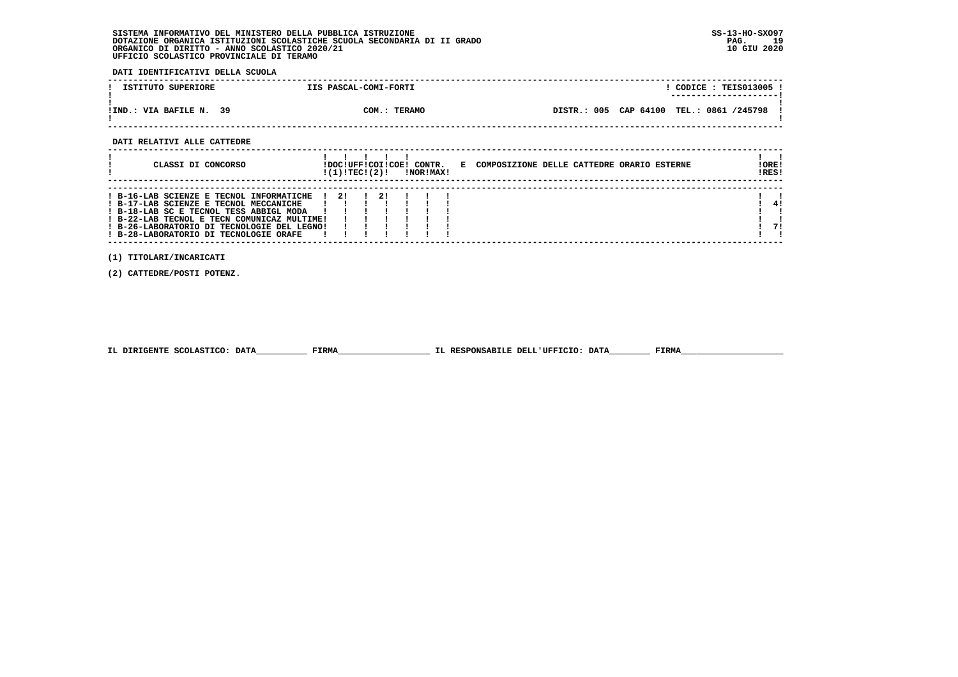**DATI IDENTIFICATIVI DELLA SCUOLA**

| ISTITUTO SUPERIORE      | IIS PASCAL-COMI-FORTI |  | CODICE: TEIS013005 !                     |  |
|-------------------------|-----------------------|--|------------------------------------------|--|
|                         |                       |  | ----------------------                   |  |
| IIND.: VIA BAFILE N. 39 | COM.: TERAMO          |  | DISTR.: 005 CAP 64100 TEL.: 0861 /245798 |  |

 **------------------------------------------------------------------------------------------------------------------------------------**

 **DATI RELATIVI ALLE CATTEDRE**

| CLASSI DI CONCORSO                                                                                                                                                                                                                                                             | !DOC!UFF!COI!COE! CONTR.<br>!(1)!TECI(2)! |               | !NOR!MAX! |  | E COMPOSIZIONE DELLE CATTEDRE ORARIO ESTERNE | ! ORE!<br>IRES! |
|--------------------------------------------------------------------------------------------------------------------------------------------------------------------------------------------------------------------------------------------------------------------------------|-------------------------------------------|---------------|-----------|--|----------------------------------------------|-----------------|
| $!$ B-16-LAB SCIENZE E TECNOL INFORMATICHE $!$ 2!<br>! B-17-LAB SCIENZE E TECNOL MECCANICHE<br>! B-18-LAB SC E TECNOL TESS ABBIGL MODA<br>! B-22-LAB TECNOL E TECN COMUNICAZ MULTIME!<br>! B-26-LABORATORIO DI TECNOLOGIE DEL LEGNO!<br>! B-28-LABORATORIO DI TECNOLOGIE ORAFE |                                           | $\frac{1}{2}$ |           |  |                                              | 41<br>71        |

 **(1) TITOLARI/INCARICATI**

 **(2) CATTEDRE/POSTI POTENZ.**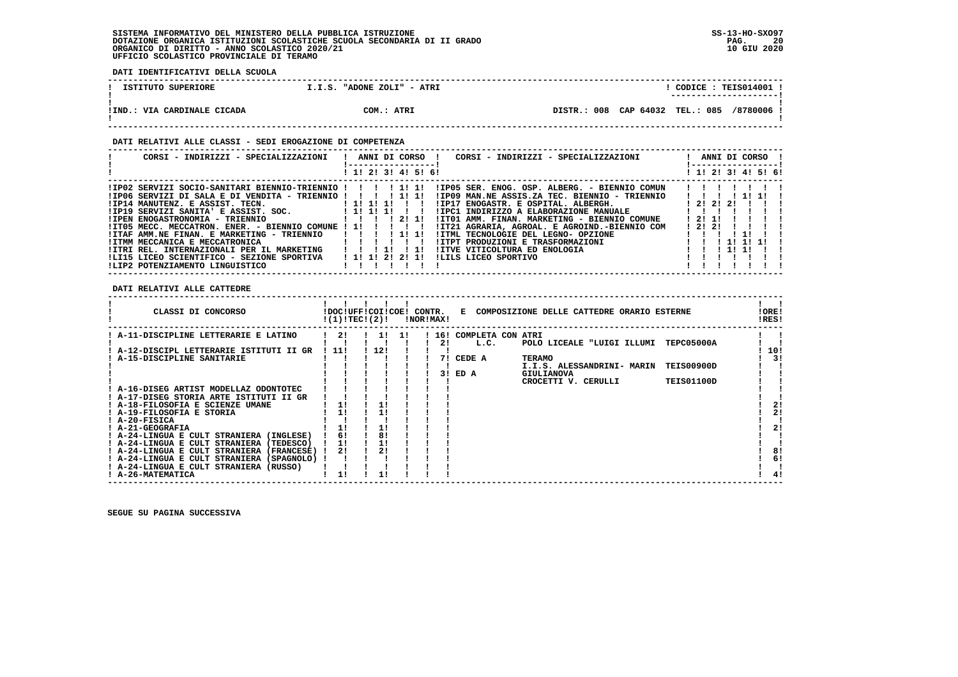**DATI IDENTIFICATIVI DELLA SCUOLA**

| ISTITUTO SUPERIORE          | I.I.S. "ADONE ZOLI" - ATRI | CODICE: TEIS014001 !<br>----------------------- |
|-----------------------------|----------------------------|-------------------------------------------------|
| !IND.: VIA CARDINALE CICADA | COM.: ATRI                 | DISTR.: 008 CAP 64032 TEL.: 085 /8780006 !      |

# **DATI RELATIVI ALLE CLASSI - SEDI EROGAZIONE DI COMPETENZA**

| CORSI - INDIRIZZI - SPECIALIZZAZIONI                            | ! ANNI DI CORSO !<br>CORSI - INDIRIZZI - SPECIALIZZAZIONI<br>-----------------                                         | ANNI DI CORSO !<br>! -----------------! |
|-----------------------------------------------------------------|------------------------------------------------------------------------------------------------------------------------|-----------------------------------------|
|                                                                 | ! 1! 2! 3! 4! 5! 6!                                                                                                    | ! 1! 2! 3! 4! 5! 6!                     |
| !IP02 SERVIZI SOCIO-SANITARI BIENNIO-TRIENNIO ! ! ! !!!!!       | !IP05 SER. ENOG. OSP. ALBERG. - BIENNIO COMUN                                                                          |                                         |
| $1IP06$ SERVIZI DI SALA E DI VENDITA - TRIENNIO !!!!!!!!        | IIP09 MAN.NE ASSIS.ZA TEC. BIENNIO - TRIENNIO                                                                          | 1111                                    |
| $IIP14$ MANUTENZ. E ASSIST. TECN. $I11111$                      | !IP17 ENOGASTR. E OSPITAL. ALBERGH.                                                                                    | 12121211                                |
| $IIP19$ SERVIZI SANITA' E ASSIST. SOC. $I11111$                 | IIPC1 INDIRIZZO A ELABORAZIONE MANUALE                                                                                 |                                         |
| !IPEN ENOGASTRONOMIA - TRIENNIO                                 | 1 1 1 1 2 1 1 1 1 2 1 1 1 1 2 1 2 1 1 1 2 1 2 1 1 1 2 1 2 1 1 1 $\sim$<br>!IT01 AMM. FINAN. MARKETING - BIENNIO COMUNE | 1211                                    |
| !IT05 MECC, MECCATRON, ENER, - BIENNIO COMUNE ! 1! ! ! ! !      | !IT21 AGRARIA, AGROAL. E AGROIND.-BIENNIO COM                                                                          | 12121                                   |
| !ITAF AMM.NE FINAN. E MARKETING - TRIENNIO                      | !ITML TECNOLOGIE DEL LEGNO- OPZIONE                                                                                    |                                         |
| IITMM MECCANICA E MECCATRONICA                                  | IITPT PRODUZIONI E TRASFORMAZIONI                                                                                      | 111111                                  |
| !ITRI REL. INTERNAZIONALI PER IL MARKETING                      | IITVE VITICOLTURA ED ENOLOGIA<br>$\frac{1}{2}$                                                                         | 1 11 11                                 |
| !LI15 LICEO SCIENTIFICO - SEZIONE SPORTIVA     ! 1! 1! 2! 2! 1! | ILILS LICEO SPORTIVO                                                                                                   |                                         |
| !LIP2 POTENZIAMENTO LINGUISTICO                                 |                                                                                                                        |                                         |

# **DATI RELATIVI ALLE CATTEDRE**

| CLASSI DI CONCORSO                          | !DOC!UFF!COI!COE!<br>!(1)!TECI(2)! |     |     | CONTR.<br>!NOR!MAX! |    |                         | E COMPOSIZIONE DELLE CATTEDRE ORARIO ESTERNE |                   | !ORE!<br>!RES! |     |
|---------------------------------------------|------------------------------------|-----|-----|---------------------|----|-------------------------|----------------------------------------------|-------------------|----------------|-----|
| A-11-DISCIPLINE LETTERARIE E LATINO         | 21                                 | 11  | -11 |                     |    | ! 16! COMPLETA CON ATRI |                                              |                   |                |     |
|                                             |                                    |     |     |                     | 21 | L.C.                    | POLO LICEALE "LUIGI ILLUMI                   | <b>TEPC05000A</b> |                |     |
| ! A-12-DISCIPL LETTERARIE ISTITUTI II GR    | -11!                               | 12! |     |                     |    |                         |                                              |                   |                | 10! |
| A-15-DISCIPLINE SANITARIE                   |                                    |     |     |                     | 71 | CEDE A                  | <b>TERAMO</b>                                |                   |                | 31  |
|                                             |                                    |     |     |                     |    |                         | I.I.S. ALESSANDRINI- MARIN                   | <b>TEIS00900D</b> |                |     |
|                                             |                                    |     |     |                     | 31 | ED A                    | <b>GIULIANOVA</b>                            |                   |                |     |
|                                             |                                    |     |     |                     |    |                         | CROCETTI V. CERULLI                          | <b>TEIS01100D</b> |                |     |
| ! A-16-DISEG ARTIST MODELLAZ ODONTOTEC      |                                    |     |     |                     |    |                         |                                              |                   |                |     |
| ! A-17-DISEG STORIA ARTE ISTITUTI II GR     |                                    |     |     |                     |    |                         |                                              |                   |                |     |
| ! A-18-FILOSOFIA E SCIENZE UMANE            | 1!                                 |     |     |                     |    |                         |                                              |                   |                | 21  |
| ! A-19-FILOSOFIA E STORIA                   |                                    |     |     |                     |    |                         |                                              |                   |                | 21  |
| ! A-20-FISICA                               |                                    |     |     |                     |    |                         |                                              |                   |                |     |
| ! A-21-GEOGRAFIA                            |                                    |     |     |                     |    |                         |                                              |                   |                | 21  |
| ! A-24-LINGUA E CULT STRANIERA (INGLESE)    | 61                                 |     |     |                     |    |                         |                                              |                   |                |     |
| ! A-24-LINGUA E CULT STRANIERA<br>(TEDESCO) | 11                                 |     |     |                     |    |                         |                                              |                   |                |     |
| ! A-24-LINGUA E CULT STRANIERA (FRANCESE)   | 21                                 | 21  |     |                     |    |                         |                                              |                   |                | 8!  |
| ! A-24-LINGUA E CULT STRANIERA (SPAGNOLO)   |                                    |     |     |                     |    |                         |                                              |                   |                | 6!  |
| ! A-24-LINGUA E CULT STRANIERA (RUSSO)      |                                    |     |     |                     |    |                         |                                              |                   |                |     |
| ! A-26-MATEMATICA                           |                                    |     |     |                     |    |                         |                                              |                   |                | 4!  |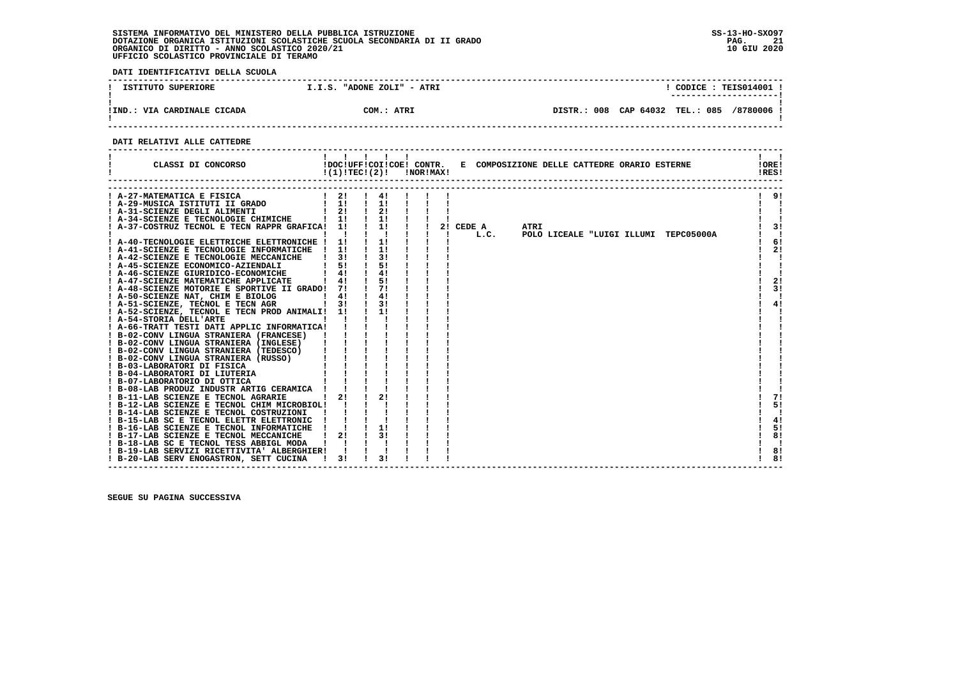**DATI IDENTIFICATIVI DELLA SCUOLA**

| ISTITUTO SUPERIORE          | I.I.S. "ADONE ZOLI" - ATRI | CODICE: TEIS014001 !<br>---------------------- |
|-----------------------------|----------------------------|------------------------------------------------|
| !IND.: VIA CARDINALE CICADA | COM.: ATRI                 | DISTR.: 008 CAP 64032 TEL.: 085<br>/8780006 !  |

 **------------------------------------------------------------------------------------------------------------------------------------**

 **DATI RELATIVI ALLE CATTEDRE**

| CLASSI DI CONCORSO                                                                                                                                                                                                                     | $!(1)!TEC!(2)!$ $INORIMAX!$   |               |                                              |  |           |      |      |  | !DOC!UFF!COI!COE! CONTR. E COMPOSIZIONE DELLE CATTEDRE ORARIO ESTERNE |  |  | !ORE!<br>!RES! |
|----------------------------------------------------------------------------------------------------------------------------------------------------------------------------------------------------------------------------------------|-------------------------------|---------------|----------------------------------------------|--|-----------|------|------|--|-----------------------------------------------------------------------|--|--|----------------|
| A-27-MATEMATICA E FISICA                                                                                                                                                                                                               | $1 \quad 2! \quad 1 \quad 4!$ |               |                                              |  |           |      |      |  |                                                                       |  |  | 9!             |
|                                                                                                                                                                                                                                        | $\frac{1}{2}$ 11              |               | $\frac{1}{1}$                                |  |           |      |      |  |                                                                       |  |  |                |
| ! A-29-MUSICA ISTITUTI II GRADO<br>! A-31-SCIENZE DEGLI ALIMENTI                                                                                                                                                                       | $\frac{1}{2}$                 |               | $\frac{1}{2}$                                |  |           |      |      |  |                                                                       |  |  |                |
| ! A-34-SCIENZE E TECNOLOGIE CHIMICHE   1!                                                                                                                                                                                              |                               |               | $\frac{1}{2}$                                |  |           |      |      |  |                                                                       |  |  |                |
| ! A-37-COSTRUZ TECNOL E TECN RAPPR GRAFICA! 1!                                                                                                                                                                                         |                               |               | $\begin{array}{ccc} & 1 & 1 & 1 \end{array}$ |  | 2! CEDE A |      | ATRI |  |                                                                       |  |  | 3!             |
|                                                                                                                                                                                                                                        | $\mathbf{1}$ $\mathbf{1}$     |               | $\mathbf{1}$ $\mathbf{1}$                    |  |           | L.C. |      |  | POLO LICEALE "LUIGI ILLUMI TEPC05000A                                 |  |  | $\blacksquare$ |
| ! A-40-TECNOLOGIE ELETTRICHE ELETTRONICHE ! 1!                                                                                                                                                                                         |                               |               | $\frac{1}{1}$                                |  |           |      |      |  |                                                                       |  |  | 61             |
| ! A-41-SCIENZE E TECNOLOGIE INFORMATICHE ! 1!                                                                                                                                                                                          |                               |               | $\frac{1}{1}$                                |  |           |      |      |  |                                                                       |  |  | 2!             |
| ! A-42-SCIENZE E TECNOLOGIE MECCANICHE                                                                                                                                                                                                 | $\frac{1}{3}$                 |               | $\frac{1}{3}$                                |  |           |      |      |  |                                                                       |  |  |                |
| ! A-45-SCIENZE ECONOMICO-AZIENDALI                                                                                                                                                                                                     | 51                            |               | 51                                           |  |           |      |      |  |                                                                       |  |  |                |
| A-46-SCIENZE GIURIDICO-ECONOMICHE                                                                                                                                                                                                      | $1 \quad 41$                  |               | 4!                                           |  |           |      |      |  |                                                                       |  |  |                |
| ! A-47-SCIENZE MATEMATICHE APPLICATE                                                                                                                                                                                                   | $1 \quad 4!$                  |               | $\frac{1}{5!}$                               |  |           |      |      |  |                                                                       |  |  | 2!             |
| ! A-48-SCIENZE MOTORIE E SPORTIVE II GRADO! 7!                                                                                                                                                                                         |                               |               | $\frac{1}{2}$                                |  |           |      |      |  |                                                                       |  |  | 3!             |
| $\frac{1}{2}$ $\frac{4!}{2}$<br>! A-50-SCIENZE NAT, CHIM E BIOLOG                                                                                                                                                                      |                               | $\frac{1}{4}$ |                                              |  |           |      |      |  |                                                                       |  |  |                |
| ! A-51-SCIENZE, TECNOL E TECN AGR [ 3!                                                                                                                                                                                                 |                               | $\frac{1}{3}$ |                                              |  |           |      |      |  |                                                                       |  |  | 4!             |
| ! A-52-SCIENZE, TECNOL E TECN PROD ANIMALI! 1!                                                                                                                                                                                         |                               |               | $\frac{1}{1}$                                |  |           |      |      |  |                                                                       |  |  |                |
| and the contract of the contract of the contract of the contract of the contract of the contract of the contract of<br>! A-54-STORIA DELL'ARTE                                                                                         |                               |               |                                              |  |           |      |      |  |                                                                       |  |  |                |
|                                                                                                                                                                                                                                        |                               |               |                                              |  |           |      |      |  |                                                                       |  |  |                |
|                                                                                                                                                                                                                                        |                               |               |                                              |  |           |      |      |  |                                                                       |  |  |                |
|                                                                                                                                                                                                                                        |                               |               |                                              |  |           |      |      |  |                                                                       |  |  |                |
|                                                                                                                                                                                                                                        |                               |               |                                              |  |           |      |      |  |                                                                       |  |  |                |
| A-66-TRATT TESTI DATI APPLIC INFORMATICA!<br>1 B-02-CONV LINGUA STRANIERA (FRANCESE) !!!!<br>1 B-02-CONV LINGUA STRANIERA (INGLESE) !!!!<br>1 B-02-CONV LINGUA STRANIERA (TEDESCO) !!!!!<br>1 B-02-CONV LINGUA STRANIERA (REDESCO) !!! |                               |               |                                              |  |           |      |      |  |                                                                       |  |  |                |
|                                                                                                                                                                                                                                        |                               |               |                                              |  |           |      |      |  |                                                                       |  |  |                |
|                                                                                                                                                                                                                                        |                               |               |                                              |  |           |      |      |  |                                                                       |  |  |                |
|                                                                                                                                                                                                                                        |                               |               |                                              |  |           |      |      |  |                                                                       |  |  |                |
| ! B-08-LAB PRODUZ INDUSTR ARTIG CERAMICA !                                                                                                                                                                                             |                               |               |                                              |  |           |      |      |  |                                                                       |  |  |                |
| ! B-11-LAB SCIENZE E TECNOL AGRARIE   2!                                                                                                                                                                                               |                               |               | 21                                           |  |           |      |      |  |                                                                       |  |  | 71             |
| ! B-12-LAB SCIENZE E TECNOL CHIM MICROBIOL! !                                                                                                                                                                                          |                               |               |                                              |  |           |      |      |  |                                                                       |  |  | 5!             |
| ! B-14-LAB SCIENZE E TECNOL COSTRUZIONI                                                                                                                                                                                                |                               |               |                                              |  |           |      |      |  |                                                                       |  |  |                |
| ! B-15-LAB SC E TECNOL ELETTR ELETTRONIC                                                                                                                                                                                               |                               |               |                                              |  |           |      |      |  |                                                                       |  |  | 4!             |
| ! B-16-LAB SCIENZE E TECNOL INFORMATICHE                                                                                                                                                                                               |                               |               | 11                                           |  |           |      |      |  |                                                                       |  |  | 5!             |
| ! B-17-LAB SCIENZE E TECNOL MECCANICHE                                                                                                                                                                                                 | 21                            |               | 3 I                                          |  |           |      |      |  |                                                                       |  |  | 8!             |
| ! B-18-LAB SC E TECNOL TESS ABBIGL MODA                                                                                                                                                                                                |                               |               |                                              |  |           |      |      |  |                                                                       |  |  |                |
| ! B-19-LAB SERVIZI RICETTIVITA' ALBERGHIER!                                                                                                                                                                                            |                               |               |                                              |  |           |      |      |  |                                                                       |  |  | 8!             |
| ! B-20-LAB SERV ENOGASTRON, SETT CUCINA                                                                                                                                                                                                | $\frac{1}{3!}$                |               | 31                                           |  |           |      |      |  |                                                                       |  |  | 8!             |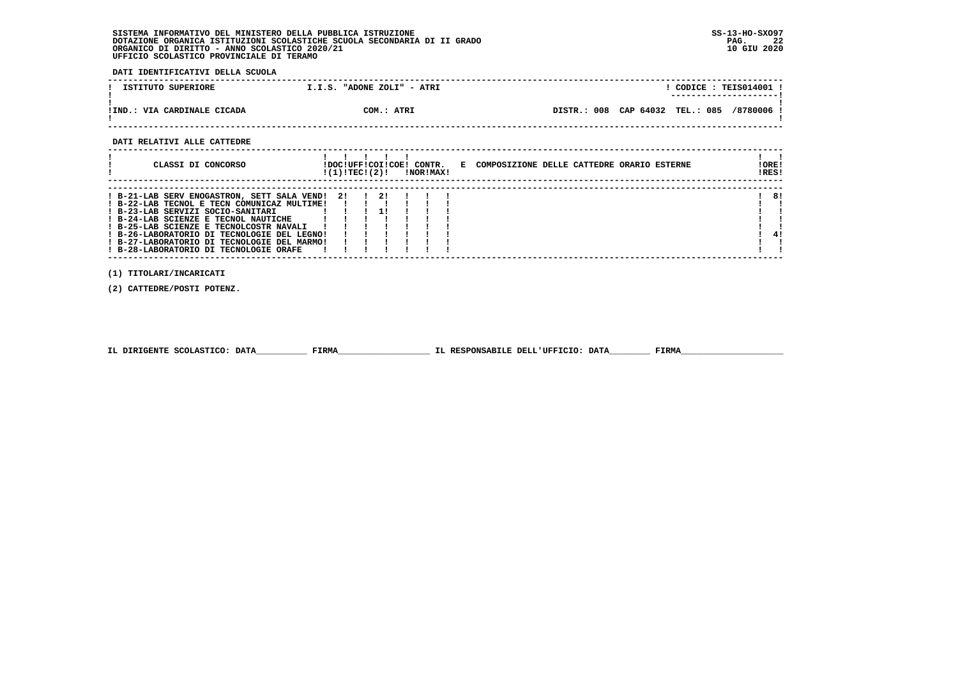**DATI IDENTIFICATIVI DELLA SCUOLA**

| ISTITUTO SUPERIORE          | I.I.S. "ADONE ZOLI" - ATRI | $CODE: TEE3014001$ !<br>---------------------- |
|-----------------------------|----------------------------|------------------------------------------------|
| !IND.: VIA CARDINALE CICADA | COM.: ATRI                 | DISTR.: 008 CAP 64032 TEL.: 085<br>/8780006    |

 **------------------------------------------------------------------------------------------------------------------------------------**

 **DATI RELATIVI ALLE CATTEDRE**

| CLASSI DI CONCORSO                                                                                                                                                                                                                                                                                                                                         | !DOC!UFF!COI!COE! CONTR.<br>!(1)!TECI(2)! |               |  | !NOR!MAX! | E COMPOSIZIONE DELLE CATTEDRE ORARIO ESTERNE | !ORE!<br>!RES! |
|------------------------------------------------------------------------------------------------------------------------------------------------------------------------------------------------------------------------------------------------------------------------------------------------------------------------------------------------------------|-------------------------------------------|---------------|--|-----------|----------------------------------------------|----------------|
| ! B-21-LAB SERV ENOGASTRON, SETT SALA VEND!<br>! B-22-LAB TECNOL E TECN COMUNICAZ MULTIME!<br>! B-23-LAB SERVIZI SOCIO-SANITARI<br>! B-24-LAB SCIENZE E TECNOL NAUTICHE<br>! B-25-LAB SCIENZE E TECNOLCOSTR NAVALI<br>! B-26-LABORATORIO DI TECNOLOGIE DEL LEGNO!<br>! B-27-LABORATORIO DI TECNOLOGIE DEL MARMO!<br>! B-28-LABORATORIO DI TECNOLOGIE ORAFE | -21                                       | $\frac{1}{2}$ |  |           |                                              | 8!<br>41       |

 **(1) TITOLARI/INCARICATI**

 **(2) CATTEDRE/POSTI POTENZ.**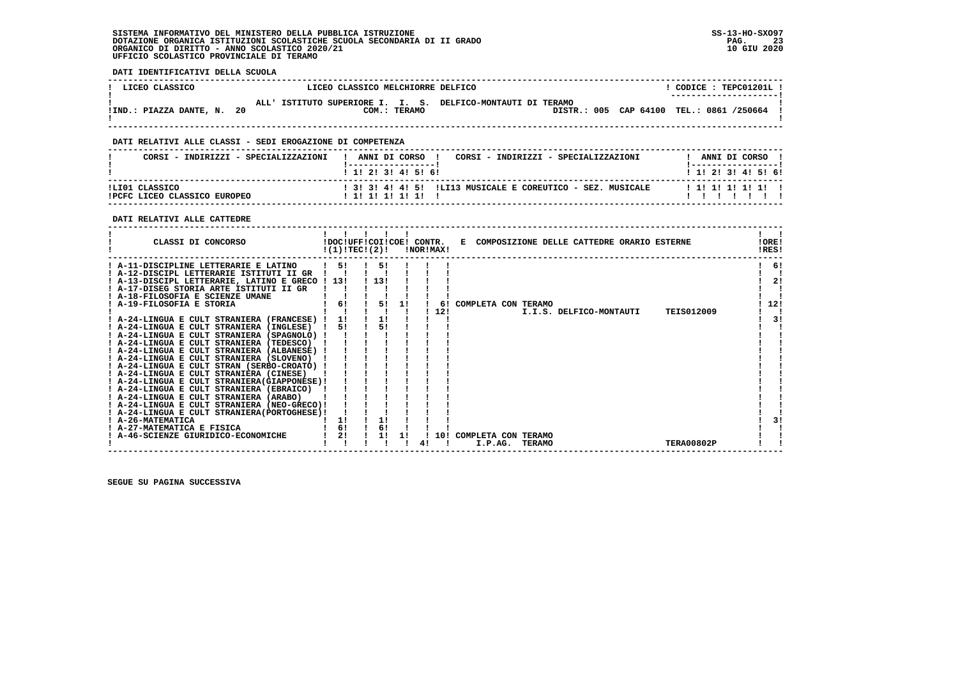**DATI IDENTIFICATIVI DELLA SCUOLA**

| ! LICEO CLASSICO           | LICEO CLASSICO MELCHIORRE DELFICO                                           | CODICE: TEPC01201L!<br>---------------------- |
|----------------------------|-----------------------------------------------------------------------------|-----------------------------------------------|
| !IND.: PIAZZA DANTE, N. 20 | ALL' ISTITUTO SUPERIORE I. I. S. DELFICO-MONTAUTI DI TERAMO<br>COM.: TERAMO | DISTR.: 005 CAP 64100 TEL.: 0861 /250664 !    |

 **------------------------------------------------------------------------------------------------------------------------------------**

## **DATI RELATIVI ALLE CLASSI - SEDI EROGAZIONE DI COMPETENZA**

| CORSI - INDIRIZZI - SPECIALIZZAZIONI           | ANNI DI CORSO<br>CORSI - INDIRIZZI - SPECIALIZZAZIONI<br>$1$ , 1, 2, 3, 4, 5, 6, | ANNI DI CORSO<br>1 1 2 2 1 3 1 4 1 5 1 6 1 |
|------------------------------------------------|----------------------------------------------------------------------------------|--------------------------------------------|
| ILIO1 CLASSICO<br>IPCFC LICEO CLASSICO EUROPEO | ! 3! 3! 4! 4! 5! !LI13 MUSICALE E COREUTICO - SEZ. MUSICALE<br>! 1! 1! 1! 1! 1!  | 1 1 1 1 1 1 1 1 1                          |

#### **DATI RELATIVI ALLE CATTEDRE**

| CLASSI DI CONCORSO                                                                        | !DOC!UFF!COI!COE! CONTR.<br>!(1)!TEC!(2)! |      |    | !NOR!MAX! | E COMPOSIZIONE DELLE CATTEDRE ORARIO ESTERNE  | ! ORE!<br>!RES! |
|-------------------------------------------------------------------------------------------|-------------------------------------------|------|----|-----------|-----------------------------------------------|-----------------|
| A-11-DISCIPLINE LETTERARIE E LATINO                                                       | 51                                        | 51   |    |           |                                               | -61             |
| ! A-12-DISCIPL LETTERARIE ISTITUTI II GR                                                  |                                           |      |    |           |                                               |                 |
| A-13-DISCIPL LETTERARIE, LATINO E GRECO ! 13!                                             |                                           | 1131 |    |           |                                               | 2!              |
| ! A-17-DISEG STORIA ARTE ISTITUTI II GR                                                   |                                           |      |    |           |                                               |                 |
| ! A-18-FILOSOFIA E SCIENZE UMANE                                                          |                                           |      |    |           |                                               |                 |
| A-19-FILOSOFIA E STORIA                                                                   | 6!                                        | 5!   | 11 | 61        | COMPLETA CON TERAMO                           | 12!             |
|                                                                                           |                                           |      |    | 12!       | <b>TEIS012009</b><br>I.I.S. DELFICO-MONTAUTI  |                 |
| ! A-24-LINGUA E CULT STRANIERA (FRANCESE) !                                               | 1!                                        | 1!   |    |           |                                               | 3!              |
| ! A-24-LINGUA E CULT STRANIERA (INGLESE)                                                  | 5!                                        | 5!   |    |           |                                               |                 |
| A-24-LINGUA E CULT STRANIERA (SPAGNOLO) !                                                 |                                           |      |    |           |                                               |                 |
| ! A-24-LINGUA E CULT STRANIERA (TEDESCO)                                                  |                                           |      |    |           |                                               |                 |
| ! A-24-LINGUA E CULT STRANIERA (ALBANESE) !                                               |                                           |      |    |           |                                               |                 |
| ! A-24-LINGUA E CULT STRANIERA (SLOVENO)                                                  |                                           |      |    |           |                                               |                 |
| ! A-24-LINGUA E CULT STRAN (SERBO-CROATO) !                                               |                                           |      |    |           |                                               |                 |
| ! A-24-LINGUA E CULT STRANIERA (CINESE)                                                   |                                           |      |    |           |                                               |                 |
| ! A-24-LINGUA E CULT STRANIERA (GIAPPONESE) !<br>! A-24-LINGUA E CULT STRANIERA (EBRAICO) |                                           |      |    |           |                                               |                 |
| ! A-24-LINGUA E CULT STRANIERA (ARABO)                                                    |                                           |      |    |           |                                               |                 |
| ! A-24-LINGUA E CULT STRANIERA (NEO-GRECO)!                                               |                                           |      |    |           |                                               |                 |
| ! A-24-LINGUA E CULT STRANIERA (PORTOGHESE) !                                             |                                           |      |    |           |                                               |                 |
| ! A-26-MATEMATICA                                                                         | 1!                                        |      |    |           |                                               | 31              |
| A-27-MATEMATICA E FISICA                                                                  | 6!                                        | 6!   |    |           |                                               |                 |
| A-46-SCIENZE GIURIDICO-ECONOMICHE                                                         | 2!                                        |      |    | 10!       | COMPLETA CON TERAMO                           |                 |
|                                                                                           |                                           |      |    |           | I.P.AG.<br><b>TERAMO</b><br><b>TERA00802P</b> |                 |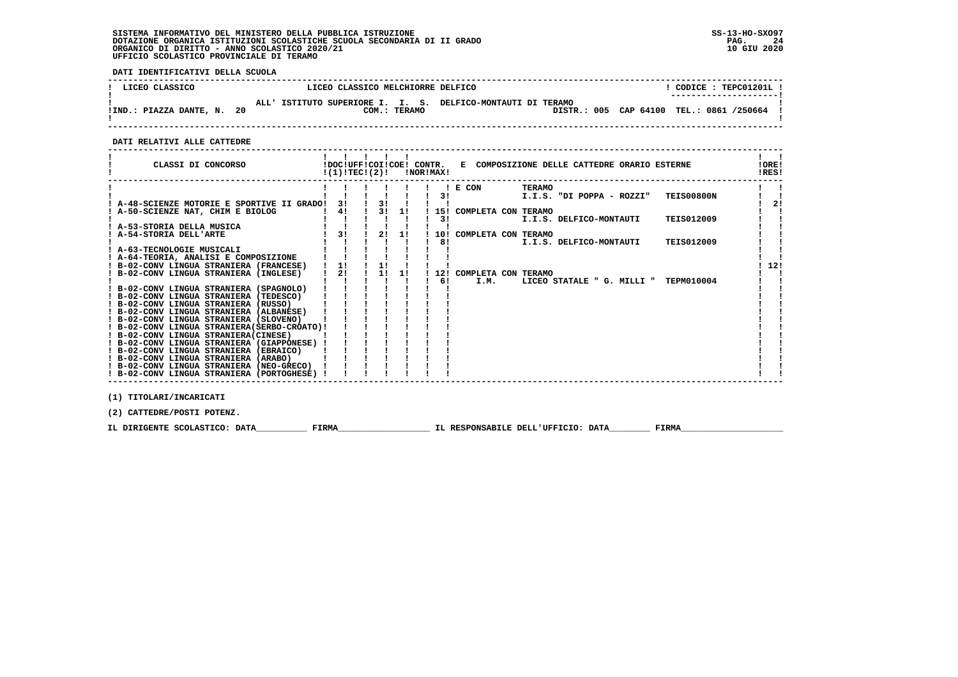**DATI IDENTIFICATIVI DELLA SCUOLA**

| ! LICEO CLASSICO           | LICEO CLASSICO MELCHIORRE DELFICO                                 | CODICE: TEPC01201L!                      |
|----------------------------|-------------------------------------------------------------------|------------------------------------------|
|                            | ISTITUTO SUPERIORE I. I. S. DELFICO-MONTAUTI DI TERAMO<br>AT.T. I | ---------------------                    |
| !IND.: PIAZZA DANTE, N. 20 | COM.: TERAMO                                                      | DISTR.: 005 CAP 64100 TEL.: 0861 /250664 |

 **------------------------------------------------------------------------------------------------------------------------------------**

 **DATI RELATIVI ALLE CATTEDRE**

| CLASSI DI CONCORSO                                                              |    | $!(1)!TEC!(2)!$ $INORIMAX!$    |    |     |                         |        | !DOC!UFF!COI!COE! CONTR. E COMPOSIZIONE DELLE CATTEDRE ORARIO ESTERNE |                   | !ORE!<br>!RES! |
|---------------------------------------------------------------------------------|----|--------------------------------|----|-----|-------------------------|--------|-----------------------------------------------------------------------|-------------------|----------------|
|                                                                                 |    |                                |    |     | ! E CON                 | TERAMO |                                                                       |                   |                |
|                                                                                 |    |                                |    | 3!  |                         |        | I.I.S. "DI POPPA - ROZZI"                                             | <b>TEIS00800N</b> |                |
| ! A-48-SCIENZE MOTORIE E SPORTIVE II GRADO!                                     | 31 | $\frac{1}{3}$                  |    |     |                         |        |                                                                       |                   | 2!             |
| A-50-SCIENZE NAT, CHIM E BIOLOG                                                 | 41 | $\frac{1}{3!}$ $\frac{3!}{1!}$ |    |     | 15! COMPLETA CON TERAMO |        |                                                                       |                   |                |
|                                                                                 |    |                                |    | 31  |                         |        | I.I.S. DELFICO-MONTAUTI                                               | <b>TEIS012009</b> |                |
| ! A-53-STORIA DELLA MUSICA                                                      |    |                                |    |     |                         |        |                                                                       |                   |                |
| ! A-54-STORIA DELL'ARTE                                                         | 31 | 2!                             | 1! |     | 10! COMPLETA CON TERAMO |        |                                                                       |                   |                |
|                                                                                 |    |                                |    | 8!  |                         |        | I.I.S. DELFICO-MONTAUTI                                               | <b>TEIS012009</b> |                |
| ! A-63-TECNOLOGIE MUSICALI                                                      |    |                                |    |     |                         |        |                                                                       |                   |                |
| ! A-64-TEORIA, ANALISI E COMPOSIZIONE                                           |    |                                |    |     |                         |        |                                                                       |                   |                |
| ! B-02-CONV LINGUA STRANIERA (FRANCESE)                                         | 1! | 1!                             |    |     |                         |        |                                                                       |                   | 12!            |
| ! B-02-CONV LINGUA STRANIERA (INGLESE)                                          | 2! | 1 1 1 1                        |    |     | 12! COMPLETA CON TERAMO |        |                                                                       |                   |                |
|                                                                                 |    |                                |    | 6 ! | I.M.                    |        | LICEO STATALE " G. MILLI "                                            | TEPM010004        |                |
| ! B-02-CONV LINGUA STRANIERA (SPAGNOLO)                                         |    |                                |    |     |                         |        |                                                                       |                   |                |
| ! B-02-CONV LINGUA STRANIERA (TEDESCO)                                          |    |                                |    |     |                         |        |                                                                       |                   |                |
| ! B-02-CONV LINGUA STRANIERA (RUSSO)<br>! B-02-CONV LINGUA STRANIERA (ALBANESE) |    |                                |    |     |                         |        |                                                                       |                   |                |
| ! B-02-CONV LINGUA STRANIERA (SLOVENO)                                          |    |                                |    |     |                         |        |                                                                       |                   |                |
| ! B-02-CONV LINGUA STRANIERA (SERBO-CROATO)!                                    |    |                                |    |     |                         |        |                                                                       |                   |                |
| ! B-02-CONV LINGUA STRANIERA (CINESE)                                           |    |                                |    |     |                         |        |                                                                       |                   |                |
| ! B-02-CONV LINGUA STRANIERA (GIAPPONESE) !                                     |    |                                |    |     |                         |        |                                                                       |                   |                |
| ! B-02-CONV LINGUA STRANIERA (EBRAICO)                                          |    |                                |    |     |                         |        |                                                                       |                   |                |
| ! B-02-CONV LINGUA STRANIERA (ARABO)                                            |    |                                |    |     |                         |        |                                                                       |                   |                |
| ! B-02-CONV LINGUA STRANIERA (NEO-GRECO)                                        |    |                                |    |     |                         |        |                                                                       |                   |                |
| ! B-02-CONV LINGUA STRANIERA (PORTOGHESE) !                                     |    |                                |    |     |                         |        |                                                                       |                   |                |
|                                                                                 |    |                                |    |     |                         |        |                                                                       |                   |                |
| (1) TITOLARI/INCARICATI                                                         |    |                                |    |     |                         |        |                                                                       |                   |                |

 **(2) CATTEDRE/POSTI POTENZ.**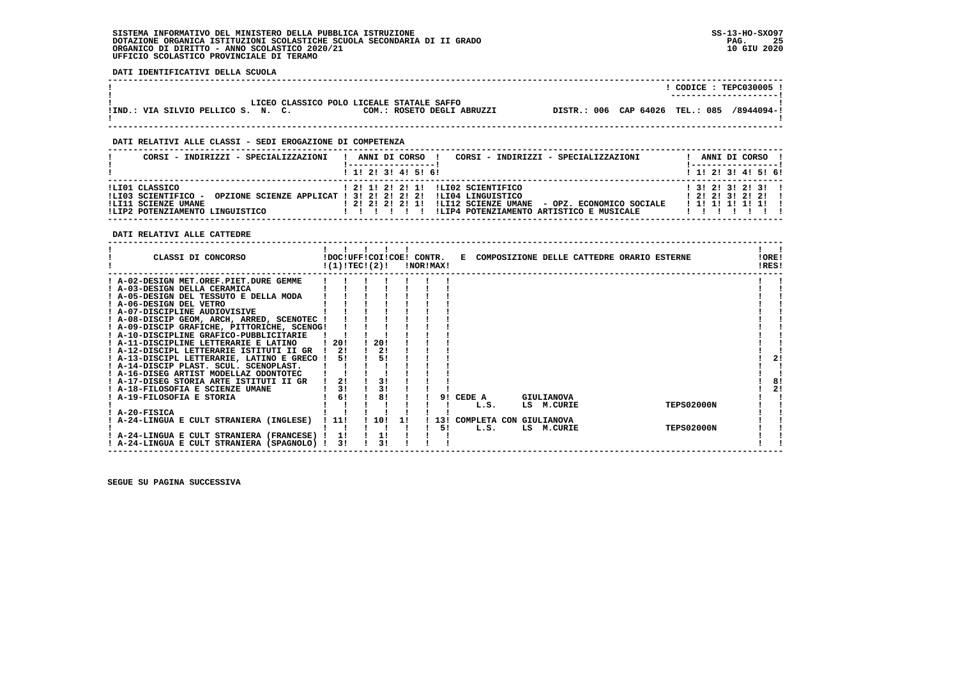**DATI IDENTIFICATIVI DELLA SCUOLA**

|                                    |                                           |                            |                                            |  | $'$ CODICE : TEPC030005 : |
|------------------------------------|-------------------------------------------|----------------------------|--------------------------------------------|--|---------------------------|
|                                    |                                           |                            |                                            |  | ----------------------    |
|                                    | LICEO CLASSICO POLO LICEALE STATALE SAFFO |                            |                                            |  |                           |
| !IND.: VIA SILVIO PELLICO S. N. C. |                                           | COM.: ROSETO DEGLI ABRUZZI | DISTR.: 006 CAP 64026 TEL.: 085 /8944094-! |  |                           |
|                                    |                                           |                            |                                            |  |                           |

 **------------------------------------------------------------------------------------------------------------------------------------**

 **------------------------------------------------------------------------------------------------------------------------------------**

 **DATI RELATIVI ALLE CLASSI - SEDI EROGAZIONE DI COMPETENZA**

| CORSI - INDIRIZZI - SPECIALIZZAZIONI                                                            | CORSI - INDIRIZZI - SPECIALIZZAZIONI<br>ANNI DI CORSO                                                                                                                                                               | ANNI DI CORSO                                                  |
|-------------------------------------------------------------------------------------------------|---------------------------------------------------------------------------------------------------------------------------------------------------------------------------------------------------------------------|----------------------------------------------------------------|
|                                                                                                 | 1 1 2 3 3 4 5 5 6                                                                                                                                                                                                   | ! 1! 2! 3! 4! 5! 6!                                            |
| ILIO1 CLASSICO<br>ILI03 SCIENTIFICO -<br>!LI11 SCIENZE UMANE<br>!LIP2 POTENZIAMENTO LINGUISTICO | 1 21 11 21 21 11 1LI02 SCIENTIFICO<br>OPZIONE SCIENZE APPLICAT ! 3! 2! 2! 2! 2! !LI04 LINGUISTICO<br>! 2! 2! 2! 2! 1! !LI12 SCIENZE UMANE - OPZ. ECONOMICO SOCIALE<br>!LIP4 POTENZIAMENTO ARTISTICO E MUSICALE<br>. | $1$ 3! 2! 3! 2! 3!!<br>$1$ 21 21 31 21 21<br>1 1 1 1 1 1 1 1 1 |

 **DATI RELATIVI ALLE CATTEDRE**

| CLASSI DI CONCORSO                          |      |                | !DOC!UFF!COI!COE! CONTR.<br>!(1)!TEC!(2)! |     | !NOR!MAX! |                             |                   |            |  | E COMPOSIZIONE DELLE CATTEDRE ORARIO ESTERNE | !ORE!<br>!RES! |
|---------------------------------------------|------|----------------|-------------------------------------------|-----|-----------|-----------------------------|-------------------|------------|--|----------------------------------------------|----------------|
| ! A-02-DESIGN MET.OREF.PIET.DURE GEMME      |      |                |                                           |     |           |                             |                   |            |  |                                              |                |
| ! A-03-DESIGN DELLA CERAMICA                |      |                |                                           |     |           |                             |                   |            |  |                                              |                |
| ! A-05-DESIGN DEL TESSUTO E DELLA MODA      |      |                |                                           |     |           |                             |                   |            |  |                                              |                |
| ! A-06-DESIGN DEL VETRO                     |      |                |                                           |     |           |                             |                   |            |  |                                              |                |
| ! A-07-DISCIPLINE AUDIOVISIVE               |      |                |                                           |     |           |                             |                   |            |  |                                              |                |
| ! A-08-DISCIP GEOM, ARCH, ARRED, SCENOTEC ! |      |                |                                           |     |           |                             |                   |            |  |                                              |                |
| ! A-09-DISCIP GRAFICHE, PITTORICHE, SCENOG! |      |                |                                           |     |           |                             |                   |            |  |                                              |                |
| ! A-10-DISCIPLINE GRAFICO-PUBBLICITARIE     |      |                |                                           |     |           |                             |                   |            |  |                                              |                |
| ! A-11-DISCIPLINE LETTERARIE E LATINO       | -201 |                | 20!                                       |     |           |                             |                   |            |  |                                              |                |
| ! A-12-DISCIPL LETTERARIE ISTITUTI II GR    | 2!   |                | 2!                                        |     |           |                             |                   |            |  |                                              |                |
| ! A-13-DISCIPL LETTERARIE, LATINO E GRECO ! |      | 51             | 51                                        |     |           |                             |                   |            |  |                                              | 21             |
| ! A-14-DISCIP PLAST. SCUL. SCENOPLAST.      |      |                |                                           |     |           |                             |                   |            |  |                                              |                |
| ! A-16-DISEG ARTIST MODELLAZ ODONTOTEC      |      |                |                                           |     |           |                             |                   |            |  |                                              |                |
| ! A-17-DISEG STORIA ARTE ISTITUTI II GR     | 2!   |                | 3!                                        |     |           |                             |                   |            |  |                                              | 8!             |
| ! A-18-FILOSOFIA E SCIENZE UMANE            |      | 3 <sub>1</sub> | 3!                                        |     |           |                             |                   |            |  |                                              | 21             |
| ! A-19-FILOSOFIA E STORIA                   |      | 6!             | 8!                                        |     |           | 9! CEDE A                   | <b>GIULIANOVA</b> |            |  |                                              |                |
|                                             |      |                |                                           |     |           | L.S.                        | LS M.CURIE        |            |  | <b>TEPS02000N</b>                            |                |
| ! A-20-FISICA                               |      |                |                                           |     |           |                             |                   |            |  |                                              |                |
| ! A-24-LINGUA E CULT STRANIERA (INGLESE)    | 111  |                | 10!                                       | -11 |           | 13! COMPLETA CON GIULIANOVA |                   |            |  |                                              |                |
|                                             |      |                |                                           |     | 5!        | L.S.                        |                   | LS M.CURIE |  | <b>TEPS02000N</b>                            |                |
| ! A-24-LINGUA E CULT STRANIERA (FRANCESE) ! | 1!   |                | 1!                                        |     |           |                             |                   |            |  |                                              |                |
| ! A-24-LINGUA E CULT STRANIERA (SPAGNOLO)   |      | 31             | 31                                        |     |           |                             |                   |            |  |                                              |                |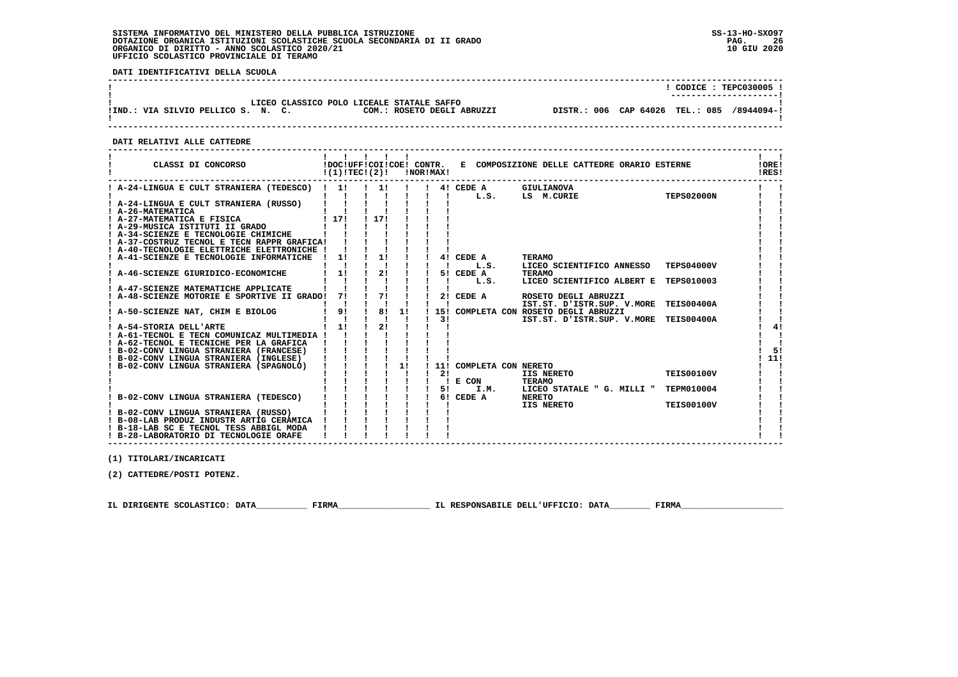**DATI IDENTIFICATIVI DELLA SCUOLA**

|                                    |                                           |                            |                                            | $\overline{CODICE}$ : TEPC030005 ! |
|------------------------------------|-------------------------------------------|----------------------------|--------------------------------------------|------------------------------------|
|                                    | LICEO CLASSICO POLO LICEALE STATALE SAFFO |                            |                                            | ----------------------             |
| !IND.: VIA SILVIO PELLICO S. N. C. |                                           | COM.: ROSETO DEGLI ABRUZZI | DISTR.: 006 CAP 64026 TEL.: 085 /8944094-! |                                    |
|                                    |                                           |                            |                                            |                                    |

 **DATI RELATIVI ALLE CATTEDRE**

| CLASSI DI CONCORSO                                                                |      | !(1)!TECI(2)! |    | !NOR!MAX! |                         | IDOCIUFFICOIICOEI CONTR. E COMPOSIZIONE DELLE CATTEDRE ORARIO ESTERNE |                   | !ORE!<br>IRES! |
|-----------------------------------------------------------------------------------|------|---------------|----|-----------|-------------------------|-----------------------------------------------------------------------|-------------------|----------------|
| ! A-24-LINGUA E CULT STRANIERA (TEDESCO) ! 1!                                     |      |               |    |           | 4! CEDE A<br>L.S.       | GIULIANOVA<br>LS M.CURIE                                              | <b>TEPS02000N</b> |                |
| ! A-24-LINGUA E CULT STRANIERA (RUSSO)<br>! A-26-MATEMATICA                       |      |               |    |           |                         |                                                                       |                   |                |
| ! A-27-MATEMATICA E FISICA                                                        | 1171 | 1 1 7 1       |    |           |                         |                                                                       |                   |                |
| ! A-29-MUSICA ISTITUTI II GRADO                                                   |      |               |    |           |                         |                                                                       |                   |                |
| ! A-34-SCIENZE E TECNOLOGIE CHIMICHE                                              |      |               |    |           |                         |                                                                       |                   |                |
| ! A-37-COSTRUZ TECNOL E TECN RAPPR GRAFICA!                                       |      |               |    |           |                         |                                                                       |                   |                |
| ! A-40-TECNOLOGIE ELETTRICHE ELETTRONICHE !                                       |      |               |    |           |                         |                                                                       |                   |                |
| A-41-SCIENZE E TECNOLOGIE INFORMATICHE                                            | 1!   | 1!            |    |           | 4! CEDE A               | <b>TERAMO</b>                                                         |                   |                |
|                                                                                   |      |               |    |           | L.S.                    | LICEO SCIENTIFICO ANNESSO                                             | <b>TEPS04000V</b> |                |
| A-46-SCIENZE GIURIDICO-ECONOMICHE                                                 | 11   | 2!            |    |           | 5! CEDE A               | <b>TERAMO</b>                                                         |                   |                |
|                                                                                   |      |               |    |           | L.S.                    | LICEO SCIENTIFICO ALBERT E TEPS010003                                 |                   |                |
| ! A-47-SCIENZE MATEMATICHE APPLICATE<br>A-48-SCIENZE MOTORIE E SPORTIVE II GRADO! | 71   | 71            |    |           | 2! CEDE A               | ROSETO DEGLI ABRUZZI                                                  |                   |                |
|                                                                                   |      |               |    |           |                         | IST.ST. D'ISTR.SUP. V.MORE                                            | <b>TEIS00400A</b> |                |
| ! A-50-SCIENZE NAT, CHIM E BIOLOG                                                 | 9!   | 8!            | 1! |           |                         | 15! COMPLETA CON ROSETO DEGLI ABRUZZI                                 |                   |                |
|                                                                                   |      |               |    | 3 I       |                         | IST.ST. D'ISTR.SUP. V.MORE TEIS00400A                                 |                   |                |
| ! A-54-STORIA DELL'ARTE                                                           | 1!   | 2!            |    |           |                         |                                                                       |                   |                |
| ! A-61-TECNOL E TECN COMUNICAZ MULTIMEDIA !                                       |      |               |    |           |                         |                                                                       |                   |                |
| ! A-62-TECNOL E TECNICHE PER LA GRAFICA                                           |      |               |    |           |                         |                                                                       |                   |                |
| ! B-02-CONV LINGUA STRANIERA (FRANCESE)                                           |      |               |    |           |                         |                                                                       |                   | 51             |
| ! B-02-CONV LINGUA STRANIERA (INGLESE)                                            |      |               |    |           |                         |                                                                       |                   | 11!            |
| ! B-02-CONV LINGUA STRANIERA (SPAGNOLO)                                           |      |               | 1! |           | 11! COMPLETA CON NERETO |                                                                       |                   |                |
|                                                                                   |      |               |    | 21        |                         | <b>IIS NERETO</b>                                                     | <b>TEIS00100V</b> |                |
|                                                                                   |      |               |    | 51        | E CON<br>I.M.           | <b>TERAMO</b><br>LICEO STATALE " G. MILLI "                           | TEPM010004        |                |
| B-02-CONV LINGUA STRANIERA (TEDESCO)                                              |      |               |    | 6 !       | CEDE A                  | <b>NERETO</b>                                                         |                   |                |
|                                                                                   |      |               |    |           |                         | IIS NERETO                                                            | <b>TEIS00100V</b> |                |
| ! B-02-CONV LINGUA STRANIERA (RUSSO)                                              |      |               |    |           |                         |                                                                       |                   |                |
| ! B-08-LAB PRODUZ INDUSTR ARTIG CERAMICA                                          |      |               |    |           |                         |                                                                       |                   |                |
| ! B-18-LAB SC E TECNOL TESS ABBIGL MODA                                           |      |               |    |           |                         |                                                                       |                   |                |
| ! B-28-LABORATORIO DI TECNOLOGIE ORAFE                                            |      |               |    |           |                         |                                                                       |                   |                |

 **(1) TITOLARI/INCARICATI**

 **(2) CATTEDRE/POSTI POTENZ.**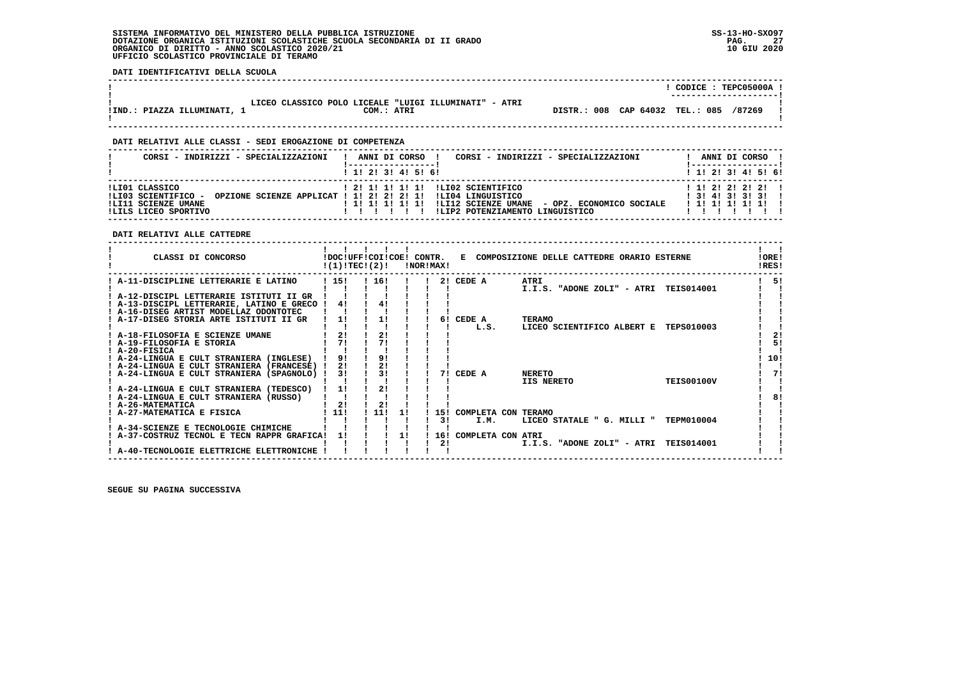**DATI IDENTIFICATIVI DELLA SCUOLA**

|                             |                                                                     |                                 | CODICE: TEPC05000A !<br>---------------------- |
|-----------------------------|---------------------------------------------------------------------|---------------------------------|------------------------------------------------|
| !IND.: PIAZZA ILLUMINATI, 1 | LICEO CLASSICO POLO LICEALE "LUIGI ILLUMINATI" - ATRI<br>COM.: ATRI | DISTR.: 008 CAP 64032 TEL.: 085 | /87269                                         |

 **------------------------------------------------------------------------------------------------------------------------------------**

## **DATI RELATIVI ALLE CLASSI - SEDI EROGAZIONE DI COMPETENZA**

| CORST - INDIRIZZI - SPECIALIZZAZIONI                                                 | CORSI - INDIRIZZI - SPECIALIZZAZIONI<br>ANNI DI CORSO !                                                                                                                                             | ANNI DI CORSO                                   |
|--------------------------------------------------------------------------------------|-----------------------------------------------------------------------------------------------------------------------------------------------------------------------------------------------------|-------------------------------------------------|
|                                                                                      | $1$ , 1! 2! 3! 4! 5! 6!                                                                                                                                                                             | $1$ 1! 2! 3! 4! 5! 6!                           |
| ILIO1 CLASSICO<br>!LI03 SCIENTIFICO -<br>!LI11 SCIENZE UMANE<br>ILILS LICEO SPORTIVO | ! 2! 1! 1! 1! 1! !LI02 SCIENTIFICO<br>OPZIONE SCIENZE APPLICAT ! 1! 2! 2! 2! 1! !LI04 LINGUISTICO<br>!LI12 SCIENZE UMANE - OPZ. ECONOMICO SOCIALE<br>!!!!!!!!!!!<br>ILIP2 POTENZIAMENTO LINGUISTICO | $1$ 1! 2! 2! 2! 2! 1<br>1 3 1 4 1 3 1 3 1 3 1 1 |

 **DATI RELATIVI ALLE CATTEDRE**

|                                           |                                                                                                              |          |                                                                   |                          |                                                                                   | !ORE!<br>!RES!                                                                                                                                                                                                                                                                                                                                                                    |
|-------------------------------------------|--------------------------------------------------------------------------------------------------------------|----------|-------------------------------------------------------------------|--------------------------|-----------------------------------------------------------------------------------|-----------------------------------------------------------------------------------------------------------------------------------------------------------------------------------------------------------------------------------------------------------------------------------------------------------------------------------------------------------------------------------|
| ! 15!                                     |                                                                                                              |          |                                                                   | CEDE A                   | ATRI                                                                              | 51                                                                                                                                                                                                                                                                                                                                                                                |
|                                           |                                                                                                              |          |                                                                   |                          |                                                                                   |                                                                                                                                                                                                                                                                                                                                                                                   |
|                                           |                                                                                                              |          |                                                                   |                          |                                                                                   |                                                                                                                                                                                                                                                                                                                                                                                   |
| ! A-13-DISCIPL LETTERARIE, LATINO E GRECO |                                                                                                              |          |                                                                   |                          |                                                                                   |                                                                                                                                                                                                                                                                                                                                                                                   |
|                                           |                                                                                                              |          |                                                                   |                          |                                                                                   |                                                                                                                                                                                                                                                                                                                                                                                   |
|                                           |                                                                                                              |          |                                                                   |                          |                                                                                   |                                                                                                                                                                                                                                                                                                                                                                                   |
|                                           |                                                                                                              |          |                                                                   |                          |                                                                                   |                                                                                                                                                                                                                                                                                                                                                                                   |
|                                           |                                                                                                              |          |                                                                   |                          |                                                                                   | 2!                                                                                                                                                                                                                                                                                                                                                                                |
|                                           |                                                                                                              |          |                                                                   |                          |                                                                                   | 5!                                                                                                                                                                                                                                                                                                                                                                                |
|                                           |                                                                                                              |          |                                                                   |                          |                                                                                   |                                                                                                                                                                                                                                                                                                                                                                                   |
|                                           |                                                                                                              |          |                                                                   |                          |                                                                                   | 10!                                                                                                                                                                                                                                                                                                                                                                               |
|                                           |                                                                                                              |          |                                                                   |                          |                                                                                   |                                                                                                                                                                                                                                                                                                                                                                                   |
|                                           |                                                                                                              |          |                                                                   |                          |                                                                                   | 71                                                                                                                                                                                                                                                                                                                                                                                |
|                                           |                                                                                                              |          |                                                                   |                          |                                                                                   |                                                                                                                                                                                                                                                                                                                                                                                   |
|                                           |                                                                                                              |          |                                                                   |                          |                                                                                   |                                                                                                                                                                                                                                                                                                                                                                                   |
|                                           |                                                                                                              |          |                                                                   |                          |                                                                                   | 81                                                                                                                                                                                                                                                                                                                                                                                |
|                                           |                                                                                                              |          |                                                                   |                          |                                                                                   |                                                                                                                                                                                                                                                                                                                                                                                   |
|                                           |                                                                                                              | 1 I      |                                                                   |                          |                                                                                   |                                                                                                                                                                                                                                                                                                                                                                                   |
|                                           |                                                                                                              |          |                                                                   |                          |                                                                                   |                                                                                                                                                                                                                                                                                                                                                                                   |
|                                           |                                                                                                              |          |                                                                   |                          |                                                                                   |                                                                                                                                                                                                                                                                                                                                                                                   |
|                                           |                                                                                                              |          |                                                                   |                          |                                                                                   |                                                                                                                                                                                                                                                                                                                                                                                   |
|                                           |                                                                                                              |          |                                                                   |                          |                                                                                   |                                                                                                                                                                                                                                                                                                                                                                                   |
|                                           |                                                                                                              |          |                                                                   |                          |                                                                                   |                                                                                                                                                                                                                                                                                                                                                                                   |
|                                           | 41<br>11<br>21<br>71<br>91<br>21<br>31<br>11<br>2!<br>11!<br>A-37-COSTRUZ TECNOL E TECN RAPPR GRAFICA!<br>11 | 91<br>2! | !(1)!TEC!(2)!<br>! 16!<br>11<br>2!<br>21<br>31<br>21<br>11!<br>11 | !DOC!UFF!COI!COE! CONTR. | !NOR!MAX!<br>21<br>CEDE A<br>61<br>71<br>CEDE A<br>151<br>I.M.<br>31<br>16!<br>2! | E COMPOSIZIONE DELLE CATTEDRE ORARIO ESTERNE<br>I.I.S. "ADONE ZOLI" - ATRI<br><b>TEIS014001</b><br><b>TERAMO</b><br>L.S.<br>LICEO SCIENTIFICO ALBERT E<br><b>TEPS010003</b><br><b>NERETO</b><br><b>TEIS00100V</b><br>IIS NERETO<br>COMPLETA CON TERAMO<br><b>TEPM010004</b><br>LICEO STATALE " G. MILLI "<br>COMPLETA CON ATRI<br>I.I.S. "ADONE ZOLI" - ATRI<br><b>TEIS014001</b> |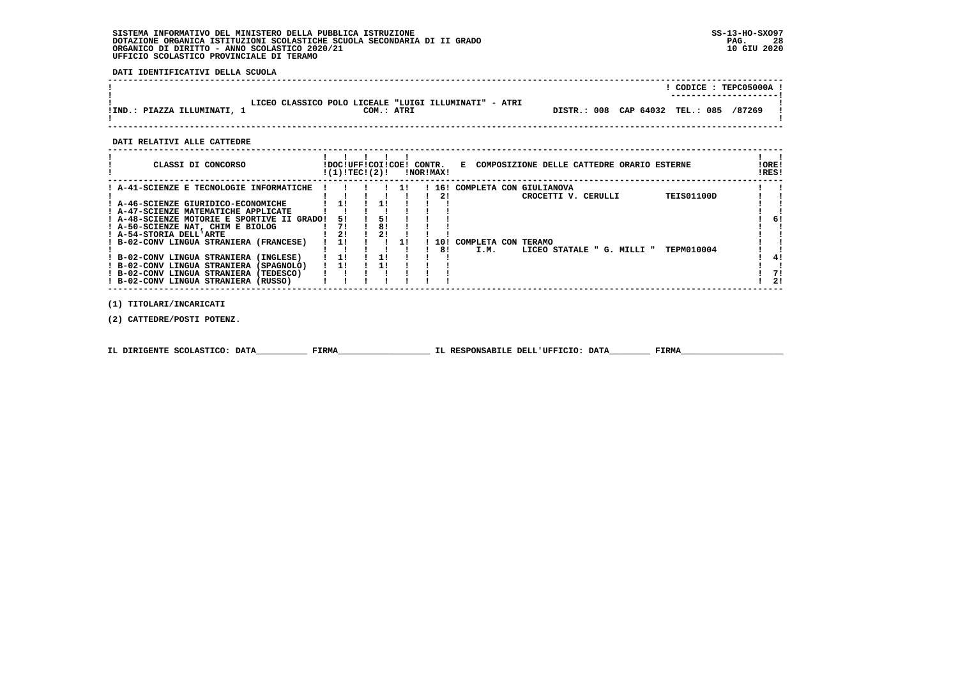**DATI IDENTIFICATIVI DELLA SCUOLA**

|                             |                                                                     | CODICE: TEPC05000A !                      |  |
|-----------------------------|---------------------------------------------------------------------|-------------------------------------------|--|
| !IND.: PIAZZA ILLUMINATI, 1 | LICEO CLASSICO POLO LICEALE "LUIGI ILLUMINATI" - ATRI<br>COM.: ATRI | DISTR.: 008 CAP 64032 TEL.: 085<br>/87269 |  |

 **------------------------------------------------------------------------------------------------------------------------------------**

 **DATI RELATIVI ALLE CATTEDRE**

| CLASSI DI CONCORSO                          | !DOC!UFF!COI!COE! CONTR.<br>!(1)!TEC!(2)! |    |    | !NOR!MAX! | E COMPOSIZIONE DELLE CATTEDRE ORARIO ESTERNE     | ! ORE!<br>IRES! |
|---------------------------------------------|-------------------------------------------|----|----|-----------|--------------------------------------------------|-----------------|
| ! A-41-SCIENZE E TECNOLOGIE INFORMATICHE    |                                           |    | 11 | 16!       | COMPLETA CON GIULIANOVA                          |                 |
|                                             |                                           |    |    | 21        | <b>TEIS01100D</b><br>CROCETTI V. CERULLI         |                 |
| ! A-46-SCIENZE GIURIDICO-ECONOMICHE         |                                           |    |    |           |                                                  |                 |
| ! A-47-SCIENZE MATEMATICHE APPLICATE        |                                           |    |    |           |                                                  |                 |
| ! A-48-SCIENZE MOTORIE E SPORTIVE II GRADO! | 51                                        | 51 |    |           |                                                  | 6!              |
| ! A-50-SCIENZE NAT, CHIM E BIOLOG           | 71                                        | 81 |    |           |                                                  |                 |
| ! A-54-STORIA DELL'ARTE                     | 21                                        | 2! |    |           |                                                  |                 |
| ! B-02-CONV LINGUA STRANIERA (FRANCESE)     |                                           |    |    | 10 !      | COMPLETA CON TERAMO                              |                 |
|                                             |                                           |    |    | 81        | I.M.<br>TEPM010004<br>LICEO STATALE " G. MILLI " |                 |
| ! B-02-CONV LINGUA STRANIERA (INGLESE)      |                                           |    |    |           |                                                  |                 |
| ! B-02-CONV LINGUA STRANIERA (SPAGNOLO)     |                                           |    |    |           |                                                  |                 |
| ! B-02-CONV LINGUA STRANIERA (TEDESCO)      |                                           |    |    |           |                                                  | 71              |
| ! B-02-CONV LINGUA STRANIERA (RUSSO)        |                                           |    |    |           |                                                  | 21              |
|                                             |                                           |    |    |           |                                                  |                 |

 **(1) TITOLARI/INCARICATI**

 **(2) CATTEDRE/POSTI POTENZ.**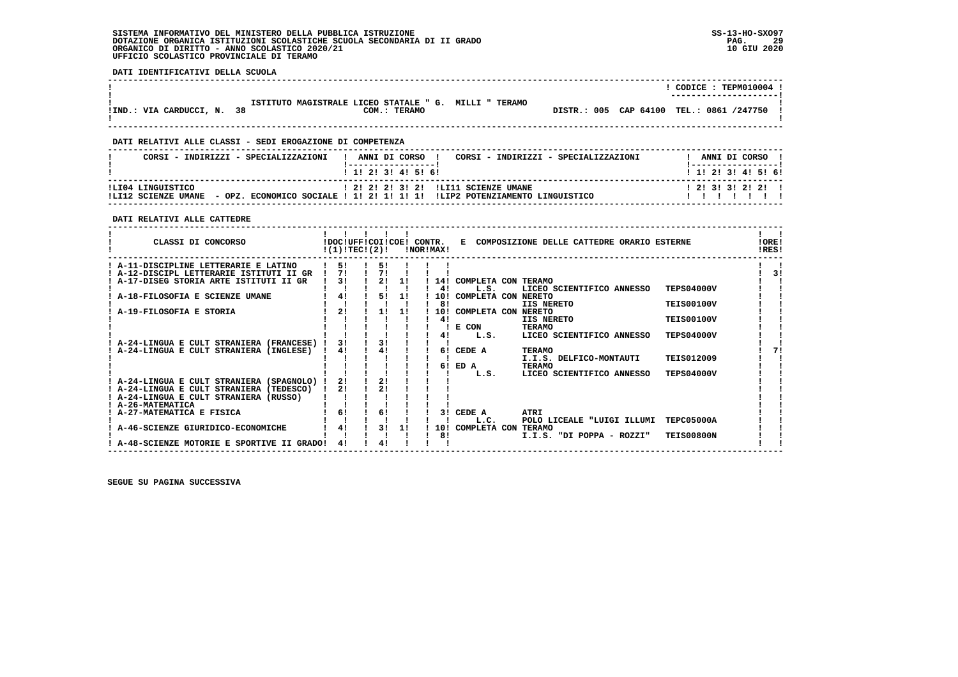**DATI IDENTIFICATIVI DELLA SCUOLA**

|                            |                                                       |  | CODICE: TEPM010004 !<br>---------------------- |  |
|----------------------------|-------------------------------------------------------|--|------------------------------------------------|--|
|                            | ISTITUTO MAGISTRALE LICEO STATALE " G. MILLI " TERAMO |  |                                                |  |
| !IND.: VIA CARDUCCI, N. 38 | COM.: TERAMO                                          |  | DISTR.: 005 CAP 64100 TEL.: 0861 /247750 !     |  |
|                            |                                                       |  |                                                |  |

 **------------------------------------------------------------------------------------------------------------------------------------**

# **DATI RELATIVI ALLE CLASSI - SEDI EROGAZIONE DI COMPETENZA**

| $1$ , 1! 2! 3! 4! 5! 6!<br>ILI04 LINGUISTICO<br>! 2! 2! 2! 3! 2! !LI11 SCIENZE UMANE | CORSI - INDIRIZZI - SPECIALIZZAZIONI | ANNI DI CORSO !<br>CORSI - INDIRIZZI - SPECIALIZZAZIONI | ANNI DI CORSO                                |
|--------------------------------------------------------------------------------------|--------------------------------------|---------------------------------------------------------|----------------------------------------------|
| - OPZ, ECONOMICO SOCIALE ! 1! 2! 1! 1! 1! !LIP2 POTENZIAMENTO LINGUISTICO            | ILT12 SCIENZE UMANE                  |                                                         | ! 1! 2! 3! 4! 5! 6!<br>1 2 1 3 1 3 1 2 1 2 1 |

## **DATI RELATIVI ALLE CATTEDRE**

| CLASSI DI CONCORSO                        | !DOC!UFF!COI!COE! CONTR.<br>!(1)!TEC!(2)! |                |    |    | !NOR!MAX! | к.                  | COMPOSIZIONE DELLE CATTEDRE ORARIO ESTERNE |                   | ! ORE!<br>IRES! |
|-------------------------------------------|-------------------------------------------|----------------|----|----|-----------|---------------------|--------------------------------------------|-------------------|-----------------|
| A-11-DISCIPLINE LETTERARIE E LATINO       |                                           | 51             | 51 |    |           |                     |                                            |                   |                 |
| A-12-DISCIPL LETTERARIE ISTITUTI II GR    |                                           | 71             | 71 |    |           |                     |                                            |                   | 31              |
| A-17-DISEG STORIA ARTE ISTITUTI II GR     |                                           | 3 <sub>1</sub> | 21 | 11 | 14!       | COMPLETA CON TERAMO |                                            |                   |                 |
|                                           |                                           |                |    |    | 41        | L.S.                | LICEO SCIENTIFICO ANNESSO                  | <b>TEPS04000V</b> |                 |
| A-18-FILOSOFIA E SCIENZE UMANE            |                                           | 4!             | 51 | 11 | 10!       | COMPLETA CON NERETO |                                            |                   |                 |
|                                           |                                           |                |    |    | 81        |                     | IIS NERETO                                 | <b>TEIS00100V</b> |                 |
| A-19-FILOSOFIA E STORIA                   |                                           | 21             | 11 | 1! | 10!       | COMPLETA CON NERETO |                                            |                   |                 |
|                                           |                                           |                |    |    | 41        |                     | IIS NERETO                                 | <b>TEIS00100V</b> |                 |
|                                           |                                           |                |    |    |           | E CON               | <b>TERAMO</b>                              |                   |                 |
|                                           |                                           |                |    |    | 41        | L.S.                | LICEO SCIENTIFICO ANNESSO                  | <b>TEPS04000V</b> |                 |
| A-24-LINGUA E CULT STRANIERA (FRANCESE) ! |                                           | 3!             | 3! |    |           |                     |                                            |                   |                 |
| A-24-LINGUA E CULT STRANIERA (INGLESE)    |                                           | 4!             | 41 |    | 61        | CEDE A              | <b>TERAMO</b>                              |                   |                 |
|                                           |                                           |                |    |    |           |                     | I.I.S. DELFICO-MONTAUTI                    | <b>TEIS012009</b> |                 |
|                                           |                                           |                |    |    | 61        | ED A<br>L.S.        | <b>TERAMO</b><br>LICEO SCIENTIFICO ANNESSO | <b>TEPS04000V</b> |                 |
| A-24-LINGUA E CULT STRANIERA (SPAGNOLO)   |                                           | 21             | 21 |    |           |                     |                                            |                   |                 |
| ! A-24-LINGUA E CULT STRANIERA (TEDESCO)  |                                           | 21             | 2! |    |           |                     |                                            |                   |                 |
| A-24-LINGUA E CULT STRANIERA (RUSSO)      |                                           |                |    |    |           |                     |                                            |                   |                 |
| A-26-MATEMATICA                           |                                           |                |    |    |           |                     |                                            |                   |                 |
| ! A-27-MATEMATICA E FISICA                |                                           | 6!             | 6! |    | 3 I       | CEDE A              | ATRI                                       |                   |                 |
|                                           |                                           |                |    |    |           | L.C.                | POLO LICEALE "LUIGI ILLUMI                 | TEPC05000A        |                 |
| A-46-SCIENZE GIURIDICO-ECONOMICHE         |                                           | 4!             | 31 | 1! | 10!       | COMPLETA CON        | <b>TERAMO</b>                              |                   |                 |
|                                           |                                           |                |    |    | 81        |                     | I.I.S. "DI POPPA - ROZZI"                  | <b>TEIS00800N</b> |                 |
| A-48-SCIENZE MOTORIE E SPORTIVE II GRADO! |                                           | 41             | 41 |    |           |                     |                                            |                   |                 |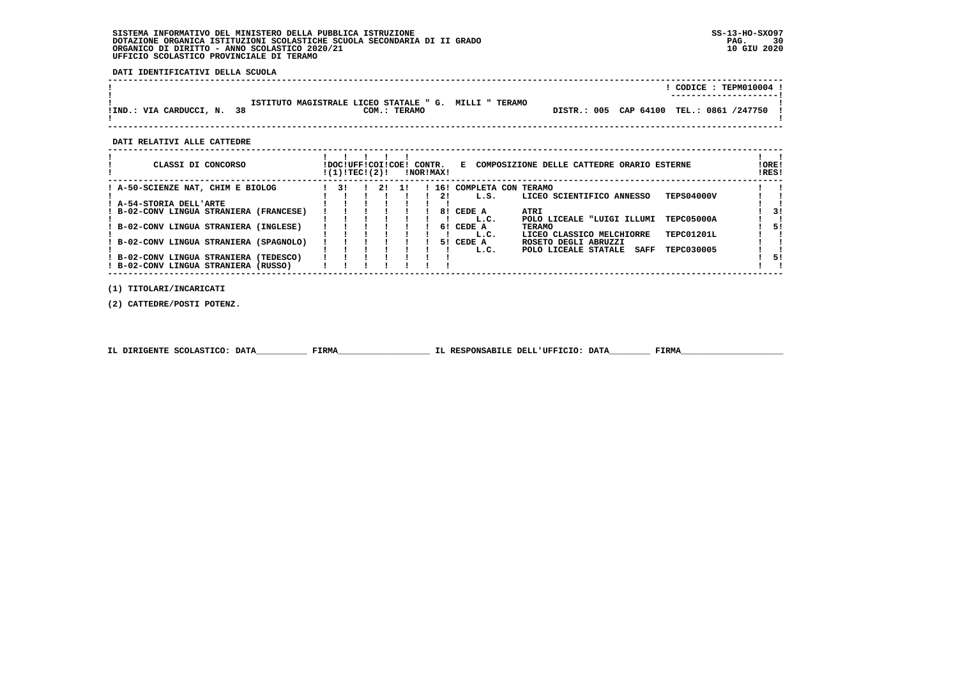**DATI IDENTIFICATIVI DELLA SCUOLA**

|                            |                                                                       |                                            |  | CODICE: TEPM010004 !<br>---------------------- |  |
|----------------------------|-----------------------------------------------------------------------|--------------------------------------------|--|------------------------------------------------|--|
| !IND.: VIA CARDUCCI, N. 38 | ISTITUTO MAGISTRALE LICEO STATALE " G. MILLI " TERAMO<br>COM.: TERAMO | DISTR.: 005 CAP 64100 TEL.: 0861 /247750 ! |  |                                                |  |

 **------------------------------------------------------------------------------------------------------------------------------------**

 **DATI RELATIVI ALLE CATTEDRE**

| CLASSI DI CONCORSO                      | !DOC!UFF!COI!COE!<br>!(1)!TEC!(2)! |    |    | CONTR. | !NOR!MAX! | Е                                 | COMPOSIZIONE DELLE CATTEDRE ORARIO ESTERNE        | !ORE!<br>!RES! |
|-----------------------------------------|------------------------------------|----|----|--------|-----------|-----------------------------------|---------------------------------------------------|----------------|
| ! A-50-SCIENZE NAT, CHIM E BIOLOG       | 31                                 | 21 | 11 |        | 21        | ! 16! COMPLETA CON TERAMO<br>L.S. | <b>TEPS04000V</b><br>LICEO SCIENTIFICO ANNESSO    |                |
| A-54-STORIA DELL'ARTE                   |                                    |    |    |        |           |                                   |                                                   |                |
| ! B-02-CONV LINGUA STRANIERA (FRANCESE) |                                    |    |    |        | 81        | CEDE A                            | ATRI                                              | 31             |
|                                         |                                    |    |    |        |           | L.C.                              | TEPC05000A<br>POLO LICEALE "LUIGI ILLUMI          |                |
| B-02-CONV LINGUA STRANIERA (INGLESE)    |                                    |    |    |        |           | 6! CEDE A                         | <b>TERAMO</b>                                     | 5!             |
|                                         |                                    |    |    |        |           | L.C.                              | TEPC01201L<br>LICEO CLASSICO MELCHIORRE           |                |
| ! B-02-CONV LINGUA STRANIERA (SPAGNOLO) |                                    |    |    |        | 51.       | CEDE A                            | ROSETO DEGLI ABRUZZI                              |                |
|                                         |                                    |    |    |        |           | L.C.                              | TEPC030005<br>POLO LICEALE STATALE<br><b>SAFF</b> |                |
| ! B-02-CONV LINGUA STRANIERA (TEDESCO)  |                                    |    |    |        |           |                                   |                                                   | 51             |
| ! B-02-CONV LINGUA STRANIERA (RUSSO)    |                                    |    |    |        |           |                                   |                                                   |                |
|                                         |                                    |    |    |        |           |                                   |                                                   |                |

 **(1) TITOLARI/INCARICATI**

 **(2) CATTEDRE/POSTI POTENZ.**

|  | IL DIRIGENTE SCOLASTICO: DATA | FIRMA | IL RESPONSABILE DELL'UFFICIO: DATA | FIRM |
|--|-------------------------------|-------|------------------------------------|------|
|--|-------------------------------|-------|------------------------------------|------|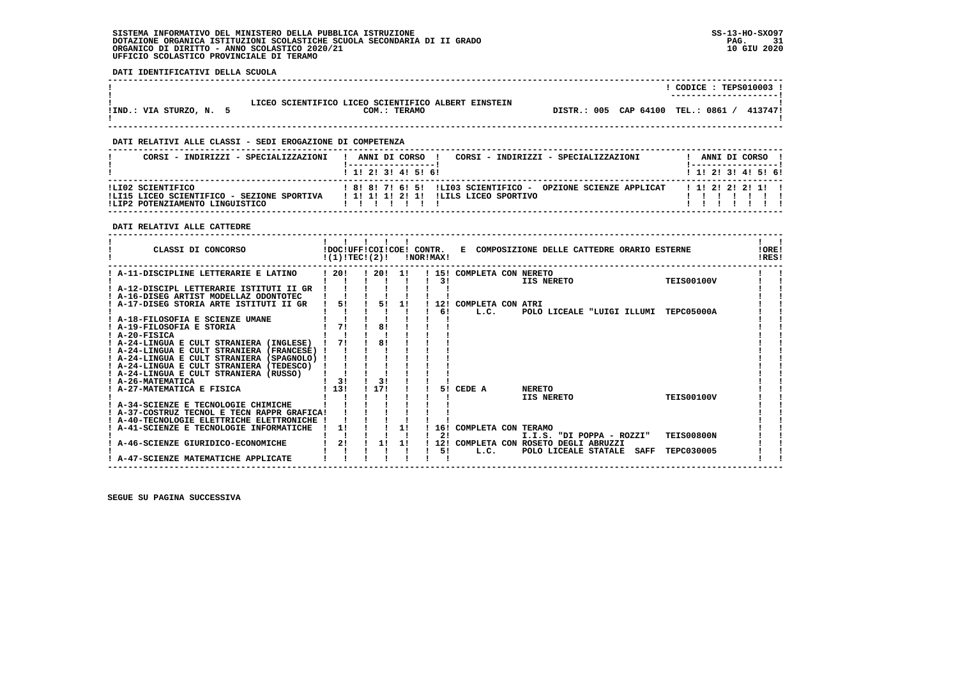**DATI IDENTIFICATIVI DELLA SCUOLA**

|                         |                                                                     | CODICE: TEPS010003 !<br>---------------------- |
|-------------------------|---------------------------------------------------------------------|------------------------------------------------|
| IIND.: VIA STURZO, N. 5 | LICEO SCIENTIFICO LICEO SCIENTIFICO ALBERT EINSTEIN<br>COM.: TERAMO | DISTR.: 005 CAP 64100 TEL.: 0861 /<br>413747!  |

 **------------------------------------------------------------------------------------------------------------------------------------**

 **------------------------------------------------------------------------------------------------------------------------------------**

# **DATI RELATIVI ALLE CLASSI - SEDI EROGAZIONE DI COMPETENZA**

| CORSI - INDIRIZZI - SPECIALIZZAZIONI                                                               | CORSI - INDIRIZZI - SPECIALIZZAZIONI<br>ANNI DI CORSO !                                               | ANNI DI CORSO !              |  |
|----------------------------------------------------------------------------------------------------|-------------------------------------------------------------------------------------------------------|------------------------------|--|
|                                                                                                    | ! 1! 2! 3! 4! 5! 6!                                                                                   | $1$ , 1!, 2!, 3!, 4!, 5!, 6! |  |
| ILI02 SCIENTIFICO<br>!LI15 LICEO SCIENTIFICO - SEZIONE SPORTIVA<br>!LIP2 POTENZIAMENTO LINGUISTICO | ! 8! 8! 7! 6! 5! !LIO3 SCIENTIFICO - OPZIONE SCIENZE APPLICAT<br>1 1 1 1 1 2 1 1 LLILS LICEO SPORTIVO | 1 1 1 2 1 2 1 2 1 1 1        |  |

# **DATI RELATIVI ALLE CATTEDRE**

| ! A-11-DISCIPLINE LETTERARIE E LATINO<br>1201<br>120!11<br>! 15! COMPLETA CON NERETO<br><b>TEIS00100V</b><br>31<br>IIS NERETO<br>A-12-DISCIPL LETTERARIE ISTITUTI II GR<br>! A-16-DISEG ARTIST MODELLAZ ODONTOTEC<br>A-17-DISEG STORIA ARTE ISTITUTI II GR<br>5!<br>51<br>12!<br>COMPLETA CON ATRI<br>11<br><b>TEPC05000A</b><br>61<br>L.C.<br>POLO LICEALE "LUIGI ILLUMI<br>! A-18-FILOSOFIA E SCIENZE UMANE<br>71<br>81<br>! A-19-FILOSOFIA E STORIA<br>! A-20-FISICA<br>81<br>71<br>A-24-LINGUA E CULT STRANIERA (INGLESE)<br>! A-24-LINGUA E CULT STRANIERA (FRANCESE)<br>! A-24-LINGUA E CULT STRANIERA (SPAGNOLO)<br>! A-24-LINGUA E CULT STRANIERA (TEDESCO)<br>A-24-LINGUA E CULT STRANIERA (RUSSO)<br>31<br>! A-26-MATEMATICA<br>31<br>117!<br>! 13!<br>5! CEDE A<br>! A-27-MATEMATICA E FISICA<br><b>NERETO</b><br><b>TEIS00100V</b><br>IIS NERETO<br>! A-34-SCIENZE E TECNOLOGIE CHIMICHE<br>! A-37-COSTRUZ TECNOL E TECN RAPPR GRAFICA!<br>A-40-TECNOLOGIE ELETTRICHE ELETTRONICHE<br>A-41-SCIENZE E TECNOLOGIE INFORMATICHE<br>16! COMPLETA CON TERAMO<br>11<br>11<br>2!<br><b>TEIS00800N</b><br>I.I.S. "DI POPPA - ROZZI"<br>21<br>A-46-SCIENZE GIURIDICO-ECONOMICHE<br>12! COMPLETA CON ROSETO DEGLI ABRUZZI<br>11<br>11<br>5!<br><b>TEPC030005</b><br>L.C.<br>POLO LICEALE STATALE<br><b>SAFF</b><br>A-47-SCIENZE MATEMATICHE APPLICATE | CLASSI DI CONCORSO |  | !DOC!UFF!COI!COE! CONTR.<br>!(1)!TEC!(2)! |  | !NOR!MAX! |  | E COMPOSIZIONE DELLE CATTEDRE ORARIO ESTERNE | <b>!ORE!</b><br>IRES! |
|---------------------------------------------------------------------------------------------------------------------------------------------------------------------------------------------------------------------------------------------------------------------------------------------------------------------------------------------------------------------------------------------------------------------------------------------------------------------------------------------------------------------------------------------------------------------------------------------------------------------------------------------------------------------------------------------------------------------------------------------------------------------------------------------------------------------------------------------------------------------------------------------------------------------------------------------------------------------------------------------------------------------------------------------------------------------------------------------------------------------------------------------------------------------------------------------------------------------------------------------------------------------------------------------------------------------------------------------------------|--------------------|--|-------------------------------------------|--|-----------|--|----------------------------------------------|-----------------------|
|                                                                                                                                                                                                                                                                                                                                                                                                                                                                                                                                                                                                                                                                                                                                                                                                                                                                                                                                                                                                                                                                                                                                                                                                                                                                                                                                                         |                    |  |                                           |  |           |  |                                              |                       |
|                                                                                                                                                                                                                                                                                                                                                                                                                                                                                                                                                                                                                                                                                                                                                                                                                                                                                                                                                                                                                                                                                                                                                                                                                                                                                                                                                         |                    |  |                                           |  |           |  |                                              |                       |
|                                                                                                                                                                                                                                                                                                                                                                                                                                                                                                                                                                                                                                                                                                                                                                                                                                                                                                                                                                                                                                                                                                                                                                                                                                                                                                                                                         |                    |  |                                           |  |           |  |                                              |                       |
|                                                                                                                                                                                                                                                                                                                                                                                                                                                                                                                                                                                                                                                                                                                                                                                                                                                                                                                                                                                                                                                                                                                                                                                                                                                                                                                                                         |                    |  |                                           |  |           |  |                                              |                       |
|                                                                                                                                                                                                                                                                                                                                                                                                                                                                                                                                                                                                                                                                                                                                                                                                                                                                                                                                                                                                                                                                                                                                                                                                                                                                                                                                                         |                    |  |                                           |  |           |  |                                              |                       |
|                                                                                                                                                                                                                                                                                                                                                                                                                                                                                                                                                                                                                                                                                                                                                                                                                                                                                                                                                                                                                                                                                                                                                                                                                                                                                                                                                         |                    |  |                                           |  |           |  |                                              |                       |
|                                                                                                                                                                                                                                                                                                                                                                                                                                                                                                                                                                                                                                                                                                                                                                                                                                                                                                                                                                                                                                                                                                                                                                                                                                                                                                                                                         |                    |  |                                           |  |           |  |                                              |                       |
|                                                                                                                                                                                                                                                                                                                                                                                                                                                                                                                                                                                                                                                                                                                                                                                                                                                                                                                                                                                                                                                                                                                                                                                                                                                                                                                                                         |                    |  |                                           |  |           |  |                                              |                       |
|                                                                                                                                                                                                                                                                                                                                                                                                                                                                                                                                                                                                                                                                                                                                                                                                                                                                                                                                                                                                                                                                                                                                                                                                                                                                                                                                                         |                    |  |                                           |  |           |  |                                              |                       |
|                                                                                                                                                                                                                                                                                                                                                                                                                                                                                                                                                                                                                                                                                                                                                                                                                                                                                                                                                                                                                                                                                                                                                                                                                                                                                                                                                         |                    |  |                                           |  |           |  |                                              |                       |
|                                                                                                                                                                                                                                                                                                                                                                                                                                                                                                                                                                                                                                                                                                                                                                                                                                                                                                                                                                                                                                                                                                                                                                                                                                                                                                                                                         |                    |  |                                           |  |           |  |                                              |                       |
|                                                                                                                                                                                                                                                                                                                                                                                                                                                                                                                                                                                                                                                                                                                                                                                                                                                                                                                                                                                                                                                                                                                                                                                                                                                                                                                                                         |                    |  |                                           |  |           |  |                                              |                       |
|                                                                                                                                                                                                                                                                                                                                                                                                                                                                                                                                                                                                                                                                                                                                                                                                                                                                                                                                                                                                                                                                                                                                                                                                                                                                                                                                                         |                    |  |                                           |  |           |  |                                              |                       |
|                                                                                                                                                                                                                                                                                                                                                                                                                                                                                                                                                                                                                                                                                                                                                                                                                                                                                                                                                                                                                                                                                                                                                                                                                                                                                                                                                         |                    |  |                                           |  |           |  |                                              |                       |
|                                                                                                                                                                                                                                                                                                                                                                                                                                                                                                                                                                                                                                                                                                                                                                                                                                                                                                                                                                                                                                                                                                                                                                                                                                                                                                                                                         |                    |  |                                           |  |           |  |                                              |                       |
|                                                                                                                                                                                                                                                                                                                                                                                                                                                                                                                                                                                                                                                                                                                                                                                                                                                                                                                                                                                                                                                                                                                                                                                                                                                                                                                                                         |                    |  |                                           |  |           |  |                                              |                       |
|                                                                                                                                                                                                                                                                                                                                                                                                                                                                                                                                                                                                                                                                                                                                                                                                                                                                                                                                                                                                                                                                                                                                                                                                                                                                                                                                                         |                    |  |                                           |  |           |  |                                              |                       |
|                                                                                                                                                                                                                                                                                                                                                                                                                                                                                                                                                                                                                                                                                                                                                                                                                                                                                                                                                                                                                                                                                                                                                                                                                                                                                                                                                         |                    |  |                                           |  |           |  |                                              |                       |
|                                                                                                                                                                                                                                                                                                                                                                                                                                                                                                                                                                                                                                                                                                                                                                                                                                                                                                                                                                                                                                                                                                                                                                                                                                                                                                                                                         |                    |  |                                           |  |           |  |                                              |                       |
|                                                                                                                                                                                                                                                                                                                                                                                                                                                                                                                                                                                                                                                                                                                                                                                                                                                                                                                                                                                                                                                                                                                                                                                                                                                                                                                                                         |                    |  |                                           |  |           |  |                                              |                       |
|                                                                                                                                                                                                                                                                                                                                                                                                                                                                                                                                                                                                                                                                                                                                                                                                                                                                                                                                                                                                                                                                                                                                                                                                                                                                                                                                                         |                    |  |                                           |  |           |  |                                              |                       |
|                                                                                                                                                                                                                                                                                                                                                                                                                                                                                                                                                                                                                                                                                                                                                                                                                                                                                                                                                                                                                                                                                                                                                                                                                                                                                                                                                         |                    |  |                                           |  |           |  |                                              |                       |
|                                                                                                                                                                                                                                                                                                                                                                                                                                                                                                                                                                                                                                                                                                                                                                                                                                                                                                                                                                                                                                                                                                                                                                                                                                                                                                                                                         |                    |  |                                           |  |           |  |                                              |                       |
|                                                                                                                                                                                                                                                                                                                                                                                                                                                                                                                                                                                                                                                                                                                                                                                                                                                                                                                                                                                                                                                                                                                                                                                                                                                                                                                                                         |                    |  |                                           |  |           |  |                                              |                       |
|                                                                                                                                                                                                                                                                                                                                                                                                                                                                                                                                                                                                                                                                                                                                                                                                                                                                                                                                                                                                                                                                                                                                                                                                                                                                                                                                                         |                    |  |                                           |  |           |  |                                              |                       |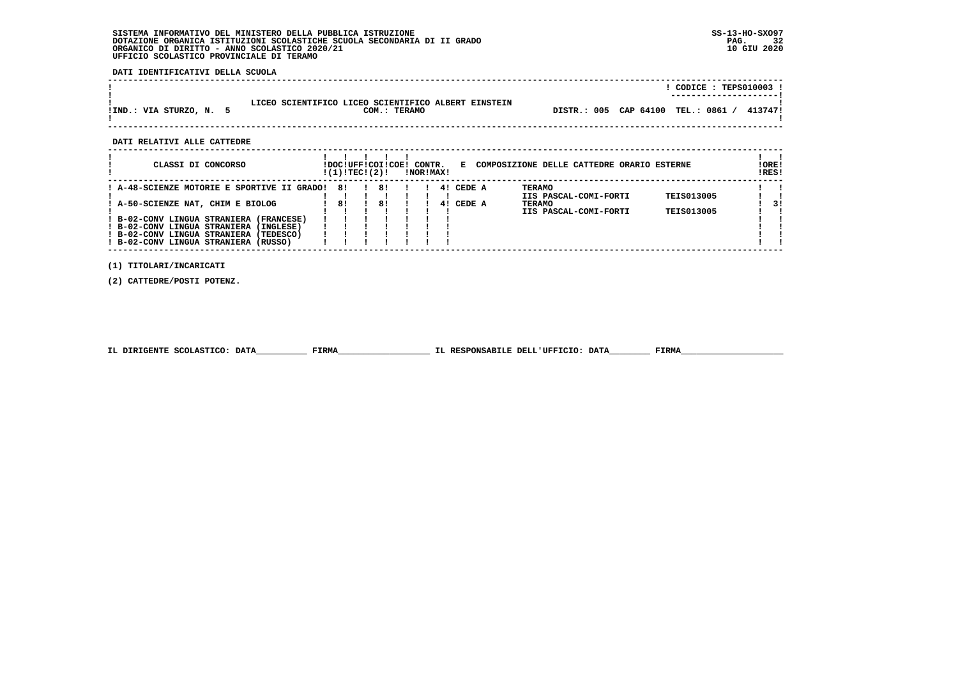**DATI IDENTIFICATIVI DELLA SCUOLA**

|                         |                                                                     | CODICE: TEPS010003 !                              |
|-------------------------|---------------------------------------------------------------------|---------------------------------------------------|
| !IND.: VIA STURZO, N. 5 | LICEO SCIENTIFICO LICEO SCIENTIFICO ALBERT EINSTEIN<br>COM.: TERAMO | 0861<br>DISTR.: 005 CAP 64100<br>TEL.:<br>413747! |

 **------------------------------------------------------------------------------------------------------------------------------------**

 **DATI RELATIVI ALLE CATTEDRE**

| CLASSI DI CONCORSO                                                                                                                                                                                                                                              | !DOC!UFF!COI!COE!<br>!(1)!TEC!(2)! |          | CONTR.<br>!NOR!MAX! |          | Е                | COMPOSIZIONE DELLE CATTEDRE ORARIO ESTERNE                                       |                                        | ! ORE!<br>IRES! |
|-----------------------------------------------------------------------------------------------------------------------------------------------------------------------------------------------------------------------------------------------------------------|------------------------------------|----------|---------------------|----------|------------------|----------------------------------------------------------------------------------|----------------------------------------|-----------------|
| ! A-48-SCIENZE MOTORIE E SPORTIVE II GRADO!<br>: A-50-SCIENZE NAT, CHIM E BIOLOG<br>(FRANCESE)<br>B-02-CONV LINGUA STRANIERA<br>B-02-CONV LINGUA STRANIERA<br>(INGLESE)<br>! B-02-CONV LINGUA STRANIERA<br>(TEDESCO)<br>! B-02-CONV LINGUA STRANIERA<br>(RUSSO) | 81<br>81                           | 81<br>81 |                     | 41<br>41 | CEDE A<br>CEDE A | <b>TERAMO</b><br>IIS PASCAL-COMI-FORTI<br><b>TERAMO</b><br>IIS PASCAL-COMI-FORTI | <b>TEIS013005</b><br><b>TEIS013005</b> | 31              |

 **(1) TITOLARI/INCARICATI**

 **(2) CATTEDRE/POSTI POTENZ.**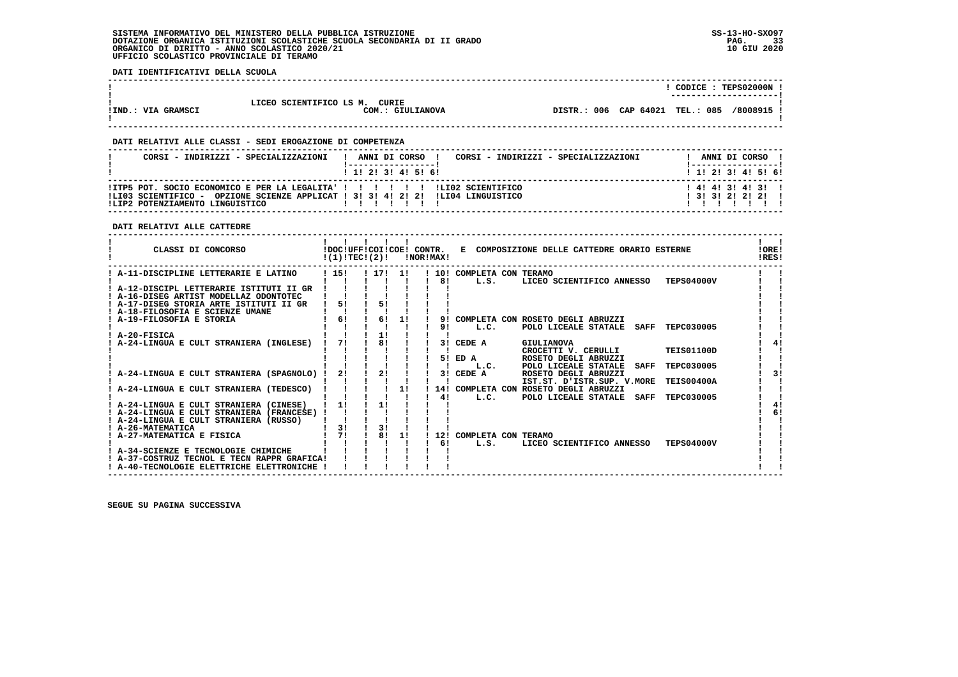**DATI IDENTIFICATIVI DELLA SCUOLA**

|                    |                               | CODICE : TEPS02000N                           |
|--------------------|-------------------------------|-----------------------------------------------|
|                    |                               | ---------------------                         |
|                    | LICEO SCIENTIFICO LS M. CURIE |                                               |
| !IND.: VIA GRAMSCI | COM.: GIULIANOVA              | DISTR.: 006 CAP 64021 TEL.: 085<br>/8008915 ! |
|                    |                               |                                               |

 **------------------------------------------------------------------------------------------------------------------------------------**

 **------------------------------------------------------------------------------------------------------------------------------------**

## **DATI RELATIVI ALLE CLASSI - SEDI EROGAZIONE DI COMPETENZA**

| CORSI - INDIRIZZI - SPECIALIZZAZIONI                                                                                                                                                                  | ANNI DI CORSO<br>CORSI - INDIRIZZI - SPECIALIZZAZIONI | ANNI DI CORSO !                             |
|-------------------------------------------------------------------------------------------------------------------------------------------------------------------------------------------------------|-------------------------------------------------------|---------------------------------------------|
|                                                                                                                                                                                                       | 1 1 2 3 3 4 5 5 6                                     | 1 1 2 3 3 4 5 5 6 1                         |
| !ITP5 POT. SOCIO ECONOMICO E PER LA LEGALITA' ! ! ! ! ! ! ! ! !LI02 SCIENTIFICO<br>!LI03 SCIENTIFICO - OPZIONE SCIENZE APPLICAT ! 3! 3! 4! 2! 2! !LI04 LINGUISTICO<br>ILIP2 POTENZIAMENTO LINGUISTICO |                                                       | $1$ 4! 4! 3! 4! 3!!<br>$1$ 31 31 21 21 21 1 |

# **DATI RELATIVI ALLE CATTEDRE**

| CLASSI DI CONCORSO                          | !(1)!TEC!(2)! |      |    | !NOR!MAX! |                         | !DOC!UFF!COI!COE! CONTR. E COMPOSIZIONE DELLE CATTEDRE ORARIO ESTERNE |                   | <b>!ORE!</b><br>!RES! |  |
|---------------------------------------------|---------------|------|----|-----------|-------------------------|-----------------------------------------------------------------------|-------------------|-----------------------|--|
| A-11-DISCIPLINE LETTERARIE E LATINO         | 1151          | 1171 | 11 |           | 10! COMPLETA CON TERAMO |                                                                       |                   |                       |  |
|                                             |               |      |    | 81        | L.S.                    | LICEO SCIENTIFICO ANNESSO                                             | <b>TEPS04000V</b> |                       |  |
| A-12-DISCIPL LETTERARIE ISTITUTI II GR      |               |      |    |           |                         |                                                                       |                   |                       |  |
| ! A-16-DISEG ARTIST MODELLAZ ODONTOTEC      |               |      |    |           |                         |                                                                       |                   |                       |  |
| ! A-17-DISEG STORIA ARTE ISTITUTI II GR     | 5!            | 51   |    |           |                         |                                                                       |                   |                       |  |
| ! A-18-FILOSOFIA E SCIENZE UMANE            |               |      |    |           |                         |                                                                       |                   |                       |  |
| A-19-FILOSOFIA E STORIA                     | 6!            | 61   | 11 | 91        |                         | COMPLETA CON ROSETO DEGLI ABRUZZI                                     |                   |                       |  |
|                                             |               |      |    | 91        | L.C.                    | POLO LICEALE STATALE<br>SAFF                                          | TEPC030005        |                       |  |
| ! A-20-FISICA                               |               | 1!   |    |           |                         |                                                                       |                   |                       |  |
| A-24-LINGUA E CULT STRANIERA (INGLESE)      | 71            | 81   |    | 3 I       | CEDE A                  | GIULIANOVA                                                            |                   | 41                    |  |
|                                             |               |      |    |           |                         | CROCETTI V. CERULLI                                                   | <b>TEIS01100D</b> |                       |  |
|                                             |               |      |    | 51        | ED A                    | ROSETO DEGLI ABRUZZI                                                  |                   |                       |  |
|                                             |               |      |    |           | L.C.                    | POLO LICEALE STATALE<br><b>SAFF</b>                                   | TEPC030005        |                       |  |
| A-24-LINGUA E CULT STRANIERA (SPAGNOLO)     | 2!            | 21   |    | 3 I       | CEDE A                  | ROSETO DEGLI ABRUZZI                                                  |                   | 31                    |  |
|                                             |               |      |    |           |                         | IST.ST. D'ISTR.SUP. V.MORE                                            | <b>TEIS00400A</b> |                       |  |
| A-24-LINGUA E CULT STRANIERA (TEDESCO)      |               |      | 1! |           |                         | 14! COMPLETA CON ROSETO DEGLI ABRUZZI                                 |                   |                       |  |
|                                             |               |      |    | 41        | L.C.                    | POLO LICEALE STATALE<br><b>SAFF</b>                                   | TEPC030005        |                       |  |
| A-24-LINGUA E CULT STRANIERA (CINESE)       | 11            | 11   |    |           |                         |                                                                       |                   |                       |  |
| ! A-24-LINGUA E CULT STRANIERA (FRANCESE) ! |               |      |    |           |                         |                                                                       |                   | 6!                    |  |
| ! A-24-LINGUA E CULT STRANIERA (RUSSO)      |               |      |    |           |                         |                                                                       |                   |                       |  |
| ! A-26-MATEMATICA                           | 3!            | 3!   |    |           |                         |                                                                       |                   |                       |  |
| A-27-MATEMATICA E FISICA                    | 71            | 81   | 1! | 12!       | COMPLETA CON TERAMO     |                                                                       |                   |                       |  |
|                                             |               |      |    | 61        | L.S.                    | LICEO SCIENTIFICO ANNESSO                                             | <b>TEPS04000V</b> |                       |  |
| ! A-34-SCIENZE E TECNOLOGIE CHIMICHE        |               |      |    |           |                         |                                                                       |                   |                       |  |
| ! A-37-COSTRUZ TECNOL E TECN RAPPR GRAFICA! |               |      |    |           |                         |                                                                       |                   |                       |  |
| ! A-40-TECNOLOGIE ELETTRICHE ELETTRONICHE ! |               |      |    |           |                         |                                                                       |                   |                       |  |
|                                             |               |      |    |           |                         |                                                                       |                   |                       |  |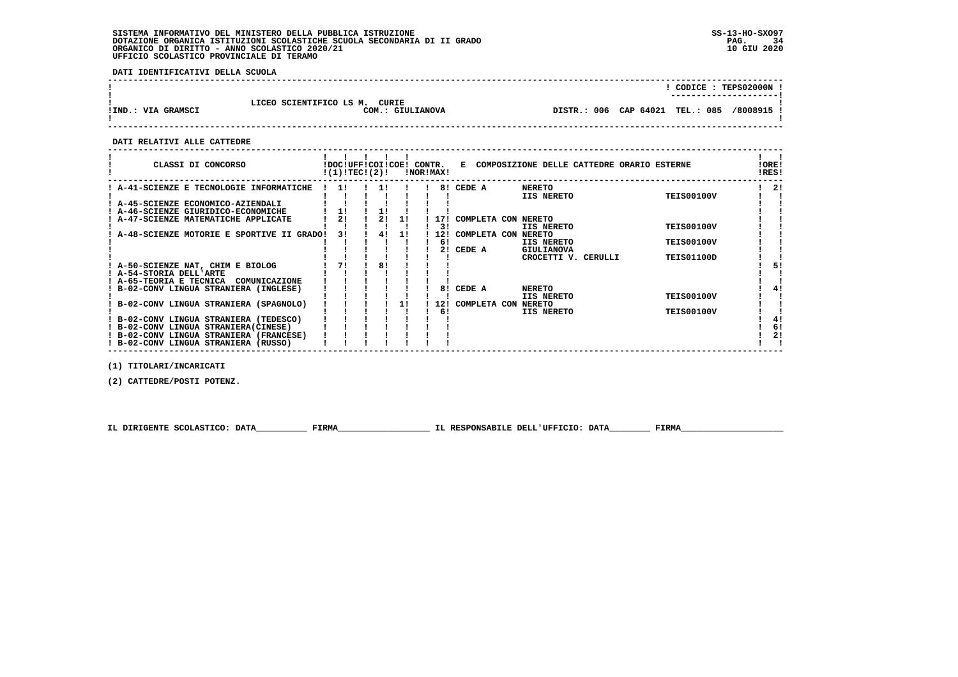**DATI IDENTIFICATIVI DELLA SCUOLA**

|                    |                                                   |                                 |  | CODICE: TEPS02000N !                 |
|--------------------|---------------------------------------------------|---------------------------------|--|--------------------------------------|
| !IND.: VIA GRAMSCI | LICEO SCIENTIFICO LS M. CURIE<br>COM.: GIULIANOVA | DISTR.: 006 CAP 64021 TEL.: 085 |  | ----------------------<br>/8008915 ! |
|                    |                                                   |                                 |  |                                      |

 **------------------------------------------------------------------------------------------------------------------------------------**

 **DATI RELATIVI ALLE CATTEDRE**

| CLASSI DI CONCORSO                        | !DOC!UFF!COI!COE!<br>!(1)!TEC!(2)! |    |    | CONTR. | !NOR!MAX! | Е                   | COMPOSIZIONE DELLE CATTEDRE ORARIO ESTERNE |                   | !ORE!<br>!RES! |
|-------------------------------------------|------------------------------------|----|----|--------|-----------|---------------------|--------------------------------------------|-------------------|----------------|
| A-41-SCIENZE E TECNOLOGIE INFORMATICHE    | 11                                 |    |    |        | 81        | CEDE A              | <b>NERETO</b>                              |                   | 21             |
|                                           |                                    |    |    |        |           |                     | <b>IIS NERETO</b>                          | <b>TEIS00100V</b> |                |
| A-45-SCIENZE ECONOMICO-AZIENDALI          |                                    |    |    |        |           |                     |                                            |                   |                |
| A-46-SCIENZE GIURIDICO-ECONOMICHE         | 1!                                 |    |    |        |           |                     |                                            |                   |                |
| A-47-SCIENZE MATEMATICHE APPLICATE        | 2!                                 | 2! | 11 |        |           | COMPLETA CON NERETO |                                            |                   |                |
|                                           |                                    |    |    |        | 31        |                     | IIS NERETO                                 | <b>TEIS00100V</b> |                |
| A-48-SCIENZE MOTORIE E SPORTIVE II GRADO! | 31                                 | 4! | 1! |        | 12!       | COMPLETA CON NERETO |                                            |                   |                |
|                                           |                                    |    |    |        | 61        |                     | IIS NERETO                                 | <b>TEIS00100V</b> |                |
|                                           |                                    |    |    |        |           | CEDE A              | GIULIANOVA                                 |                   |                |
|                                           |                                    |    |    |        |           |                     | CROCETTI V. CERULLI                        | <b>TEIS01100D</b> |                |
| ! A-50-SCIENZE NAT, CHIM E BIOLOG         |                                    | 81 |    |        |           |                     |                                            |                   | 51             |
| ! A-54-STORIA DELL'ARTE                   |                                    |    |    |        |           |                     |                                            |                   |                |
| A-65-TEORIA E TECNICA<br>COMUNICAZIONE    |                                    |    |    |        |           |                     |                                            |                   |                |
| B-02-CONV LINGUA STRANIERA (INGLESE)      |                                    |    |    |        | 81        | CEDE A              | <b>NERETO</b>                              |                   | 4!             |
|                                           |                                    |    |    |        |           |                     | IIS NERETO                                 | <b>TEIS00100V</b> |                |
| B-02-CONV LINGUA STRANIERA (SPAGNOLO)     |                                    |    |    |        | 12!       | COMPLETA CON NERETO |                                            |                   |                |
|                                           |                                    |    |    |        | 6!        |                     | IIS NERETO                                 | <b>TEIS00100V</b> |                |
| B-02-CONV LINGUA STRANIERA (TEDESCO)      |                                    |    |    |        |           |                     |                                            |                   | 41             |
| ! B-02-CONV LINGUA STRANIERA(CINESE)      |                                    |    |    |        |           |                     |                                            |                   | 6!             |
| ! B-02-CONV LINGUA STRANIERA (FRANCESE)   |                                    |    |    |        |           |                     |                                            |                   | 2!             |
| ! B-02-CONV LINGUA STRANIERA (RUSSO)      |                                    |    |    |        |           |                     |                                            |                   |                |

 **(1) TITOLARI/INCARICATI**

 **(2) CATTEDRE/POSTI POTENZ.**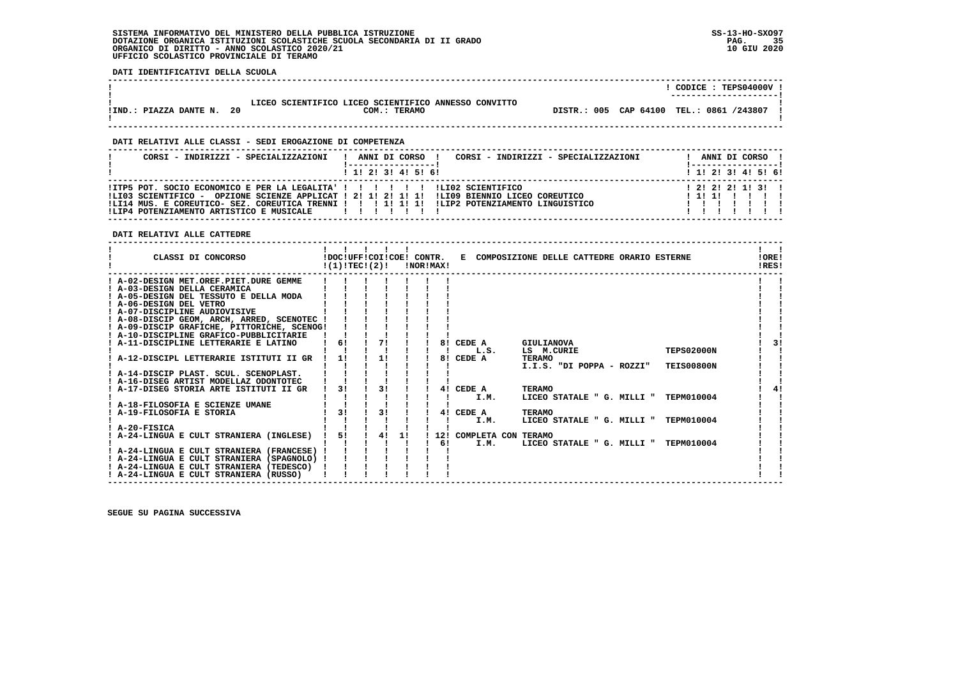**DATI IDENTIFICATIVI DELLA SCUOLA**

|                        |     |                                                                      |  | CODICE: TEPS04000V !<br>----------------------- |
|------------------------|-----|----------------------------------------------------------------------|--|-------------------------------------------------|
| !IND.: PIAZZA DANTE N. | -20 | LICEO SCIENTIFICO LICEO SCIENTIFICO ANNESSO CONVITTO<br>COM.: TERAMO |  | DISTR.: 005 CAP 64100 TEL.: 0861 /243807        |

 **DATI RELATIVI ALLE CLASSI - SEDI EROGAZIONE DI COMPETENZA**

| CORSI - INDIRIZZI - SPECIALIZZAZIONI                                                                                     | CORSI - INDIRIZZI - SPECIALIZZAZIONI<br>ANNI DI CORSO !                                                                                                                                          |         | ANNI DI CORSO !                             |  |  |
|--------------------------------------------------------------------------------------------------------------------------|--------------------------------------------------------------------------------------------------------------------------------------------------------------------------------------------------|---------|---------------------------------------------|--|--|
|                                                                                                                          | 1 1! 2! 3! 4! 5! 6!                                                                                                                                                                              |         | $1 \; 1 \; 2 \; 3 \; 1 \; 4 \; 5 \; 6 \; 6$ |  |  |
| !ITP5 POT. SOCIO ECONOMICO E PER LA LEGALITA' ! ! ! ! ! ! ! LIO2 SCIENTIFICO<br>!LIP4 POTENZIAMENTO ARTISTICO E MUSICALE | ILI03 SCIENTIFICO - OPZIONE SCIENZE APPLICAT ! 2! 1! 2! 1! 1! !LI09 BIENNIO LICEO COREUTICO<br>ILI14 MUS. E COREUTICO- SEZ. COREUTICA TRENNI ! ! ! 1! 1! 1! ILIP2 POTENZIAMENTO LINGUISTICO<br>. | ! 1! 1! | 1 2 1 2 1 2 1 1 1 3 1                       |  |  |

 **DATI RELATIVI ALLE CATTEDRE**

| CLASSI DI CONCORSO                          |    | !DOC!UFF!COI!COE! CONTR.<br>!(1)!TEC!(2)! |    | !NOR!MAX! |    |                         | E COMPOSIZIONE DELLE CATTEDRE ORARIO ESTERNE |                   | !ORE!<br>IRES! |  |
|---------------------------------------------|----|-------------------------------------------|----|-----------|----|-------------------------|----------------------------------------------|-------------------|----------------|--|
| ! A-02-DESIGN MET.OREF.PIET.DURE GEMME      |    |                                           |    |           |    |                         |                                              |                   |                |  |
| ! A-03-DESIGN DELLA CERAMICA                |    |                                           |    |           |    |                         |                                              |                   |                |  |
| ! A-05-DESIGN DEL TESSUTO E DELLA MODA      |    |                                           |    |           |    |                         |                                              |                   |                |  |
| ! A-06-DESIGN DEL VETRO                     |    |                                           |    |           |    |                         |                                              |                   |                |  |
| ! A-07-DISCIPLINE AUDIOVISIVE               |    |                                           |    |           |    |                         |                                              |                   |                |  |
| ! A-08-DISCIP GEOM, ARCH, ARRED, SCENOTEC ! |    |                                           |    |           |    |                         |                                              |                   |                |  |
| ! A-09-DISCIP GRAFICHE, PITTORICHE, SCENOG! |    |                                           |    |           |    |                         |                                              |                   |                |  |
| ! A-10-DISCIPLINE GRAFICO-PUBBLICITARIE     |    |                                           |    |           |    |                         |                                              |                   |                |  |
| ! A-11-DISCIPLINE LETTERARIE E LATINO       | 61 | 71                                        |    |           |    | 8! CEDE A               | GIULIANOVA                                   |                   |                |  |
|                                             |    |                                           |    |           |    | L.S.                    | LS M.CURIE                                   | <b>TEPS02000N</b> |                |  |
| ! A-12-DISCIPL LETTERARIE ISTITUTI II GR    | 11 | 11                                        |    |           | 81 | CEDE A                  | TERAMO                                       |                   |                |  |
|                                             |    |                                           |    |           |    |                         | I.I.S. "DI POPPA - ROZZI"                    | <b>TEIS00800N</b> |                |  |
| ! A-14-DISCIP PLAST. SCUL. SCENOPLAST.      |    |                                           |    |           |    |                         |                                              |                   |                |  |
| ! A-16-DISEG ARTIST MODELLAZ ODONTOTEC      |    |                                           |    |           |    |                         |                                              |                   |                |  |
| ! A-17-DISEG STORIA ARTE ISTITUTI II GR     | 31 | 31                                        |    |           |    | 4! CEDE A               | <b>TERAMO</b>                                |                   |                |  |
|                                             |    |                                           |    |           |    | I.M.                    | LICEO STATALE " G. MILLI "                   | TEPM010004        |                |  |
| ! A-18-FILOSOFIA E SCIENZE UMANE            |    |                                           |    |           |    |                         |                                              |                   |                |  |
| ! A-19-FILOSOFIA E STORIA                   | 31 | 31                                        |    |           | 41 | CEDE A                  | <b>TERAMO</b>                                |                   |                |  |
|                                             |    |                                           |    |           |    | I.M.                    | LICEO STATALE " G. MILLI "                   | TEPM010004        |                |  |
| ! A-20-FISICA                               |    |                                           |    |           |    |                         |                                              |                   |                |  |
| ! A-24-LINGUA E CULT STRANIERA (INGLESE)    | 5! | 4!                                        | 11 |           |    | 12! COMPLETA CON TERAMO |                                              |                   |                |  |
|                                             |    |                                           |    |           | 61 | I.M.                    | LICEO STATALE " G. MILLI "                   | TEPM010004        |                |  |
| ! A-24-LINGUA E CULT STRANIERA (FRANCESE)   |    |                                           |    |           |    |                         |                                              |                   |                |  |
| ! A-24-LINGUA E CULT STRANIERA (SPAGNOLO) ! |    |                                           |    |           |    |                         |                                              |                   |                |  |
| ! A-24-LINGUA E CULT STRANIERA (TEDESCO)    |    |                                           |    |           |    |                         |                                              |                   |                |  |
| ! A-24-LINGUA E CULT STRANIERA (RUSSO)      |    |                                           |    |           |    |                         |                                              |                   |                |  |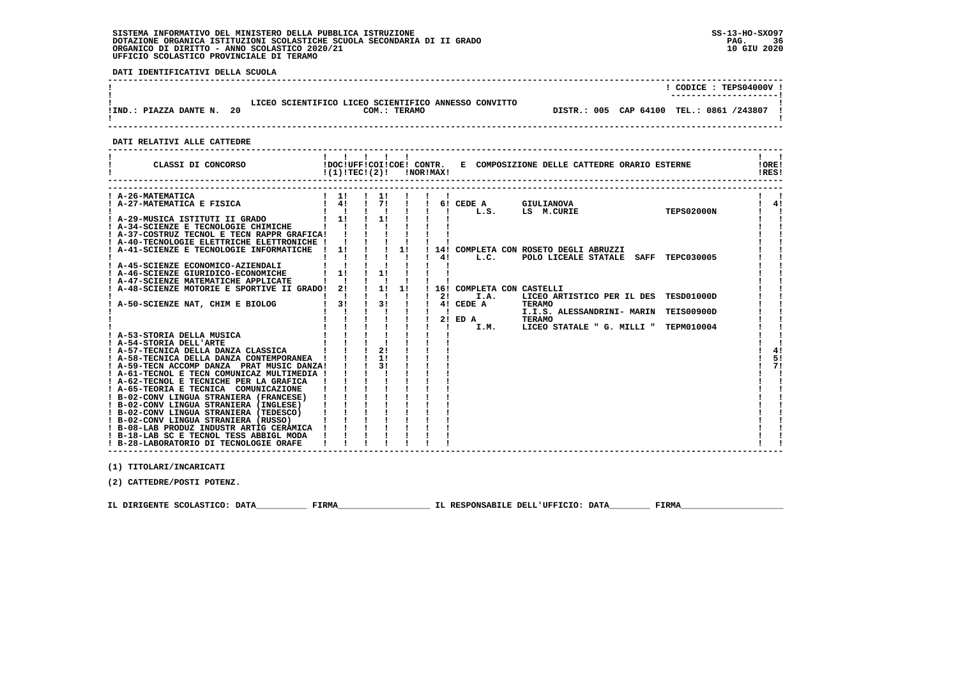**DATI IDENTIFICATIVI DELLA SCUOLA**

|                        |     |                                                                      |  | CODICE: TEPS04000V !<br>----------------------- |
|------------------------|-----|----------------------------------------------------------------------|--|-------------------------------------------------|
| !IND.: PIAZZA DANTE N. | -20 | LICEO SCIENTIFICO LICEO SCIENTIFICO ANNESSO CONVITTO<br>COM.: TERAMO |  | DISTR.: 005 CAP 64100 TEL.: 0861 /243807        |

 **DATI RELATIVI ALLE CATTEDRE**

| ! A-26-MATEMATICA<br>$1 \quad 11$<br>$1 \quad 11$<br>A-27-MATEMATICA E FISICA<br>4!<br>71<br>4!<br>6! CEDE A<br><b>GIULIANOVA</b><br><b>TEPS02000N</b><br>L.S.<br>LS M.CURIE<br>11<br>$1 \quad 11$<br>! A-29-MUSICA ISTITUTI II GRADO<br>! A-34-SCIENZE E TECNOLOGIE CHIMICHE<br>! A-37-COSTRUZ TECNOL E TECN RAPPR GRAFICA!<br>! A-40-TECNOLOGIE ELETTRICHE ELETTRONICHE !<br>1!<br>! A-41-SCIENZE E TECNOLOGIE INFORMATICHE<br>11<br>14! COMPLETA CON ROSETO DEGLI ABRUZZI<br>$\mathbf{I}$<br>4!<br>L.C.<br>POLO LICEALE STATALE SAFF TEPC030005<br>! A-45-SCIENZE ECONOMICO-AZIENDALI<br>11<br>11<br>! A-46-SCIENZE GIURIDICO-ECONOMICHE<br>! A-47-SCIENZE MATEMATICHE APPLICATE<br>2!<br>1!<br>1!<br>A-48-SCIENZE MOTORIE E SPORTIVE II GRADO!<br>16! COMPLETA CON CASTELLI<br>I.A.<br>LICEO ARTISTICO PER IL DES TESD01000D<br>21<br>31<br>3!<br>4! CEDE A<br>A-50-SCIENZE NAT, CHIM E BIOLOG<br><b>TERAMO</b><br>I.I.S. ALESSANDRINI- MARIN<br><b>TEIS00900D</b><br>$2!$ ED A<br><b>TERAMO</b><br>I.M.<br>LICEO STATALE " G. MILLI "<br><b>TEPM010004</b><br>! A-53-STORIA DELLA MUSICA<br>! A-54-STORIA DELL'ARTE<br>21<br>! A-57-TECNICA DELLA DANZA CLASSICA<br>4!<br>11<br>5!<br>! A-58-TECNICA DELLA DANZA CONTEMPORANEA !<br>31<br>71<br>! A-59-TECN ACCOMP DANZA PRAT MUSIC DANZA!<br>! A-61-TECNOL E TECN COMUNICAZ MULTIMEDIA !<br>! A-62-TECNOL E TECNICHE PER LA GRAFICA<br>! A-65-TEORIA E TECNICA COMUNICAZIONE<br>! B-02-CONV LINGUA STRANIERA (FRANCESE)<br>! B-02-CONV LINGUA STRANIERA (INGLESE)<br>! B-02-CONV LINGUA STRANIERA (TEDESCO)<br>! B-02-CONV LINGUA STRANIERA (RUSSO)<br>! B-08-LAB PRODUZ INDUSTR ARTIG CERAMICA<br>! B-18-LAB SC E TECNOL TESS ABBIGL MODA<br>! B-28-LABORATORIO DI TECNOLOGIE ORAFE | CLASSI DI CONCORSO | $!(1)!TEC!(2)!$ $INORIMAX!$ |  |  |  | !DOC!UFF!COI!COE! CONTR. E COMPOSIZIONE DELLE CATTEDRE ORARIO ESTERNE |  | !ORE!<br>!RES! |
|--------------------------------------------------------------------------------------------------------------------------------------------------------------------------------------------------------------------------------------------------------------------------------------------------------------------------------------------------------------------------------------------------------------------------------------------------------------------------------------------------------------------------------------------------------------------------------------------------------------------------------------------------------------------------------------------------------------------------------------------------------------------------------------------------------------------------------------------------------------------------------------------------------------------------------------------------------------------------------------------------------------------------------------------------------------------------------------------------------------------------------------------------------------------------------------------------------------------------------------------------------------------------------------------------------------------------------------------------------------------------------------------------------------------------------------------------------------------------------------------------------------------------------------------------------------------------------------------------------------------------------------------------------------------------------------------------------------------------------------------|--------------------|-----------------------------|--|--|--|-----------------------------------------------------------------------|--|----------------|
|                                                                                                                                                                                                                                                                                                                                                                                                                                                                                                                                                                                                                                                                                                                                                                                                                                                                                                                                                                                                                                                                                                                                                                                                                                                                                                                                                                                                                                                                                                                                                                                                                                                                                                                                            |                    |                             |  |  |  |                                                                       |  |                |
|                                                                                                                                                                                                                                                                                                                                                                                                                                                                                                                                                                                                                                                                                                                                                                                                                                                                                                                                                                                                                                                                                                                                                                                                                                                                                                                                                                                                                                                                                                                                                                                                                                                                                                                                            |                    |                             |  |  |  |                                                                       |  |                |
|                                                                                                                                                                                                                                                                                                                                                                                                                                                                                                                                                                                                                                                                                                                                                                                                                                                                                                                                                                                                                                                                                                                                                                                                                                                                                                                                                                                                                                                                                                                                                                                                                                                                                                                                            |                    |                             |  |  |  |                                                                       |  |                |
|                                                                                                                                                                                                                                                                                                                                                                                                                                                                                                                                                                                                                                                                                                                                                                                                                                                                                                                                                                                                                                                                                                                                                                                                                                                                                                                                                                                                                                                                                                                                                                                                                                                                                                                                            |                    |                             |  |  |  |                                                                       |  |                |
|                                                                                                                                                                                                                                                                                                                                                                                                                                                                                                                                                                                                                                                                                                                                                                                                                                                                                                                                                                                                                                                                                                                                                                                                                                                                                                                                                                                                                                                                                                                                                                                                                                                                                                                                            |                    |                             |  |  |  |                                                                       |  |                |
|                                                                                                                                                                                                                                                                                                                                                                                                                                                                                                                                                                                                                                                                                                                                                                                                                                                                                                                                                                                                                                                                                                                                                                                                                                                                                                                                                                                                                                                                                                                                                                                                                                                                                                                                            |                    |                             |  |  |  |                                                                       |  |                |
|                                                                                                                                                                                                                                                                                                                                                                                                                                                                                                                                                                                                                                                                                                                                                                                                                                                                                                                                                                                                                                                                                                                                                                                                                                                                                                                                                                                                                                                                                                                                                                                                                                                                                                                                            |                    |                             |  |  |  |                                                                       |  |                |
|                                                                                                                                                                                                                                                                                                                                                                                                                                                                                                                                                                                                                                                                                                                                                                                                                                                                                                                                                                                                                                                                                                                                                                                                                                                                                                                                                                                                                                                                                                                                                                                                                                                                                                                                            |                    |                             |  |  |  |                                                                       |  |                |
|                                                                                                                                                                                                                                                                                                                                                                                                                                                                                                                                                                                                                                                                                                                                                                                                                                                                                                                                                                                                                                                                                                                                                                                                                                                                                                                                                                                                                                                                                                                                                                                                                                                                                                                                            |                    |                             |  |  |  |                                                                       |  |                |
|                                                                                                                                                                                                                                                                                                                                                                                                                                                                                                                                                                                                                                                                                                                                                                                                                                                                                                                                                                                                                                                                                                                                                                                                                                                                                                                                                                                                                                                                                                                                                                                                                                                                                                                                            |                    |                             |  |  |  |                                                                       |  |                |
|                                                                                                                                                                                                                                                                                                                                                                                                                                                                                                                                                                                                                                                                                                                                                                                                                                                                                                                                                                                                                                                                                                                                                                                                                                                                                                                                                                                                                                                                                                                                                                                                                                                                                                                                            |                    |                             |  |  |  |                                                                       |  |                |
|                                                                                                                                                                                                                                                                                                                                                                                                                                                                                                                                                                                                                                                                                                                                                                                                                                                                                                                                                                                                                                                                                                                                                                                                                                                                                                                                                                                                                                                                                                                                                                                                                                                                                                                                            |                    |                             |  |  |  |                                                                       |  |                |
|                                                                                                                                                                                                                                                                                                                                                                                                                                                                                                                                                                                                                                                                                                                                                                                                                                                                                                                                                                                                                                                                                                                                                                                                                                                                                                                                                                                                                                                                                                                                                                                                                                                                                                                                            |                    |                             |  |  |  |                                                                       |  |                |
|                                                                                                                                                                                                                                                                                                                                                                                                                                                                                                                                                                                                                                                                                                                                                                                                                                                                                                                                                                                                                                                                                                                                                                                                                                                                                                                                                                                                                                                                                                                                                                                                                                                                                                                                            |                    |                             |  |  |  |                                                                       |  |                |
|                                                                                                                                                                                                                                                                                                                                                                                                                                                                                                                                                                                                                                                                                                                                                                                                                                                                                                                                                                                                                                                                                                                                                                                                                                                                                                                                                                                                                                                                                                                                                                                                                                                                                                                                            |                    |                             |  |  |  |                                                                       |  |                |
|                                                                                                                                                                                                                                                                                                                                                                                                                                                                                                                                                                                                                                                                                                                                                                                                                                                                                                                                                                                                                                                                                                                                                                                                                                                                                                                                                                                                                                                                                                                                                                                                                                                                                                                                            |                    |                             |  |  |  |                                                                       |  |                |
|                                                                                                                                                                                                                                                                                                                                                                                                                                                                                                                                                                                                                                                                                                                                                                                                                                                                                                                                                                                                                                                                                                                                                                                                                                                                                                                                                                                                                                                                                                                                                                                                                                                                                                                                            |                    |                             |  |  |  |                                                                       |  |                |
|                                                                                                                                                                                                                                                                                                                                                                                                                                                                                                                                                                                                                                                                                                                                                                                                                                                                                                                                                                                                                                                                                                                                                                                                                                                                                                                                                                                                                                                                                                                                                                                                                                                                                                                                            |                    |                             |  |  |  |                                                                       |  |                |
|                                                                                                                                                                                                                                                                                                                                                                                                                                                                                                                                                                                                                                                                                                                                                                                                                                                                                                                                                                                                                                                                                                                                                                                                                                                                                                                                                                                                                                                                                                                                                                                                                                                                                                                                            |                    |                             |  |  |  |                                                                       |  |                |
|                                                                                                                                                                                                                                                                                                                                                                                                                                                                                                                                                                                                                                                                                                                                                                                                                                                                                                                                                                                                                                                                                                                                                                                                                                                                                                                                                                                                                                                                                                                                                                                                                                                                                                                                            |                    |                             |  |  |  |                                                                       |  |                |
|                                                                                                                                                                                                                                                                                                                                                                                                                                                                                                                                                                                                                                                                                                                                                                                                                                                                                                                                                                                                                                                                                                                                                                                                                                                                                                                                                                                                                                                                                                                                                                                                                                                                                                                                            |                    |                             |  |  |  |                                                                       |  |                |
|                                                                                                                                                                                                                                                                                                                                                                                                                                                                                                                                                                                                                                                                                                                                                                                                                                                                                                                                                                                                                                                                                                                                                                                                                                                                                                                                                                                                                                                                                                                                                                                                                                                                                                                                            |                    |                             |  |  |  |                                                                       |  |                |
|                                                                                                                                                                                                                                                                                                                                                                                                                                                                                                                                                                                                                                                                                                                                                                                                                                                                                                                                                                                                                                                                                                                                                                                                                                                                                                                                                                                                                                                                                                                                                                                                                                                                                                                                            |                    |                             |  |  |  |                                                                       |  |                |
|                                                                                                                                                                                                                                                                                                                                                                                                                                                                                                                                                                                                                                                                                                                                                                                                                                                                                                                                                                                                                                                                                                                                                                                                                                                                                                                                                                                                                                                                                                                                                                                                                                                                                                                                            |                    |                             |  |  |  |                                                                       |  |                |
|                                                                                                                                                                                                                                                                                                                                                                                                                                                                                                                                                                                                                                                                                                                                                                                                                                                                                                                                                                                                                                                                                                                                                                                                                                                                                                                                                                                                                                                                                                                                                                                                                                                                                                                                            |                    |                             |  |  |  |                                                                       |  |                |
|                                                                                                                                                                                                                                                                                                                                                                                                                                                                                                                                                                                                                                                                                                                                                                                                                                                                                                                                                                                                                                                                                                                                                                                                                                                                                                                                                                                                                                                                                                                                                                                                                                                                                                                                            |                    |                             |  |  |  |                                                                       |  |                |
|                                                                                                                                                                                                                                                                                                                                                                                                                                                                                                                                                                                                                                                                                                                                                                                                                                                                                                                                                                                                                                                                                                                                                                                                                                                                                                                                                                                                                                                                                                                                                                                                                                                                                                                                            |                    |                             |  |  |  |                                                                       |  |                |
|                                                                                                                                                                                                                                                                                                                                                                                                                                                                                                                                                                                                                                                                                                                                                                                                                                                                                                                                                                                                                                                                                                                                                                                                                                                                                                                                                                                                                                                                                                                                                                                                                                                                                                                                            |                    |                             |  |  |  |                                                                       |  |                |
|                                                                                                                                                                                                                                                                                                                                                                                                                                                                                                                                                                                                                                                                                                                                                                                                                                                                                                                                                                                                                                                                                                                                                                                                                                                                                                                                                                                                                                                                                                                                                                                                                                                                                                                                            |                    |                             |  |  |  |                                                                       |  |                |
|                                                                                                                                                                                                                                                                                                                                                                                                                                                                                                                                                                                                                                                                                                                                                                                                                                                                                                                                                                                                                                                                                                                                                                                                                                                                                                                                                                                                                                                                                                                                                                                                                                                                                                                                            |                    |                             |  |  |  |                                                                       |  |                |
|                                                                                                                                                                                                                                                                                                                                                                                                                                                                                                                                                                                                                                                                                                                                                                                                                                                                                                                                                                                                                                                                                                                                                                                                                                                                                                                                                                                                                                                                                                                                                                                                                                                                                                                                            |                    |                             |  |  |  |                                                                       |  |                |

 **(1) TITOLARI/INCARICATI**

 **(2) CATTEDRE/POSTI POTENZ.**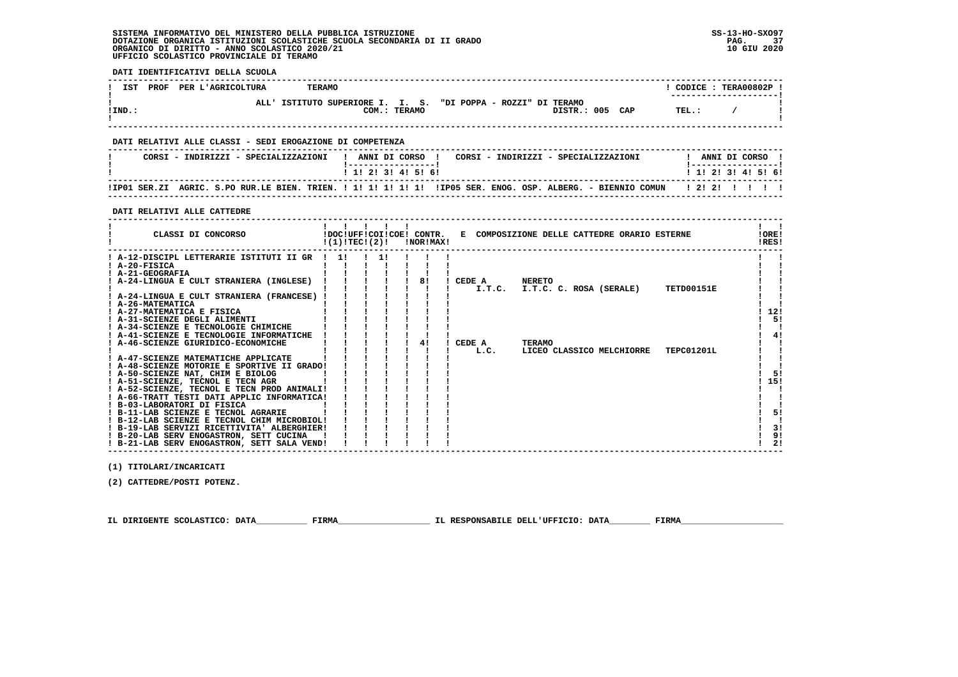$\mathbf{I}$ 

 $\blacksquare$ 

 $\blacksquare$ 

 $\overline{\phantom{a}}$  $\mathbf{i}$   $\mathbf{i}$  $\mathbf{I}$   $\mathbf{I}$ 

 $\blacksquare$  $1 \quad 51$  $1, 151$  $\frac{1}{2}$   $\frac{1}{2}$ 

 $\blacksquare$  $\blacksquare$  $1 \quad 51$ 

 $\mathbf{I}$  $\overline{1}$   $\overline{3}$   $\overline{1}$  $\overline{1}$  91

 $121$ 

 **DATI IDENTIFICATIVI DELLA SCUOLA ------------------------------------------------------------------------------------------------------------------------------------**! CODICE: TERA00802P ! *I* **IST PROF PER L'AGRICOLTURA TERAMO ! ---------------------! ! ALL' ISTITUTO SUPERIORE I. I. S. "DI POPPA - ROZZI" DI TERAMO !EXECUTE:** THE COM.: TERAMO COMENTELY DISTR.: 005 CAP TEL.: /  **! ! ------------------------------------------------------------------------------------------------------------------------------------ DATI RELATIVI ALLE CLASSI - SEDI EROGAZIONE DI COMPETENZA ------------------------------------------------------------------------------------------------------------------------------------ ! CORSI - INDIRIZZI - SPECIALIZZAZIONI ! ANNI DI CORSO ! CORSI - INDIRIZZI - SPECIALIZZAZIONI ! ANNI DI CORSO !**\_\_\_\_\_\_\_\_\_\_\_\_\_\_\_\_\_\_\_\_\_\_  **! !-----------------! !-----------------!**1 1 2 3 3 4 5 6  **! ! 1! 2! 3! 4! 5! 6! ! 1! 2! 3! 4! 5! 6! ------------------------------------------------------------------------------------------------------------------------------------ !IP01 SER.ZI AGRIC. S.PO RUR.LE BIEN. TRIEN. ! 1! 1! 1! 1! 1! !IP05 SER. ENOG. OSP. ALBERG. - BIENNIO COMUN ! 2! 2! ! ! ! ! ------------------------------------------------------------------------------------------------------------------------------------ DATI RELATIVI ALLE CATTEDRE ------------------------------------------------------------------------------------------------------------------------------------** $\mathbf{I}$  and  $\mathbf{I}$  **! ! ! ! ! ! ! !IORE! ! CLASSI DI CONCORSO !DOC!UFF!COI!COE! CONTR. E COMPOSIZIONE DELLE CATTEDRE ORARIO ESTERNE !ORE!** $RRSI$ **2 EXECUTE: EXECUTE: 1(1)!TEC!(2)! INOR!MAX! ------------------------------------------------------------------------------------------------------------------------------------** $\mathbf{1}$   $\mathbf{1}$  **! A-12-DISCIPL LETTERARIE ISTITUTI II GR ! 1! ! 1! ! ! ! ! ! ! A-20-FISICA ! ! ! ! ! ! ! ! ! ! A-21-GEOGRAFIA ! ! ! ! ! ! ! ! !** $\mathbf{I}$  $\blacksquare$  **! A-24-LINGUA E CULT STRANIERA (INGLESE) ! ! ! ! ! 8! ! CEDE A NERETO ! ! ! ! ! ! ! ! ! ! I.T.C. I.T.C. C. ROSA (SERALE) TETD00151E ! ! ! A-24-LINGUA E CULT STRANIERA (FRANCESE) ! ! ! ! ! ! ! ! !** $\blacksquare$  $\overline{\phantom{a}}$  **! A-26-MATEMATICA ! ! ! ! ! ! ! ! ! ! A-27-MATEMATICA E FISICA ! ! ! ! ! ! ! ! 12!** $\overline{1}$  121  $1 - 51$  **! A-31-SCIENZE DEGLI ALIMENTI ! ! ! ! ! ! ! ! 5! ! A-34-SCIENZE E TECNOLOGIE CHIMICHE ! ! ! ! ! ! ! ! ! ! A-41-SCIENZE E TECNOLOGIE INFORMATICHE ! ! ! ! ! ! ! ! 4! ! A-46-SCIENZE GIURIDICO-ECONOMICHE ! ! ! ! ! 4! ! CEDE A TERAMO ! ! ! ! ! ! ! ! ! ! L.C. LICEO CLASSICO MELCHIORRE TEPC01201L ! !** $\overline{\phantom{a}}$  $1 \quad 41$ 

 **! A-47-SCIENZE MATEMATICHE APPLICATE ! ! ! ! ! ! ! ! ! ! A-48-SCIENZE MOTORIE E SPORTIVE II GRADO! ! ! ! ! ! ! ! ! ! A-50-SCIENZE NAT, CHIM E BIOLOG ! ! ! ! ! ! ! ! 5! ! A-51-SCIENZE, TECNOL E TECN AGR ! ! ! ! ! ! ! ! 15! ! A-52-SCIENZE, TECNOL E TECN PROD ANIMALI! ! ! ! ! ! ! ! ! ! A-66-TRATT TESTI DATI APPLIC INFORMATICA! ! ! ! ! ! ! ! ! ! B-03-LABORATORI DI FISICA ! ! ! ! ! ! ! ! ! ! B-11-LAB SCIENZE E TECNOL AGRARIE ! ! ! ! ! ! ! ! 5! ! B-12-LAB SCIENZE E TECNOL CHIM MICROBIOL! ! ! ! ! ! ! ! ! ! B-19-LAB SERVIZI RICETTIVITA' ALBERGHIER! ! ! ! ! ! ! ! 3! ! B-20-LAB SERV ENOGASTRON, SETT CUCINA ! ! ! ! ! ! ! ! 9! ! B-21-LAB SERV ENOGASTRON, SETT SALA VEND! ! ! ! ! ! ! ! 2!**

 **(1) TITOLARI/INCARICATI**

 **(2) CATTEDRE/POSTI POTENZ.**

 **IL DIRIGENTE SCOLASTICO: DATA\_\_\_\_\_\_\_\_\_\_ FIRMA\_\_\_\_\_\_\_\_\_\_\_\_\_\_\_\_\_\_ IL RESPONSABILE DELL'UFFICIO: DATA\_\_\_\_\_\_\_\_ FIRMA\_\_\_\_\_\_\_\_\_\_\_\_\_\_\_\_\_\_\_\_**

 **------------------------------------------------------------------------------------------------------------------------------------**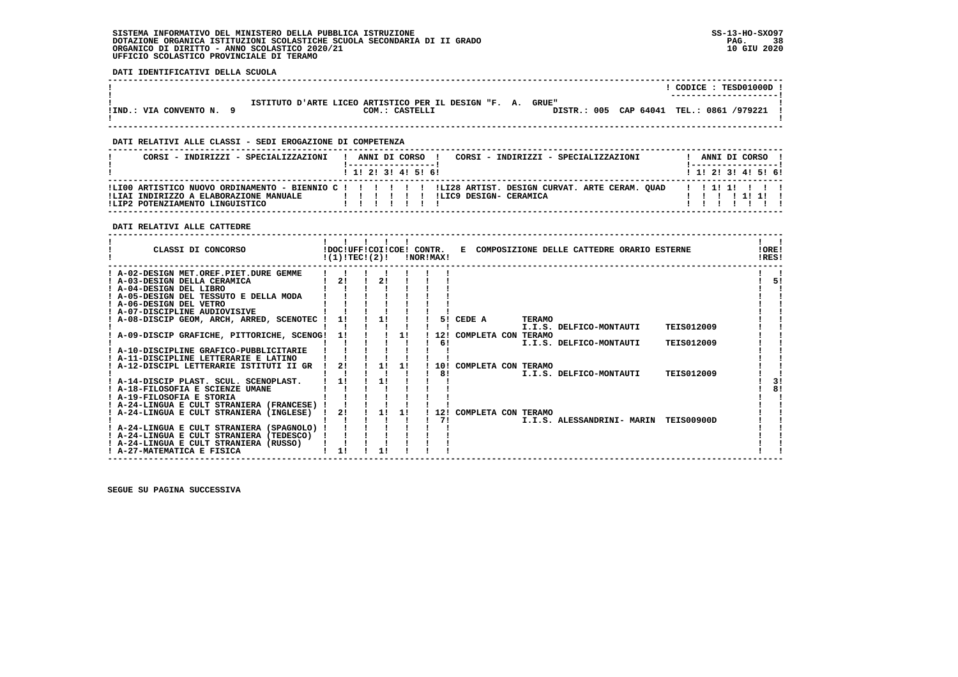**DATI IDENTIFICATIVI DELLA SCUOLA**

|                        |                                                                                                                             | CODICE: TESD01000D !<br>--------------------- |
|------------------------|-----------------------------------------------------------------------------------------------------------------------------|-----------------------------------------------|
| !IND.: VIA CONVENTO N. | ISTITUTO D'ARTE LICEO ARTISTICO PER IL DESIGN "F. A.<br>GRUE"<br>DISTR.: 005 CAP 64041 TEL.: 0861 /979221<br>COM.: CASTELLI |                                               |

 **------------------------------------------------------------------------------------------------------------------------------------**

## **DATI RELATIVI ALLE CLASSI - SEDI EROGAZIONE DI COMPETENZA**

| CORSI - INDIRIZZI - SPECIALIZZAZIONI                                                                                                              |  |  |                         | ANNI DI CORSO ! |                                       | CORSI - INDIRIZZI - SPECIALIZZAZIONI |  |  | ANNI DI CORSO !                  |  |
|---------------------------------------------------------------------------------------------------------------------------------------------------|--|--|-------------------------|-----------------|---------------------------------------|--------------------------------------|--|--|----------------------------------|--|
|                                                                                                                                                   |  |  | $1$ , 1! 2! 3! 4! 5! 6! |                 |                                       |                                      |  |  | $1$ 1! 2! 3! 4! 5! 6!            |  |
| ILI00 ARTISTICO NUOVO ORDINAMENTO - BIENNIO C ! ! ! ! ! ! !LI28 ARTIST. DESIGN CURVAT. ARTE CERAM. OUAD<br>!LIAI INDIRIZZO A ELABORAZIONE MANUALE |  |  |                         |                 | IIIIIIIIIIII I ILIC9 DESIGN- CERAMICA |                                      |  |  | 1 1 1 1 1 1 1 1<br>1 1 1 1 1 1 1 |  |
| !LIP2 POTENZIAMENTO LINGUISTICO                                                                                                                   |  |  |                         |                 |                                       |                                      |  |  |                                  |  |

# **DATI RELATIVI ALLE CATTEDRE**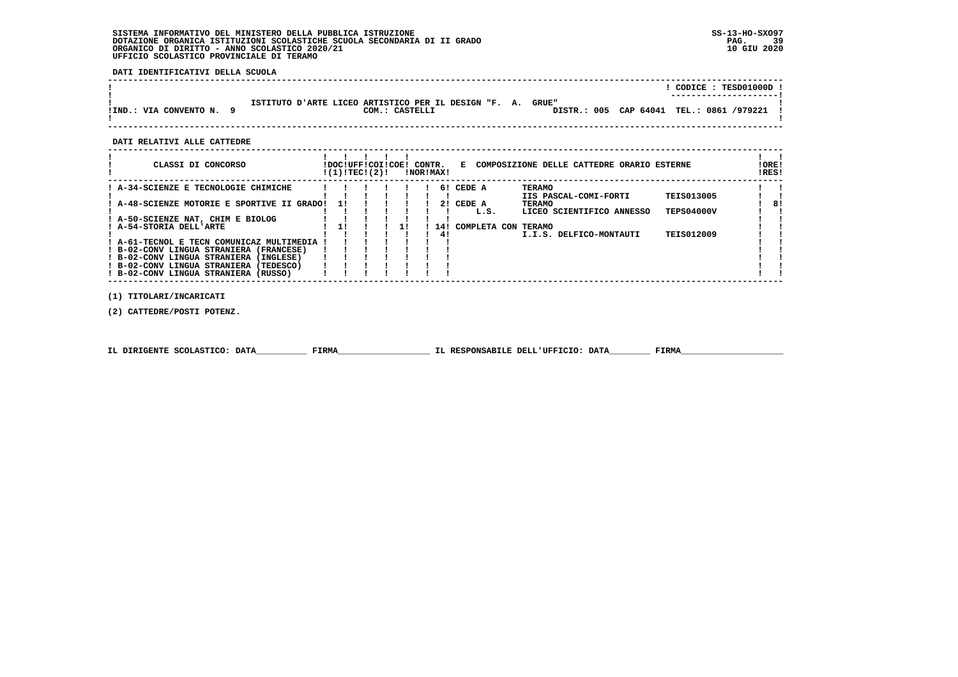**DATI IDENTIFICATIVI DELLA SCUOLA**

|                        |                                                                                                                             | CODICE: TESD01000D !<br>---------------------- |
|------------------------|-----------------------------------------------------------------------------------------------------------------------------|------------------------------------------------|
| !IND.: VIA CONVENTO N. | ISTITUTO D'ARTE LICEO ARTISTICO PER IL DESIGN "F. A.<br>GRUE"<br>DISTR.: 005 CAP 64041 TEL.: 0861 /979221<br>COM.: CASTELLI |                                                |

 **------------------------------------------------------------------------------------------------------------------------------------**

#### **DATI RELATIVI ALLE CATTEDRE**

| CLASSI DI CONCORSO                         | !DOC!UFF!COI!COE!<br>!(1)!TECI(2)! |  | CONTR. | !NOR!MAX! | Е                   | COMPOSIZIONE DELLE CATTEDRE ORARIO ESTERNE |                   | IRES! | ! ORE! |
|--------------------------------------------|------------------------------------|--|--------|-----------|---------------------|--------------------------------------------|-------------------|-------|--------|
| ! A-34-SCIENZE E TECNOLOGIE CHIMICHE       |                                    |  |        |           | 6! CEDE A           | <b>TERAMO</b>                              |                   |       |        |
|                                            |                                    |  |        |           |                     | IIS PASCAL-COMI-FORTI                      | <b>TEIS013005</b> |       |        |
| A-48-SCIENZE MOTORIE E SPORTIVE II GRADO!  | 11                                 |  |        | 21        | CEDE A              | <b>TERAMO</b>                              |                   |       | 8!     |
|                                            |                                    |  |        |           | L.S.                | LICEO SCIENTIFICO ANNESSO                  | <b>TEPS04000V</b> |       |        |
| ! A-50-SCIENZE NAT, CHIM E BIOLOG          |                                    |  |        |           |                     |                                            |                   |       |        |
| ! A-54-STORIA DELL'ARTE                    |                                    |  |        | 14 !      | COMPLETA CON TERAMO |                                            |                   |       |        |
|                                            |                                    |  |        | 41        |                     | I.I.S. DELFICO-MONTAUTI                    | <b>TEIS012009</b> |       |        |
| ! A-61-TECNOL E TECN COMUNICAZ MULTIMEDIA  |                                    |  |        |           |                     |                                            |                   |       |        |
| ! B-02-CONV LINGUA STRANIERA<br>(FRANCESE) |                                    |  |        |           |                     |                                            |                   |       |        |
| ! B-02-CONV LINGUA STRANIERA (INGLESE)     |                                    |  |        |           |                     |                                            |                   |       |        |
| ! B-02-CONV LINGUA STRANIERA (TEDESCO)     |                                    |  |        |           |                     |                                            |                   |       |        |
| ! B-02-CONV LINGUA STRANIERA<br>(RUSSO)    |                                    |  |        |           |                     |                                            |                   |       |        |
|                                            |                                    |  |        |           |                     |                                            |                   |       |        |

 **(1) TITOLARI/INCARICATI**

 **(2) CATTEDRE/POSTI POTENZ.**

| IL DIRIGENTE SCOLASTICO: DATA | <b>FIRMA</b> | IL RESPONSABILE DELL'UFFICIO: DATA | FIRM |
|-------------------------------|--------------|------------------------------------|------|
|                               |              |                                    |      |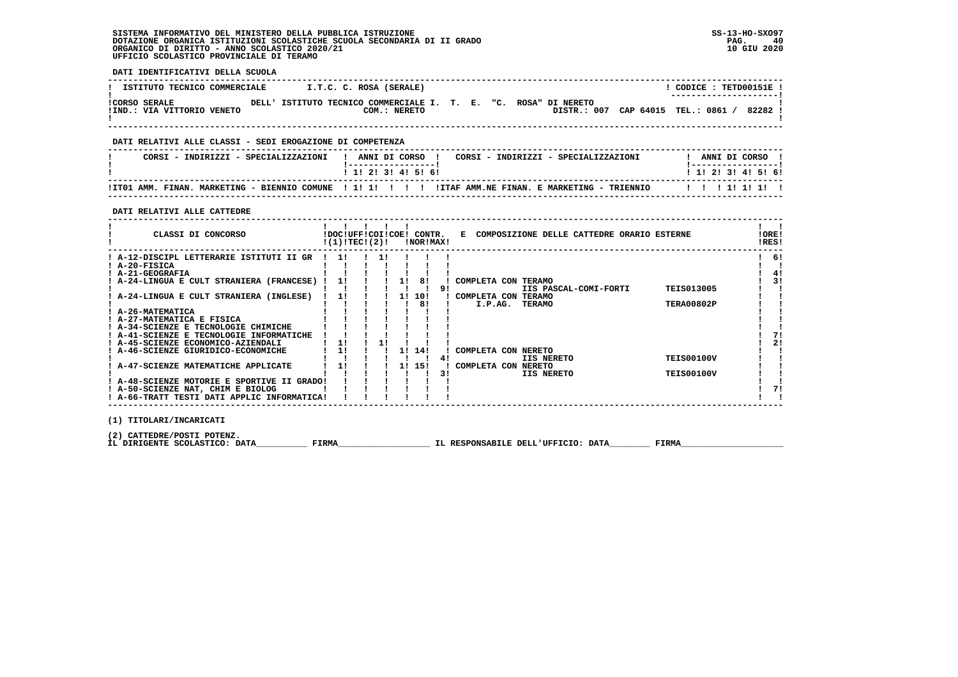**DATI IDENTIFICATIVI DELLA SCUOLA**

| ISTITUTO TECNICO COMMERCIALE                       |       |                                                           | I.T.C. C. ROSA (SERALE) |  |  |                                    |  | CODICE : TETD00151E !<br>---------------------- |         |  |
|----------------------------------------------------|-------|-----------------------------------------------------------|-------------------------|--|--|------------------------------------|--|-------------------------------------------------|---------|--|
| <b>!CORSO SERALE</b><br>!IND.: VIA VITTORIO VENETO | DELL' | ISTITUTO TECNICO COMMERCIALE I. T. E. "C. ROSA" DI NERETO | COM.: NERETO            |  |  | DISTR.: 007 CAP 64015 TEL.: 0861 / |  |                                                 | 82282 ! |  |

 **------------------------------------------------------------------------------------------------------------------------------------**

## **DATI RELATIVI ALLE CLASSI - SEDI EROGAZIONE DI COMPETENZA**

| CORSI - INDIRIZZI - SPECIALIZZAZIONI | ANNI DI CORSO<br>CORSI - INDIRIZZI - SPECIALIZZAZIONI                                                 |  | ANNI DI CORSO             |  |
|--------------------------------------|-------------------------------------------------------------------------------------------------------|--|---------------------------|--|
|                                      | 1 1 1 2 1 3 1 4 1 5 1 6 1                                                                             |  | 1 1 1 2 1 3 1 4 1 5 1 6 1 |  |
|                                      | ITO1 AMM. FINAN. MARKETING - BIENNIO COMUNE ! 1! 1! ! !! ! !ITAF AMM.NE FINAN. E MARKETING - TRIENNIO |  |                           |  |

 **------------------------------------------------------------------------------------------------------------------------------------**

 **DATI RELATIVI ALLE CATTEDRE**

| CLASSI DI CONCORSO                                                               | !(1)!TEC!(2)! |  |    | !DOC!UFF!COI!COE! CONTR.<br>!NOR!MAX! |    | E COMPOSIZIONE DELLE CATTEDRE ORARIO ESTERNE |                                        | !ORE!<br>!RES! |
|----------------------------------------------------------------------------------|---------------|--|----|---------------------------------------|----|----------------------------------------------|----------------------------------------|----------------|
| ! A-12-DISCIPL LETTERARIE ISTITUTI II GR<br>! A-20-FISICA<br>! A-21-GEOGRAFIA    | -11           |  |    |                                       |    |                                              |                                        | 61             |
| ! A-24-LINGUA E CULT STRANIERA (FRANCESE)                                        |               |  | 11 | 81                                    | 91 | COMPLETA CON TERAMO<br>IIS PASCAL-COMI-FORTI | <b>TEIS013005</b>                      | 31             |
| A-24-LINGUA E CULT STRANIERA (INGLESE)                                           | 11            |  |    | 1! 10!<br>81                          |    | COMPLETA CON TERAMO<br>I.P.AG.<br>TERAMO     | <b>TERA00802P</b>                      |                |
| A-26-MATEMATICA<br>! A-27-MATEMATICA E FISICA                                    |               |  |    |                                       |    |                                              |                                        |                |
| ! A-34-SCIENZE E TECNOLOGIE CHIMICHE<br>! A-41-SCIENZE E TECNOLOGIE INFORMATICHE |               |  |    |                                       |    |                                              |                                        |                |
| A-45-SCIENZE ECONOMICO-AZIENDALI<br>! A-46-SCIENZE GIURIDICO-ECONOMICHE          | 1!<br>1!      |  |    | 1! 14!                                |    | COMPLETA CON NERETO                          |                                        | 21             |
| ! A-47-SCIENZE MATEMATICHE APPLICATE                                             | 11            |  |    | 11 151                                | 31 | IIS NERETO<br>COMPLETA CON NERETO            | <b>TEIS00100V</b><br><b>TEIS00100V</b> |                |
| ! A-48-SCIENZE MOTORIE E SPORTIVE II GRADO!<br>! A-50-SCIENZE NAT, CHIM E BIOLOG |               |  |    |                                       |    | IIS NERETO                                   |                                        |                |
| ! A-66-TRATT TESTI DATI APPLIC INFORMATICA!                                      |               |  |    |                                       |    |                                              |                                        |                |
| $(1)$ memorane $(\text{margram}$                                                 |               |  |    |                                       |    |                                              |                                        |                |

 **(1) TITOLARI/INCARICATI**

 **(2) CATTEDRE/POSTI POTENZ.**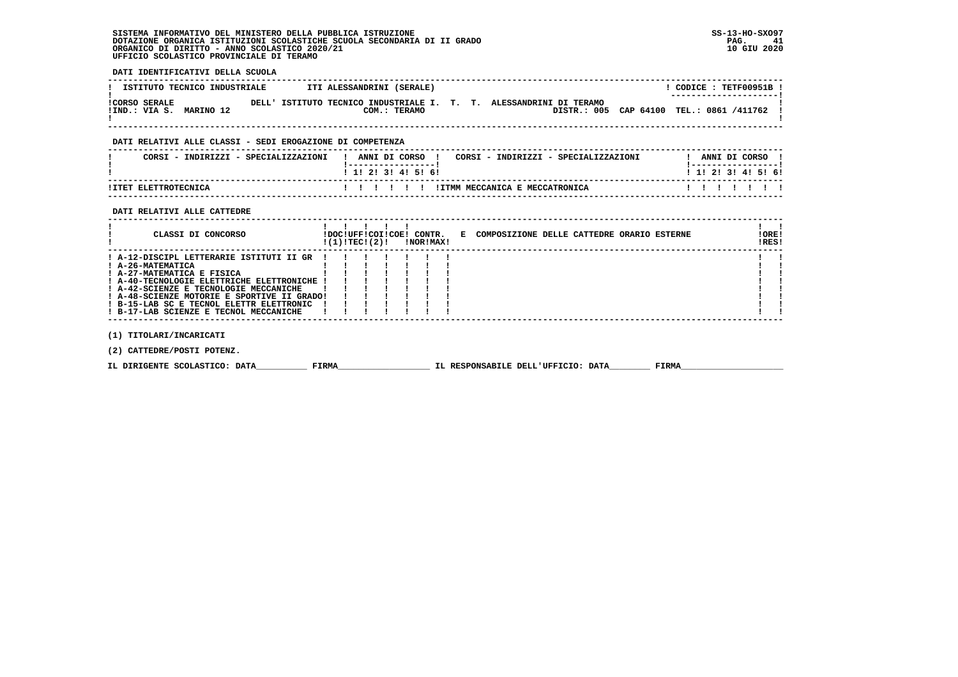**DATI IDENTIFICATIVI DELLA SCUOLA ------------------------------------------------------------------------------------------------------------------------------------**L CODICE : TETE00951B L **! ISTITUTO TECNICO INDUSTRIALE | ITI ALESSANDRINI (SERALE)** \_\_\_\_\_\_\_\_\_\_\_\_\_\_\_\_\_\_\_\_\_\_\_\_  **! ---------------------! !CORSO SERALE DELL' ISTITUTO TECNICO INDUSTRIALE I. T. T. ALESSANDRINI DI TERAMO ! !IND.: VIA S. MARINO 12 COM.: TERAMO DISTR.: 005 CAP 64100 TEL.: 0861 /411762 ! ! !**DISTR.: 005 CAP 64100 TEL.: 0861 /411762 1  $\blacksquare$   **------------------------------------------------------------------------------------------------------------------------------------ DATI RELATIVI ALLE CLASSI - SEDI EROGAZIONE DI COMPETENZA ------------------------------------------------------------------------------------------------------------------------------------**! ANNI DI CORSO !  **! CORSI - INDIRIZZI - SPECIALIZZAZIONI ! ANNI DI CORSO ! CORSI - INDIRIZZI - SPECIALIZZAZIONI ! ANNI DI CORSO ! ! !-----------------! !-----------------!**1 1 2 2 1 3 1 4 1 5 1 6 1  **! ! 1! 2! 3! 4! 5! 6! ! 1! 2! 3! 4! 5! 6! ------------------------------------------------------------------------------------------------------------------------------------ !ITET ELETTROTECNICA ! ! ! ! ! ! !ITMM MECCANICA E MECCATRONICA ! ! ! ! ! ! ! ------------------------------------------------------------------------------------------------------------------------------------ DATI RELATIVI ALLE CATTEDRE ------------------------------------------------------------------------------------------------------------------------------------** $\mathbf{I}$   $\mathbf{I}$  **! ! ! ! ! ! ! ! ! CLASSI DI CONCORSO !DOC!UFF!COI!COE! CONTR. E COMPOSIZIONE DELLE CATTEDRE ORARIO ESTERNE !ORE! ! !(1)!TEC!(2)! !NOR!MAX! !RES!IORE!** IRES!  **------------------------------------------------------------------------------------------------------------------------------------** $\mathbf{I}$  and  $\mathbf{I}$  **! A-12-DISCIPL LETTERARIE ISTITUTI II GR ! ! ! ! ! ! ! ! ! ! A-26-MATEMATICA ! ! ! ! ! ! ! ! ! ! A-27-MATEMATICA E FISICA ! ! ! ! ! ! ! ! !** $\blacksquare$  $\blacksquare$  **! A-40-TECNOLOGIE ELETTRICHE ELETTRONICHE ! ! ! ! ! ! ! ! ! ! A-42-SCIENZE E TECNOLOGIE MECCANICHE ! ! ! ! ! ! ! ! ! ! A-48-SCIENZE MOTORIE E SPORTIVE II GRADO! ! ! ! ! ! ! ! !** $\blacksquare$  $\blacksquare$  $\overline{\phantom{a}}$  **! B-15-LAB SC E TECNOL ELETTR ELETTRONIC ! ! ! ! ! ! ! ! !** $\mathbf{I}$  and  $\mathbf{I}$  **! B-17-LAB SCIENZE E TECNOL MECCANICHE ! ! ! ! ! ! ! ! ! ------------------------------------------------------------------------------------------------------------------------------------**

 **(1) TITOLARI/INCARICATI**

 **(2) CATTEDRE/POSTI POTENZ.**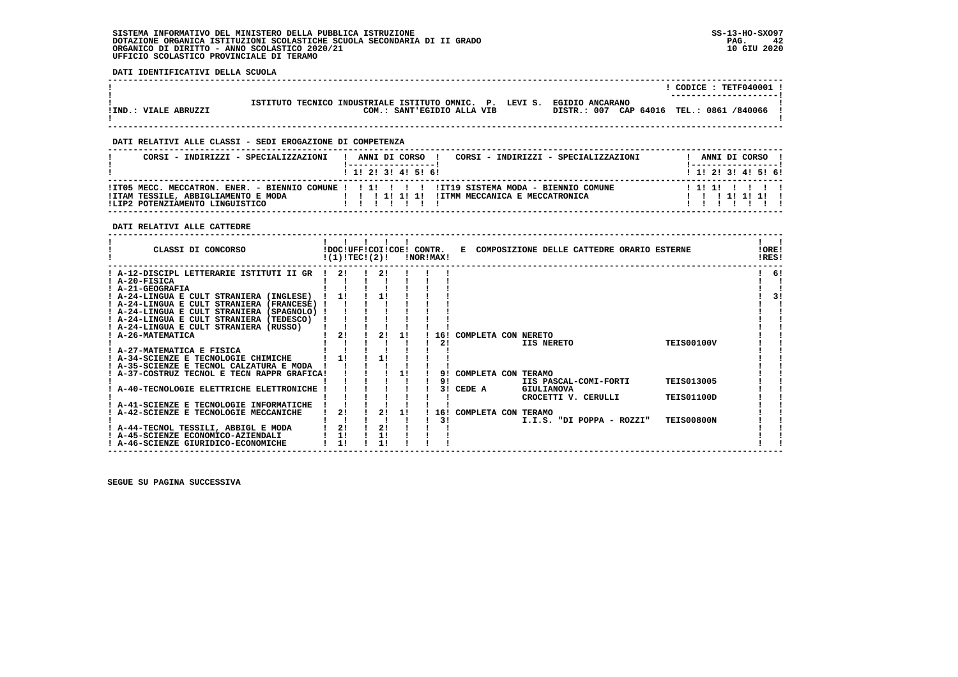**DATI IDENTIFICATIVI DELLA SCUOLA**

|                      |                                                                         | $CODE: TETF040001$ !   |
|----------------------|-------------------------------------------------------------------------|------------------------|
|                      |                                                                         | ---------------------- |
|                      | ISTITUTO TECNICO INDUSTRIALE ISTITUTO OMNIC. P. LEVI S. EGIDIO ANCARANO |                        |
| IIND.: VIALE ABRUZZI | DISTR.: 007 CAP 64016 TEL.: 0861 /840066<br>COM.: SANT'EGIDIO ALLA VIB  |                        |
|                      |                                                                         |                        |

 **------------------------------------------------------------------------------------------------------------------------------------**

## **DATI RELATIVI ALLE CLASSI - SEDI EROGAZIONE DI COMPETENZA**

| CORSI - INDIRIZZI - SPECIALIZZAZIONI | CORSI - INDIRIZZI - SPECIALIZZAZIONI<br>! ANNI DI CORSO !<br>! -----------------! | ANNI DI CORSO !<br>!------------------ |
|--------------------------------------|-----------------------------------------------------------------------------------|----------------------------------------|
|                                      | $1$ , 1! 2! 3! 4! 5! 6!                                                           | 1 1 1 2 1 3 1 4 1 5 1 6 1              |
|                                      |                                                                                   | 111111111                              |
| ILIP2 POTENZIAMENTO LINGUISTICO      | .                                                                                 | 1 1 1 1 1 1 1 1 1                      |

# **DATI RELATIVI ALLE CATTEDRE**

| CLASSI DI CONCORSO                                                         | !DOC!UFF!COI!COE! CONTR.<br>!(1)!TEC!(2)! |    |    | !NOR!MAX! |     | Е                   | COMPOSIZIONE DELLE CATTEDRE ORARIO ESTERNE |                           |                   | !ORE!<br>!RES! |
|----------------------------------------------------------------------------|-------------------------------------------|----|----|-----------|-----|---------------------|--------------------------------------------|---------------------------|-------------------|----------------|
| A-12-DISCIPL LETTERARIE ISTITUTI II GR                                     | -21                                       | 21 |    |           |     |                     |                                            |                           |                   | 61             |
| ! A-20-FISICA                                                              |                                           |    |    |           |     |                     |                                            |                           |                   |                |
| ! A-21-GEOGRAFIA                                                           |                                           |    |    |           |     |                     |                                            |                           |                   |                |
| ! A-24-LINGUA E CULT STRANIERA (INGLESE)                                   |                                           |    |    |           |     |                     |                                            |                           |                   | 31             |
| ! A-24-LINGUA E CULT STRANIERA (FRANCESE)                                  |                                           |    |    |           |     |                     |                                            |                           |                   |                |
| ! A-24-LINGUA E CULT STRANIERA (SPAGNOLO) !                                |                                           |    |    |           |     |                     |                                            |                           |                   |                |
| ! A-24-LINGUA E CULT STRANIERA (TEDESCO)                                   |                                           |    |    |           |     |                     |                                            |                           |                   |                |
| ! A-24-LINGUA E CULT STRANIERA (RUSSO)                                     |                                           |    |    |           |     |                     |                                            |                           |                   |                |
| <b>A-26-MATEMATICA</b>                                                     | 21                                        | 21 | 11 |           | 16! | COMPLETA CON NERETO |                                            |                           |                   |                |
|                                                                            |                                           |    |    |           | 21  |                     | IIS NERETO                                 |                           | <b>TEIS00100V</b> |                |
| ! A-27-MATEMATICA E FISICA                                                 |                                           |    |    |           |     |                     |                                            |                           |                   |                |
| A-34-SCIENZE E TECNOLOGIE CHIMICHE                                         |                                           |    |    |           |     |                     |                                            |                           |                   |                |
| ! A-35-SCIENZE E TECNOL CALZATURA E MODA                                   |                                           |    |    |           |     |                     |                                            |                           |                   |                |
| A-37-COSTRUZ TECNOL E TECN RAPPR GRAFICA!                                  |                                           |    |    |           | 91  | COMPLETA CON TERAMO |                                            |                           |                   |                |
|                                                                            |                                           |    |    |           | 91  |                     |                                            | IIS PASCAL-COMI-FORTI     | <b>TEIS013005</b> |                |
| A-40-TECNOLOGIE ELETTRICHE ELETTRONICHE                                    |                                           |    |    |           | 3 I | CEDE A              | GIULIANOVA                                 |                           |                   |                |
|                                                                            |                                           |    |    |           |     |                     |                                            | CROCETTI V. CERULLI       | <b>TEIS01100D</b> |                |
| A-41-SCIENZE E TECNOLOGIE INFORMATICHE                                     | 21                                        |    |    |           |     |                     |                                            |                           |                   |                |
| A-42-SCIENZE E TECNOLOGIE MECCANICHE                                       |                                           | 2! | 11 |           | 16! | COMPLETA CON TERAMO |                                            |                           | <b>TEIS00800N</b> |                |
|                                                                            | 2!                                        | 21 |    |           | 3!  |                     |                                            | I.I.S. "DI POPPA - ROZZI" |                   |                |
| ! A-44-TECNOL TESSILI, ABBIGL E MODA<br>! A-45-SCIENZE ECONOMICO-AZIENDALI | 1!                                        | 1! |    |           |     |                     |                                            |                           |                   |                |
| ! A-46-SCIENZE GIURIDICO-ECONOMICHE                                        | 11                                        |    |    |           |     |                     |                                            |                           |                   |                |
|                                                                            |                                           |    |    |           |     |                     |                                            |                           |                   |                |